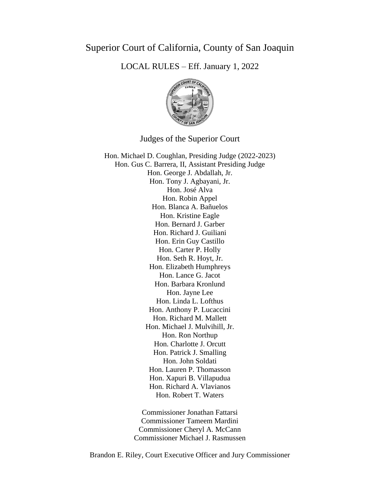## Superior Court of California, County of San Joaquin

LOCAL RULES – Eff. January 1, 2022



Judges of the Superior Court

Hon. Michael D. Coughlan, Presiding Judge (2022-2023) Hon. Gus C. Barrera, II, Assistant Presiding Judge Hon. George J. Abdallah, Jr. Hon. Tony J. Agbayani, Jr. Hon. José Alva Hon. Robin Appel Hon. Blanca A. Bañuelos Hon. Kristine Eagle Hon. Bernard J. Garber Hon. Richard J. Guiliani Hon. Erin Guy Castillo Hon. Carter P. Holly Hon. Seth R. Hoyt, Jr. Hon. Elizabeth Humphreys Hon. Lance G. Jacot Hon. Barbara Kronlund Hon. Jayne Lee Hon. Linda L. Lofthus Hon. Anthony P. Lucaccini Hon. Richard M. Mallett Hon. Michael J. Mulvihill, Jr. Hon. Ron Northup Hon. Charlotte J. Orcutt Hon. Patrick J. Smalling Hon. John Soldati Hon. Lauren P. Thomasson Hon. Xapuri B. Villapudua Hon. Richard A. Vlavianos Hon. Robert T. Waters

> Commissioner Jonathan Fattarsi Commissioner Tameem Mardini Commissioner Cheryl A. McCann Commissioner Michael J. Rasmussen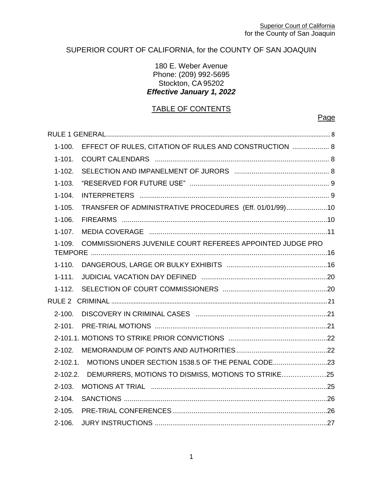### SUPERIOR COURT OF CALIFORNIA, for the COUNTY OF SAN JOAQUIN

#### 180 E. Weber Avenue Phone: (209) 992-5695 Stockton, CA95202 *Effective January 1, 2022*

# TABLE OF CONTENTS

#### Page

| $1 - 100.$  | EFFECT OF RULES, CITATION OF RULES AND CONSTRUCTION  8      |  |
|-------------|-------------------------------------------------------------|--|
| $1 - 101.$  |                                                             |  |
| $1 - 102.$  |                                                             |  |
| $1 - 103.$  |                                                             |  |
| $1 - 104.$  |                                                             |  |
| $1 - 105.$  | TRANSFER OF ADMINISTRATIVE PROCEDURES (Eff. 01/01/99)10     |  |
| $1 - 106.$  |                                                             |  |
| $1 - 107$ . |                                                             |  |
| $1 - 109.$  | COMMISSIONERS JUVENILE COURT REFEREES APPOINTED JUDGE PRO   |  |
| $1 - 110.$  |                                                             |  |
| $1 - 111.$  |                                                             |  |
|             |                                                             |  |
|             |                                                             |  |
| $2 - 100.$  |                                                             |  |
| $2 - 101$ . |                                                             |  |
|             |                                                             |  |
|             |                                                             |  |
|             | 2-102.1. MOTIONS UNDER SECTION 1538.5 OF THE PENAL CODE23   |  |
|             | 2-102.2. DEMURRERS, MOTIONS TO DISMISS, MOTIONS TO STRIKE25 |  |
| $2 - 103.$  |                                                             |  |
| $2 - 104.$  |                                                             |  |
| $2 - 105.$  |                                                             |  |
| $2 - 106.$  |                                                             |  |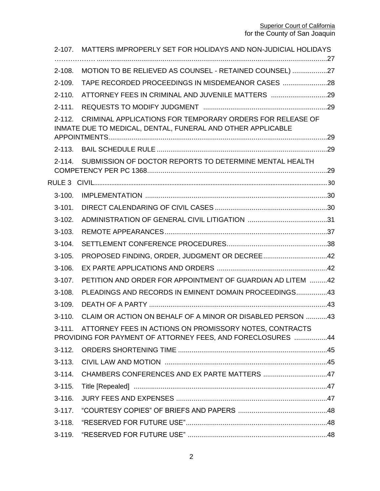| $2 - 107$ . | MATTERS IMPROPERLY SET FOR HOLIDAYS AND NON-JUDICIAL HOLIDAYS                                                            |  |
|-------------|--------------------------------------------------------------------------------------------------------------------------|--|
| $2 - 108.$  | MOTION TO BE RELIEVED AS COUNSEL - RETAINED COUNSEL) 27                                                                  |  |
| $2 - 109.$  | TAPE RECORDED PROCEEDINGS IN MISDEMEANOR CASES 28                                                                        |  |
|             |                                                                                                                          |  |
| $2 - 110.$  | ATTORNEY FEES IN CRIMINAL AND JUVENILE MATTERS 29                                                                        |  |
| $2 - 111.$  |                                                                                                                          |  |
| $2 - 112.$  | CRIMINAL APPLICATIONS FOR TEMPORARY ORDERS FOR RELEASE OF<br>INMATE DUE TO MEDICAL, DENTAL, FUNERAL AND OTHER APPLICABLE |  |
|             |                                                                                                                          |  |
| $2 - 113.$  |                                                                                                                          |  |
| $2 - 114$ . | SUBMISSION OF DOCTOR REPORTS TO DETERMINE MENTAL HEALTH                                                                  |  |
|             |                                                                                                                          |  |
| $3 - 100.$  |                                                                                                                          |  |
| $3 - 101.$  |                                                                                                                          |  |
| $3-102.$    |                                                                                                                          |  |
| $3 - 103.$  |                                                                                                                          |  |
| $3-104.$    |                                                                                                                          |  |
| $3 - 105.$  |                                                                                                                          |  |
| $3 - 106.$  |                                                                                                                          |  |
| $3 - 107$ . | PETITION AND ORDER FOR APPOINTMENT OF GUARDIAN AD LITEM 42                                                               |  |
| $3 - 108.$  | PLEADINGS AND RECORDS IN EMINENT DOMAIN PROCEEDINGS43                                                                    |  |
| $3 - 109.$  |                                                                                                                          |  |
| $3 - 110.$  | CLAIM OR ACTION ON BEHALF OF A MINOR OR DISABLED PERSON 43                                                               |  |
| $3 - 111.$  | ATTORNEY FEES IN ACTIONS ON PROMISSORY NOTES, CONTRACTS                                                                  |  |
|             | PROVIDING FOR PAYMENT OF ATTORNEY FEES, AND FORECLOSURES 44                                                              |  |
| $3 - 112.$  |                                                                                                                          |  |
| $3 - 113.$  |                                                                                                                          |  |
| $3 - 114.$  | CHAMBERS CONFERENCES AND EX PARTE MATTERS 47                                                                             |  |
| $3 - 115.$  |                                                                                                                          |  |
| $3 - 116.$  |                                                                                                                          |  |
| $3 - 117.$  |                                                                                                                          |  |
| $3 - 118.$  |                                                                                                                          |  |
| $3 - 119.$  |                                                                                                                          |  |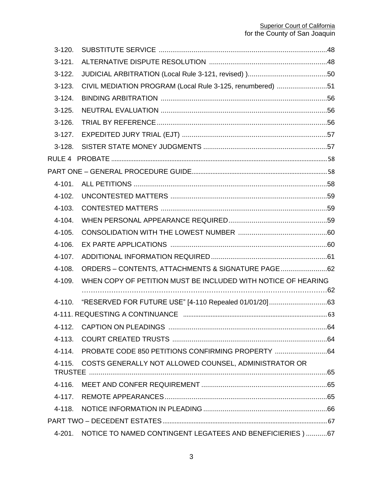| $3-120.$    |                                                               |  |
|-------------|---------------------------------------------------------------|--|
| $3-121.$    |                                                               |  |
| $3-122.$    |                                                               |  |
| $3 - 123$ . | CIVIL MEDIATION PROGRAM (Local Rule 3-125, renumbered) 51     |  |
| $3-124.$    |                                                               |  |
| $3 - 125.$  |                                                               |  |
| $3-126.$    |                                                               |  |
| $3-127.$    |                                                               |  |
| $3-128.$    |                                                               |  |
|             |                                                               |  |
|             |                                                               |  |
| $4 - 101.$  |                                                               |  |
| $4 - 102.$  |                                                               |  |
| $4 - 103.$  |                                                               |  |
| 4-104.      |                                                               |  |
| $4 - 105.$  |                                                               |  |
| $4 - 106.$  |                                                               |  |
| 4-107.      |                                                               |  |
| $4 - 108.$  | ORDERS - CONTENTS, ATTACHMENTS & SIGNATURE PAGE62             |  |
| 4-109.      | WHEN COPY OF PETITION MUST BE INCLUDED WITH NOTICE OF HEARING |  |
| 4-110.      |                                                               |  |
|             |                                                               |  |
| $4 - 112.$  |                                                               |  |
| $4 - 113.$  |                                                               |  |
| 4-114.      | PROBATE CODE 850 PETITIONS CONFIRMING PROPERTY 64             |  |
| 4-115.      | COSTS GENERALLY NOT ALLOWED COUNSEL, ADMINISTRATOR OR         |  |
| 4-116.      |                                                               |  |
| 4-117.      |                                                               |  |
| 4-118.      |                                                               |  |
|             |                                                               |  |
| 4-201.      | NOTICE TO NAMED CONTINGENT LEGATEES AND BENEFICIERIES ) 67    |  |
|             |                                                               |  |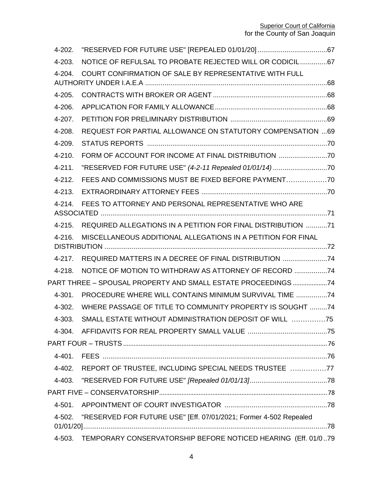| $4 - 202.$  |                                                                      |  |
|-------------|----------------------------------------------------------------------|--|
| $4 - 203.$  | NOTICE OF REFULSAL TO PROBATE REJECTED WILL OR CODICIL67             |  |
| $4 - 204$ . | COURT CONFIRMATION OF SALE BY REPRESENTATIVE WITH FULL               |  |
|             |                                                                      |  |
| $4 - 205.$  |                                                                      |  |
| 4-206.      |                                                                      |  |
| 4-207.      |                                                                      |  |
| 4-208.      | <b>REQUEST FOR PARTIAL ALLOWANCE ON STATUTORY COMPENSATION  69</b>   |  |
| 4-209.      |                                                                      |  |
| $4 - 210.$  | FORM OF ACCOUNT FOR INCOME AT FINAL DISTRIBUTION                     |  |
| $4 - 211.$  |                                                                      |  |
| $4 - 212.$  | FEES AND COMMISSIONS MUST BE FIXED BEFORE PAYMENT                    |  |
| $4 - 213.$  |                                                                      |  |
| $4 - 214.$  | FEES TO ATTORNEY AND PERSONAL REPRESENTATIVE WHO ARE                 |  |
| $4 - 215.$  | REQUIRED ALLEGATIONS IN A PETITION FOR FINAL DISTRIBUTION 71         |  |
| $4 - 216.$  | MISCELLANEOUS ADDITIONAL ALLEGATIONS IN A PETITION FOR FINAL         |  |
| 4-217.      | REQUIRED MATTERS IN A DECREE OF FINAL DISTRIBUTION 74                |  |
| $4 - 218.$  | NOTICE OF MOTION TO WITHDRAW AS ATTORNEY OF RECORD                   |  |
|             | PART THREE - SPOUSAL PROPERTY AND SMALL ESTATE PROCEEDINGS 74        |  |
| $4 - 301.$  | PROCEDURE WHERE WILL CONTAINS MINIMUM SURVIVAL TIME 74               |  |
| $4 - 302$ . | WHERE PASSAGE OF TITLE TO COMMUNITY PROPERTY IS SOUGHT 74            |  |
| $4 - 303.$  | SMALL ESTATE WITHOUT ADMINISTRATION DEPOSIT OF WILL 75               |  |
| 4-304.      |                                                                      |  |
|             |                                                                      |  |
| 4-401.      |                                                                      |  |
| 4-402.      | REPORT OF TRUSTEE, INCLUDING SPECIAL NEEDS TRUSTEE 77                |  |
| 4-403.      |                                                                      |  |
|             |                                                                      |  |
| $4 - 501$ . |                                                                      |  |
| 4-502.      | "RESERVED FOR FUTURE USE" [Eff. 07/01/2021; Former 4-502 Repealed    |  |
|             | 4-503. TEMPORARY CONSERVATORSHIP BEFORE NOTICED HEARING (Eff. 01/079 |  |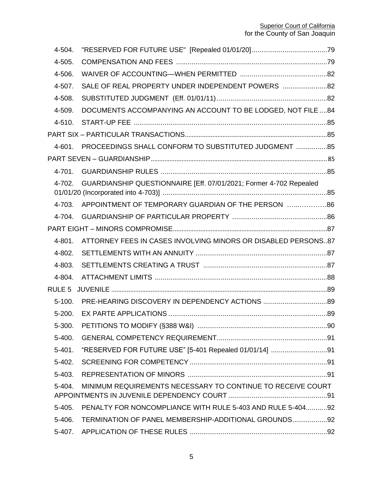| 4-504.     |                                                                    |  |
|------------|--------------------------------------------------------------------|--|
| 4-505.     |                                                                    |  |
| 4-506.     |                                                                    |  |
| 4-507.     | SALE OF REAL PROPERTY UNDER INDEPENDENT POWERS 82                  |  |
| 4-508.     |                                                                    |  |
| 4-509.     | DOCUMENTS ACCOMPANYING AN ACCOUNT TO BE LODGED, NOT FILE 84        |  |
| $4 - 510.$ |                                                                    |  |
|            |                                                                    |  |
| 4-601.     | PROCEEDINGS SHALL CONFORM TO SUBSTITUTED JUDGMENT 85               |  |
|            |                                                                    |  |
| 4-701.     |                                                                    |  |
| 4-702.     | GUARDIANSHIP QUESTIONNAIRE [Eff. 07/01/2021; Former 4-702 Repealed |  |
| 4-703.     | APPOINTMENT OF TEMPORARY GUARDIAN OF THE PERSON  86                |  |
| 4-704.     |                                                                    |  |
|            |                                                                    |  |
| 4-801.     | ATTORNEY FEES IN CASES INVOLVING MINORS OR DISABLED PERSONS87      |  |
| 4-802.     |                                                                    |  |
| 4-803.     |                                                                    |  |
| 4-804.     |                                                                    |  |
|            |                                                                    |  |
| $5-100.$   |                                                                    |  |
| $5 - 200.$ |                                                                    |  |
| 5-300.     |                                                                    |  |
| $5 - 400.$ |                                                                    |  |
| $5 - 401.$ | "RESERVED FOR FUTURE USE" [5-401 Repealed 01/01/14] 91             |  |
| $5 - 402.$ |                                                                    |  |
| $5 - 403.$ |                                                                    |  |
| 5-404.     | MINIMUM REQUIREMENTS NECESSARY TO CONTINUE TO RECEIVE COURT        |  |
| $5 - 405.$ | PENALTY FOR NONCOMPLIANCE WITH RULE 5-403 AND RULE 5-40492         |  |
| 5-406.     | TERMINATION OF PANEL MEMBERSHIP-ADDITIONAL GROUNDS 92              |  |
| $5-407.$   |                                                                    |  |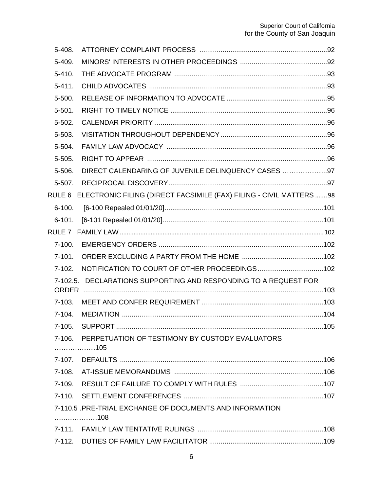| 5-408.            |                                                                      |  |
|-------------------|----------------------------------------------------------------------|--|
| 5-409.            |                                                                      |  |
| $5 - 410.$        |                                                                      |  |
| $5 - 411.$        |                                                                      |  |
| 5-500.            |                                                                      |  |
| $5 - 501.$        |                                                                      |  |
| 5-502.            |                                                                      |  |
| 5-503.            |                                                                      |  |
| 5-504.            |                                                                      |  |
| 5-505.            |                                                                      |  |
| 5-506.            | DIRECT CALENDARING OF JUVENILE DELINQUENCY CASES 97                  |  |
| 5-507.            |                                                                      |  |
| RULE 6            | ELECTRONIC FILING (DIRECT FACSIMILE (FAX) FILING - CIVIL MATTERS  98 |  |
| $6 - 100.$        |                                                                      |  |
| $6 - 101.$        |                                                                      |  |
| RULE <sub>7</sub> |                                                                      |  |
| $7 - 100.$        |                                                                      |  |
| $7 - 101.$        |                                                                      |  |
| $7-102.$          | NOTIFICATION TO COURT OF OTHER PROCEEDINGS102                        |  |
|                   | 7-102.5. DECLARATIONS SUPPORTING AND RESPONDING TO A REQUEST FOR     |  |
|                   |                                                                      |  |
| $7 - 103.$        |                                                                      |  |
| $7 - 104.$        |                                                                      |  |
| $7-105.$          |                                                                      |  |
| $7-106.$          | PERPETUATION OF TESTIMONY BY CUSTODY EVALUATORS<br>. 105             |  |
|                   |                                                                      |  |
|                   |                                                                      |  |
|                   |                                                                      |  |
| $7-110.$          |                                                                      |  |
|                   | 7-110.5 .PRE-TRIAL EXCHANGE OF DOCUMENTS AND INFORMATION             |  |
|                   | 108                                                                  |  |
|                   |                                                                      |  |
|                   |                                                                      |  |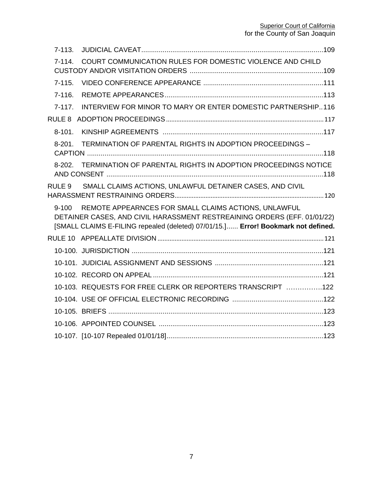| $7 - 113.$ |                                                                                                                                                                                                                       |  |
|------------|-----------------------------------------------------------------------------------------------------------------------------------------------------------------------------------------------------------------------|--|
| $7-114.$   | COURT COMMUNICATION RULES FOR DOMESTIC VIOLENCE AND CHILD                                                                                                                                                             |  |
| $7-115.$   |                                                                                                                                                                                                                       |  |
| $7-116.$   |                                                                                                                                                                                                                       |  |
| $7-117.$   | INTERVIEW FOR MINOR TO MARY OR ENTER DOMESTIC PARTNERSHIP116                                                                                                                                                          |  |
|            |                                                                                                                                                                                                                       |  |
| $8 - 101.$ |                                                                                                                                                                                                                       |  |
| $8-201$ .  | TERMINATION OF PARENTAL RIGHTS IN ADOPTION PROCEEDINGS -                                                                                                                                                              |  |
|            | 8-202. TERMINATION OF PARENTAL RIGHTS IN ADOPTION PROCEEDINGS NOTICE                                                                                                                                                  |  |
| RULE 9     | SMALL CLAIMS ACTIONS, UNLAWFUL DETAINER CASES, AND CIVIL                                                                                                                                                              |  |
| $9 - 100$  | REMOTE APPEARNCES FOR SMALL CLAIMS ACTIONS, UNLAWFUL<br>DETAINER CASES, AND CIVIL HARASSMENT RESTREAINING ORDERS (EFF. 01/01/22)<br>[SMALL CLAIMS E-FILING repealed (deleted) 07/01/15.] Error! Bookmark not defined. |  |
|            |                                                                                                                                                                                                                       |  |
|            |                                                                                                                                                                                                                       |  |
|            |                                                                                                                                                                                                                       |  |
|            |                                                                                                                                                                                                                       |  |
|            | 10-103. REQUESTS FOR FREE CLERK OR REPORTERS TRANSCRIPT 122                                                                                                                                                           |  |
|            |                                                                                                                                                                                                                       |  |
|            |                                                                                                                                                                                                                       |  |
|            |                                                                                                                                                                                                                       |  |
|            |                                                                                                                                                                                                                       |  |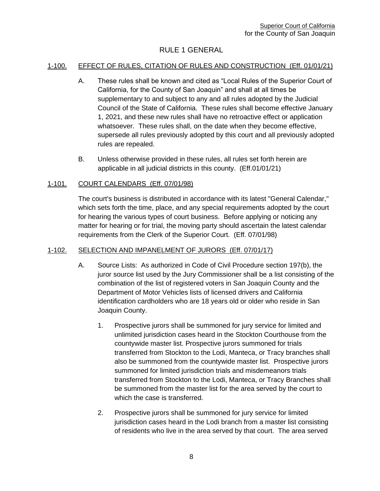## RULE 1 GENERAL

#### <span id="page-8-1"></span><span id="page-8-0"></span>1-100. EFFECT OF RULES, CITATION OF RULES AND CONSTRUCTION (Eff. 01/01/21)

- A. These rules shall be known and cited as "Local Rules of the Superior Court of California, for the County of San Joaquin" and shall at all times be supplementary to and subject to any and all rules adopted by the Judicial Council of the State of California. These rules shall become effective January 1, 2021, and these new rules shall have no retroactive effect or application whatsoever. These rules shall, on the date when they become effective, supersede all rules previously adopted by this court and all previously adopted rules are repealed.
- B. Unless otherwise provided in these rules, all rules set forth herein are applicable in all judicial districts in this county. (Eff.01/01/21)

#### <span id="page-8-2"></span>1-101. COURT CALENDARS (Eff. 07/01/98)

The court's business is distributed in accordance with its latest "General Calendar," which sets forth the time, place, and any special requirements adopted by the court for hearing the various types of court business. Before applying or noticing any matter for hearing or for trial, the moving party should ascertain the latest calendar requirements from the Clerk of the Superior Court. (Eff. 07/01/98)

#### <span id="page-8-3"></span>1-102. SELECTION AND IMPANELMENT OF JURORS (Eff. 07/01/17)

- A. Source Lists: As authorized in Code of Civil Procedure section 197(b), the juror source list used by the Jury Commissioner shall be a list consisting of the combination of the list of registered voters in San Joaquin County and the Department of Motor Vehicles lists of licensed drivers and California identification cardholders who are 18 years old or older who reside in San Joaquin County.
	- 1. Prospective jurors shall be summoned for jury service for limited and unlimited jurisdiction cases heard in the Stockton Courthouse from the countywide master list. Prospective jurors summoned for trials transferred from Stockton to the Lodi, Manteca, or Tracy branches shall also be summoned from the countywide master list. Prospective jurors summoned for limited jurisdiction trials and misdemeanors trials transferred from Stockton to the Lodi, Manteca, or Tracy Branches shall be summoned from the master list for the area served by the court to which the case is transferred.
	- 2. Prospective jurors shall be summoned for jury service for limited jurisdiction cases heard in the Lodi branch from a master list consisting of residents who live in the area served by that court. The area served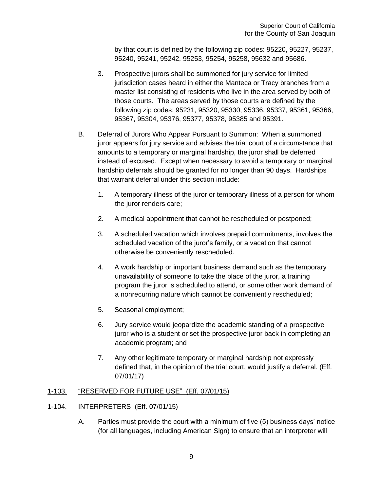by that court is defined by the following zip codes: 95220, 95227, 95237, 95240, 95241, 95242, 95253, 95254, 95258, 95632 and 95686.

- 3. Prospective jurors shall be summoned for jury service for limited jurisdiction cases heard in either the Manteca or Tracy branches from a master list consisting of residents who live in the area served by both of those courts. The areas served by those courts are defined by the following zip codes: 95231, 95320, 95330, 95336, 95337, 95361, 95366, 95367, 95304, 95376, 95377, 95378, 95385 and 95391.
- B. Deferral of Jurors Who Appear Pursuant to Summon: When a summoned juror appears for jury service and advises the trial court of a circumstance that amounts to a temporary or marginal hardship, the juror shall be deferred instead of excused. Except when necessary to avoid a temporary or marginal hardship deferrals should be granted for no longer than 90 days. Hardships that warrant deferral under this section include:
	- 1. A temporary illness of the juror or temporary illness of a person for whom the juror renders care;
	- 2. A medical appointment that cannot be rescheduled or postponed;
	- 3. A scheduled vacation which involves prepaid commitments, involves the scheduled vacation of the juror's family, or a vacation that cannot otherwise be conveniently rescheduled.
	- 4. A work hardship or important business demand such as the temporary unavailability of someone to take the place of the juror, a training program the juror is scheduled to attend, or some other work demand of a nonrecurring nature which cannot be conveniently rescheduled;
	- 5. Seasonal employment;
	- 6. Jury service would jeopardize the academic standing of a prospective juror who is a student or set the prospective juror back in completing an academic program; and
	- 7. Any other legitimate temporary or marginal hardship not expressly defined that, in the opinion of the trial court, would justify a deferral. (Eff. 07/01/17)

#### <span id="page-9-0"></span>1-103. "RESERVED FOR FUTURE USE" (Eff. 07/01/15)

#### <span id="page-9-1"></span>1-104. INTERPRETERS (Eff. 07/01/15)

A. Parties must provide the court with a minimum of five (5) business days' notice (for all languages, including American Sign) to ensure that an interpreter will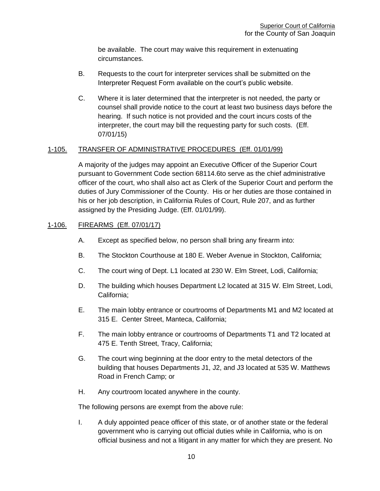be available. The court may waive this requirement in extenuating circumstances.

- B. Requests to the court for interpreter services shall be submitted on the Interpreter Request Form available on the court's public website.
- C. Where it is later determined that the interpreter is not needed, the party or counsel shall provide notice to the court at least two business days before the hearing. If such notice is not provided and the court incurs costs of the interpreter, the court may bill the requesting party for such costs. (Eff. 07/01/15)

#### <span id="page-10-0"></span>1-105. TRANSFER OF ADMINISTRATIVE PROCEDURES (Eff. 01/01/99)

A majority of the judges may appoint an Executive Officer of the Superior Court pursuant to Government Code section 68114.6to serve as the chief administrative officer of the court, who shall also act as Clerk of the Superior Court and perform the duties of Jury Commissioner of the County. His or her duties are those contained in his or her job description, in California Rules of Court, Rule 207, and as further assigned by the Presiding Judge. (Eff. 01/01/99).

#### <span id="page-10-1"></span>1-106. FIREARMS (Eff. 07/01/17)

- A. Except as specified below, no person shall bring any firearm into:
- B. The Stockton Courthouse at 180 E. Weber Avenue in Stockton, California;
- C. The court wing of Dept. L1 located at 230 W. Elm Street, Lodi, California;
- D. The building which houses Department L2 located at 315 W. Elm Street, Lodi, California;
- E. The main lobby entrance or courtrooms of Departments M1 and M2 located at 315 E. Center Street, Manteca, California;
- F. The main lobby entrance or courtrooms of Departments T1 and T2 located at 475 E. Tenth Street, Tracy, California;
- G. The court wing beginning at the door entry to the metal detectors of the building that houses Departments J1, J2, and J3 located at 535 W. Matthews Road in French Camp; or
- H. Any courtroom located anywhere in the county.

The following persons are exempt from the above rule:

I. A duly appointed peace officer of this state, or of another state or the federal government who is carrying out official duties while in California, who is on official business and not a litigant in any matter for which they are present. No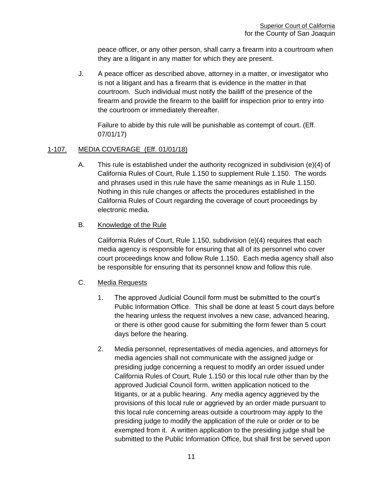peace officer, or any other person, shall carry a firearm into a courtroom when they are a litigant in any matter for which they are present.

J. A peace officer as described above, attorney in a matter, or investigator who is not a litigant and has a firearm that is evidence in the matter in that courtroom. Such individual must notify the bailiff of the presence of the firearm and provide the firearm to the bailiff for inspection prior to entry into the courtroom or immediately thereafter.

Failure to abide by this rule will be punishable as contempt of court. (Eff. 07/01/17)

### <span id="page-11-0"></span>1-107. MEDIA COVERAGE (Eff. 01/01/18)

A. This rule is established under the authority recognized in subdivision (e)(4) of California Rules of Court, Rule 1.150 to supplement Rule 1.150. The words and phrases used in this rule have the same meanings as in Rule 1.150. Nothing in this rule changes or affects the procedures established in the California Rules of Court regarding the coverage of court proceedings by electronic media.

### B. Knowledge of the Rule

California Rules of Court, Rule 1.150, subdivision (e)(4) requires that each media agency is responsible for ensuring that all of its personnel who cover court proceedings know and follow Rule 1.150. Each media agency shall also be responsible for ensuring that its personnel know and follow this rule.

#### C. Media Requests

- 1. The approved Judicial Council form must be submitted to the court's Public Information Office. This shall be done at least 5 court days before the hearing unless the request involves a new case, advanced hearing, or there is other good cause for submitting the form fewer than 5 court days before the hearing.
- 2. Media personnel, representatives of media agencies, and attorneys for media agencies shall not communicate with the assigned judge or presiding judge concerning a request to modify an order issued under California Rules of Court, Rule 1.150 or this local rule other than by the approved Judicial Council form, written application noticed to the litigants, or at a public hearing. Any media agency aggrieved by the provisions of this local rule or aggrieved by an order made pursuant to this local rule concerning areas outside a courtroom may apply to the presiding judge to modify the application of the rule or order or to be exempted from it. A written application to the presiding judge shall be submitted to the Public Information Office, but shall first be served upon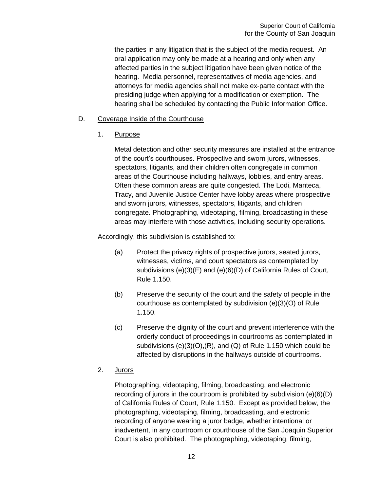the parties in any litigation that is the subject of the media request. An oral application may only be made at a hearing and only when any affected parties in the subject litigation have been given notice of the hearing. Media personnel, representatives of media agencies, and attorneys for media agencies shall not make ex-parte contact with the presiding judge when applying for a modification or exemption. The hearing shall be scheduled by contacting the Public Information Office.

#### D. Coverage Inside of the Courthouse

1. Purpose

Metal detection and other security measures are installed at the entrance of the court's courthouses. Prospective and sworn jurors, witnesses, spectators, litigants, and their children often congregate in common areas of the Courthouse including hallways, lobbies, and entry areas. Often these common areas are quite congested. The Lodi, Manteca, Tracy, and Juvenile Justice Center have lobby areas where prospective and sworn jurors, witnesses, spectators, litigants, and children congregate. Photographing, videotaping, filming, broadcasting in these areas may interfere with those activities, including security operations.

Accordingly, this subdivision is established to:

- (a) Protect the privacy rights of prospective jurors, seated jurors, witnesses, victims, and court spectators as contemplated by subdivisions (e)(3)(E) and (e)(6)(D) of California Rules of Court, Rule 1.150.
- (b) Preserve the security of the court and the safety of people in the courthouse as contemplated by subdivision (e)(3)(O) of Rule 1.150.
- (c) Preserve the dignity of the court and prevent interference with the orderly conduct of proceedings in courtrooms as contemplated in subdivisions (e)(3)(O),(R), and (Q) of Rule 1.150 which could be affected by disruptions in the hallways outside of courtrooms.

### 2. Jurors

Photographing, videotaping, filming, broadcasting, and electronic recording of jurors in the courtroom is prohibited by subdivision (e)(6)(D) of California Rules of Court, Rule 1.150. Except as provided below, the photographing, videotaping, filming, broadcasting, and electronic recording of anyone wearing a juror badge, whether intentional or inadvertent, in any courtroom or courthouse of the San Joaquin Superior Court is also prohibited. The photographing, videotaping, filming,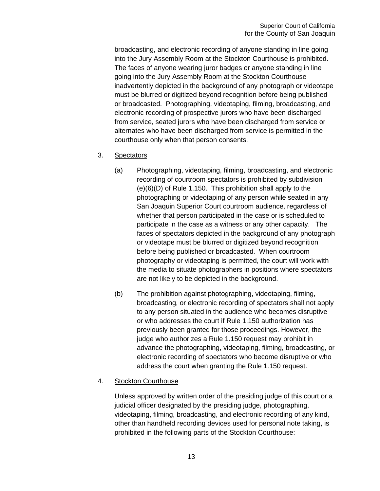broadcasting, and electronic recording of anyone standing in line going into the Jury Assembly Room at the Stockton Courthouse is prohibited. The faces of anyone wearing juror badges or anyone standing in line going into the Jury Assembly Room at the Stockton Courthouse inadvertently depicted in the background of any photograph or videotape must be blurred or digitized beyond recognition before being published or broadcasted. Photographing, videotaping, filming, broadcasting, and electronic recording of prospective jurors who have been discharged from service, seated jurors who have been discharged from service or alternates who have been discharged from service is permitted in the courthouse only when that person consents.

- 3. Spectators
	- (a) Photographing, videotaping, filming, broadcasting, and electronic recording of courtroom spectators is prohibited by subdivision (e)(6)(D) of Rule 1.150. This prohibition shall apply to the photographing or videotaping of any person while seated in any San Joaquin Superior Court courtroom audience, regardless of whether that person participated in the case or is scheduled to participate in the case as a witness or any other capacity. The faces of spectators depicted in the background of any photograph or videotape must be blurred or digitized beyond recognition before being published or broadcasted. When courtroom photography or videotaping is permitted, the court will work with the media to situate photographers in positions where spectators are not likely to be depicted in the background.
	- (b) The prohibition against photographing, videotaping, filming, broadcasting, or electronic recording of spectators shall not apply to any person situated in the audience who becomes disruptive or who addresses the court if Rule 1.150 authorization has previously been granted for those proceedings. However, the judge who authorizes a Rule 1.150 request may prohibit in advance the photographing, videotaping, filming, broadcasting, or electronic recording of spectators who become disruptive or who address the court when granting the Rule 1.150 request.

#### 4. Stockton Courthouse

Unless approved by written order of the presiding judge of this court or a judicial officer designated by the presiding judge, photographing, videotaping, filming, broadcasting, and electronic recording of any kind, other than handheld recording devices used for personal note taking, is prohibited in the following parts of the Stockton Courthouse: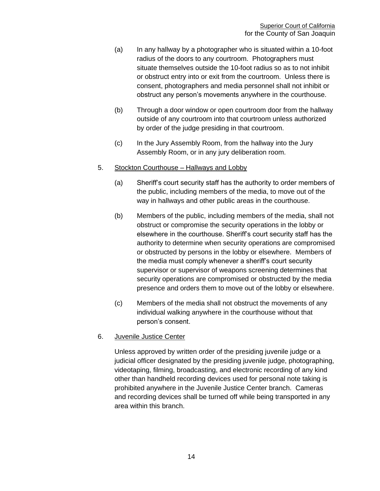- (a) In any hallway by a photographer who is situated within a 10-foot radius of the doors to any courtroom. Photographers must situate themselves outside the 10-foot radius so as to not inhibit or obstruct entry into or exit from the courtroom. Unless there is consent, photographers and media personnel shall not inhibit or obstruct any person's movements anywhere in the courthouse.
- (b) Through a door window or open courtroom door from the hallway outside of any courtroom into that courtroom unless authorized by order of the judge presiding in that courtroom.
- (c) In the Jury Assembly Room, from the hallway into the Jury Assembly Room, or in any jury deliberation room.

#### 5. Stockton Courthouse – Hallways and Lobby

- (a) Sheriff's court security staff has the authority to order members of the public, including members of the media, to move out of the way in hallways and other public areas in the courthouse.
- (b) Members of the public, including members of the media, shall not obstruct or compromise the security operations in the lobby or elsewhere in the courthouse. Sheriff's court security staff has the authority to determine when security operations are compromised or obstructed by persons in the lobby or elsewhere. Members of the media must comply whenever a sheriff's court security supervisor or supervisor of weapons screening determines that security operations are compromised or obstructed by the media presence and orders them to move out of the lobby or elsewhere.
- (c) Members of the media shall not obstruct the movements of any individual walking anywhere in the courthouse without that person's consent.

#### 6. Juvenile Justice Center

Unless approved by written order of the presiding juvenile judge or a judicial officer designated by the presiding juvenile judge, photographing, videotaping, filming, broadcasting, and electronic recording of any kind other than handheld recording devices used for personal note taking is prohibited anywhere in the Juvenile Justice Center branch. Cameras and recording devices shall be turned off while being transported in any area within this branch.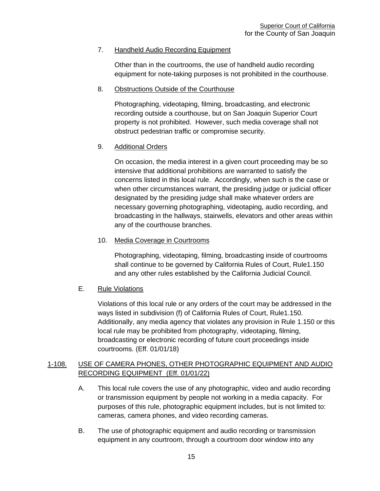#### 7. Handheld Audio Recording Equipment

Other than in the courtrooms, the use of handheld audio recording equipment for note-taking purposes is not prohibited in the courthouse.

#### 8. Obstructions Outside of the Courthouse

Photographing, videotaping, filming, broadcasting, and electronic recording outside a courthouse, but on San Joaquin Superior Court property is not prohibited. However, such media coverage shall not obstruct pedestrian traffic or compromise security.

### 9. Additional Orders

On occasion, the media interest in a given court proceeding may be so intensive that additional prohibitions are warranted to satisfy the concerns listed in this local rule. Accordingly, when such is the case or when other circumstances warrant, the presiding judge or judicial officer designated by the presiding judge shall make whatever orders are necessary governing photographing, videotaping, audio recording, and broadcasting in the hallways, stairwells, elevators and other areas within any of the courthouse branches.

### 10. Media Coverage in Courtrooms

Photographing, videotaping, filming, broadcasting inside of courtrooms shall continue to be governed by California Rules of Court, Rule1.150 and any other rules established by the California Judicial Council.

### E. Rule Violations

Violations of this local rule or any orders of the court may be addressed in the ways listed in subdivision (f) of California Rules of Court, Rule1.150. Additionally, any media agency that violates any provision in Rule 1.150 or this local rule may be prohibited from photography, videotaping, filming, broadcasting or electronic recording of future court proceedings inside courtrooms. (Eff. 01/01/18)

### 1-108. USE OF CAMERA PHONES, OTHER PHOTOGRAPHIC EQUIPMENT AND AUDIO RECORDING EQUIPMENT (Eff. 01/01/22)

- A. This local rule covers the use of any photographic, video and audio recording or transmission equipment by people not working in a media capacity. For purposes of this rule, photographic equipment includes, but is not limited to: cameras, camera phones, and video recording cameras.
- B. The use of photographic equipment and audio recording or transmission equipment in any courtroom, through a courtroom door window into any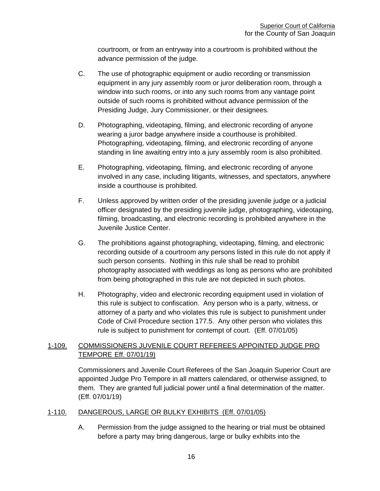courtroom, or from an entryway into a courtroom is prohibited without the advance permission of the judge.

- C. The use of photographic equipment or audio recording or transmission equipment in any jury assembly room or juror deliberation room, through a window into such rooms, or into any such rooms from any vantage point outside of such rooms is prohibited without advance permission of the Presiding Judge, Jury Commissioner, or their designees.
- D. Photographing, videotaping, filming, and electronic recording of anyone wearing a juror badge anywhere inside a courthouse is prohibited. Photographing, videotaping, filming, and electronic recording of anyone standing in line awaiting entry into a jury assembly room is also prohibited.
- E. Photographing, videotaping, filming, and electronic recording of anyone involved in any case, including litigants, witnesses, and spectators, anywhere inside a courthouse is prohibited.
- F. Unless approved by written order of the presiding juvenile judge or a judicial officer designated by the presiding juvenile judge, photographing, videotaping, filming, broadcasting, and electronic recording is prohibited anywhere in the Juvenile Justice Center.
- G. The prohibitions against photographing, videotaping, filming, and electronic recording outside of a courtroom any persons listed in this rule do not apply if such person consents. Nothing in this rule shall be read to prohibit photography associated with weddings as long as persons who are prohibited from being photographed in this rule are not depicted in such photos.
- H. Photography, video and electronic recording equipment used in violation of this rule is subject to confiscation. Any person who is a party, witness, or attorney of a party and who violates this rule is subject to punishment under Code of Civil Procedure section 177.5. Any other person who violates this rule is subject to punishment for contempt of court. (Eff. 07/01/05)

### <span id="page-16-0"></span>1-109. COMMISSIONERS JUVENILE COURT REFEREES APPOINTED JUDGE PRO TEMPORE Eff. 07/01/19)

Commissioners and Juvenile Court Referees of the San Joaquin Superior Court are appointed Judge Pro Tempore in all matters calendared, or otherwise assigned, to them. They are granted full judicial power until a final determination of the matter. (Eff. 07/01/19)

#### <span id="page-16-1"></span>1-110. DANGEROUS, LARGE OR BULKY EXHIBITS (Eff. 07/01/05)

A. Permission from the judge assigned to the hearing or trial must be obtained before a party may bring dangerous, large or bulky exhibits into the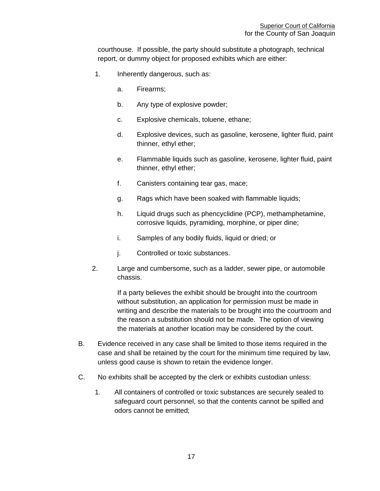courthouse. If possible, the party should substitute a photograph, technical report, or dummy object for proposed exhibits which are either:

- 1. Inherently dangerous, such as:
	- a. Firearms;
	- b. Any type of explosive powder;
	- c. Explosive chemicals, toluene, ethane;
	- d. Explosive devices, such as gasoline, kerosene, lighter fluid, paint thinner, ethyl ether;
	- e. Flammable liquids such as gasoline, kerosene, lighter fluid, paint thinner, ethyl ether;
	- f. Canisters containing tear gas, mace;
	- g. Rags which have been soaked with flammable liquids;
	- h. Liquid drugs such as phencyclidine (PCP), methamphetamine, corrosive liquids, pyramiding, morphine, or piper dine;
	- i. Samples of any bodily fluids, liquid or dried; or
	- j. Controlled or toxic substances.
- 2. Large and cumbersome, such as a ladder, sewer pipe, or automobile chassis.

If a party believes the exhibit should be brought into the courtroom without substitution, an application for permission must be made in writing and describe the materials to be brought into the courtroom and the reason a substitution should not be made. The option of viewing the materials at another location may be considered by the court.

- B. Evidence received in any case shall be limited to those items required in the case and shall be retained by the court for the minimum time required by law, unless good cause is shown to retain the evidence longer.
- C. No exhibits shall be accepted by the clerk or exhibits custodian unless:
	- 1. All containers of controlled or toxic substances are securely sealed to safeguard court personnel, so that the contents cannot be spilled and odors cannot be emitted;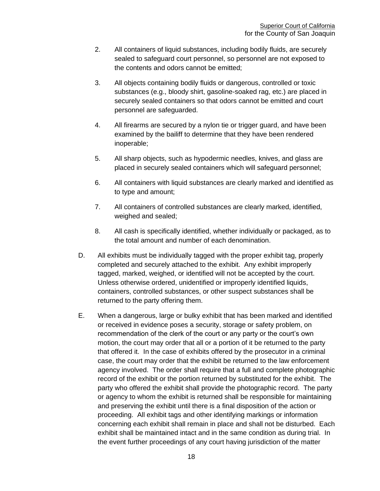- 2. All containers of liquid substances, including bodily fluids, are securely sealed to safeguard court personnel, so personnel are not exposed to the contents and odors cannot be emitted;
- 3. All objects containing bodily fluids or dangerous, controlled or toxic substances (e.g., bloody shirt, gasoline-soaked rag, etc.) are placed in securely sealed containers so that odors cannot be emitted and court personnel are safeguarded.
- 4. All firearms are secured by a nylon tie or trigger guard, and have been examined by the bailiff to determine that they have been rendered inoperable;
- 5. All sharp objects, such as hypodermic needles, knives, and glass are placed in securely sealed containers which will safeguard personnel;
- 6. All containers with liquid substances are clearly marked and identified as to type and amount;
- 7. All containers of controlled substances are clearly marked, identified, weighed and sealed;
- 8. All cash is specifically identified, whether individually or packaged, as to the total amount and number of each denomination.
- D. All exhibits must be individually tagged with the proper exhibit tag, properly completed and securely attached to the exhibit. Any exhibit improperly tagged, marked, weighed, or identified will not be accepted by the court. Unless otherwise ordered, unidentified or improperly identified liquids, containers, controlled substances, or other suspect substances shall be returned to the party offering them.
- E. When a dangerous, large or bulky exhibit that has been marked and identified or received in evidence poses a security, storage or safety problem, on recommendation of the clerk of the court or any party or the court's own motion, the court may order that all or a portion of it be returned to the party that offered it. In the case of exhibits offered by the prosecutor in a criminal case, the court may order that the exhibit be returned to the law enforcement agency involved. The order shall require that a full and complete photographic record of the exhibit or the portion returned by substituted for the exhibit. The party who offered the exhibit shall provide the photographic record. The party or agency to whom the exhibit is returned shall be responsible for maintaining and preserving the exhibit until there is a final disposition of the action or proceeding. All exhibit tags and other identifying markings or information concerning each exhibit shall remain in place and shall not be disturbed. Each exhibit shall be maintained intact and in the same condition as during trial. In the event further proceedings of any court having jurisdiction of the matter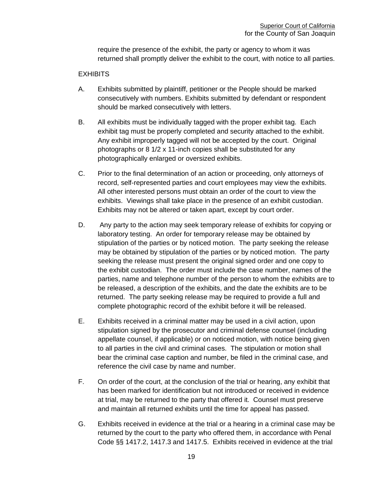require the presence of the exhibit, the party or agency to whom it was returned shall promptly deliver the exhibit to the court, with notice to all parties.

#### **EXHIBITS**

- A. Exhibits submitted by plaintiff, petitioner or the People should be marked consecutively with numbers. Exhibits submitted by defendant or respondent should be marked consecutively with letters.
- B. All exhibits must be individually tagged with the proper exhibit tag. Each exhibit tag must be properly completed and security attached to the exhibit. Any exhibit improperly tagged will not be accepted by the court. Original photographs or 8 1/2 x 11-inch copies shall be substituted for any photographically enlarged or oversized exhibits.
- C. Prior to the final determination of an action or proceeding, only attorneys of record, self-represented parties and court employees may view the exhibits. All other interested persons must obtain an order of the court to view the exhibits. Viewings shall take place in the presence of an exhibit custodian. Exhibits may not be altered or taken apart, except by court order.
- D. Any party to the action may seek temporary release of exhibits for copying or laboratory testing. An order for temporary release may be obtained by stipulation of the parties or by noticed motion. The party seeking the release may be obtained by stipulation of the parties or by noticed motion. The party seeking the release must present the original signed order and one copy to the exhibit custodian. The order must include the case number, names of the parties, name and telephone number of the person to whom the exhibits are to be released, a description of the exhibits, and the date the exhibits are to be returned. The party seeking release may be required to provide a full and complete photographic record of the exhibit before it will be released.
- E. Exhibits received in a criminal matter may be used in a civil action, upon stipulation signed by the prosecutor and criminal defense counsel (including appellate counsel, if applicable) or on noticed motion, with notice being given to all parties in the civil and criminal cases. The stipulation or motion shall bear the criminal case caption and number, be filed in the criminal case, and reference the civil case by name and number.
- F. On order of the court, at the conclusion of the trial or hearing, any exhibit that has been marked for identification but not introduced or received in evidence at trial, may be returned to the party that offered it. Counsel must preserve and maintain all returned exhibits until the time for appeal has passed.
- G. Exhibits received in evidence at the trial or a hearing in a criminal case may be returned by the court to the party who offered them, in accordance with Penal Code §§ 1417.2, 1417.3 and 1417.5. Exhibits received in evidence at the trial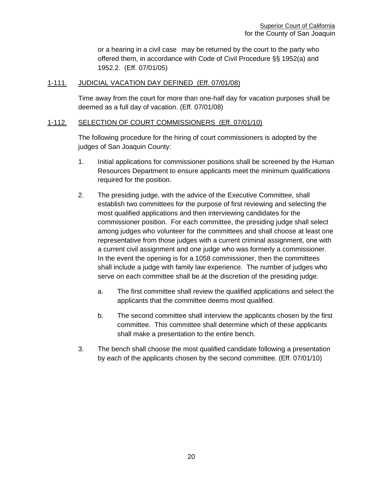or a hearing in a civil case may be returned by the court to the party who offered them, in accordance with Code of Civil Procedure §§ 1952(a) and 1952.2. (Eff. 07/01/05)

#### <span id="page-20-0"></span>1-111. JUDICIAL VACATION DAY DEFINED (Eff. 07/01/08)

Time away from the court for more than one-half day for vacation purposes shall be deemed as a full day of vacation. (Eff. 07/01/08)

#### <span id="page-20-1"></span>1-112. SELECTION OF COURT COMMISSIONERS (Eff. 07/01/10)

The following procedure for the hiring of court commissioners is adopted by the judges of San Joaquin County:

- 1. Initial applications for commissioner positions shall be screened by the Human Resources Department to ensure applicants meet the minimum qualifications required for the position.
- 2. The presiding judge, with the advice of the Executive Committee, shall establish two committees for the purpose of first reviewing and selecting the most qualified applications and then interviewing candidates for the commissioner position. For each committee, the presiding judge shall select among judges who volunteer for the committees and shall choose at least one representative from those judges with a current criminal assignment, one with a current civil assignment and one judge who was formerly a commissioner. In the event the opening is for a 1058 commissioner, then the committees shall include a judge with family law experience. The number of judges who serve on each committee shall be at the discretion of the presiding judge.
	- a. The first committee shall review the qualified applications and select the applicants that the committee deems most qualified.
	- b. The second committee shall interview the applicants chosen by the first committee. This committee shall determine which of these applicants shall make a presentation to the entire bench.
- 3. The bench shall choose the most qualified candidate following a presentation by each of the applicants chosen by the second committee. (Eff. 07/01/10)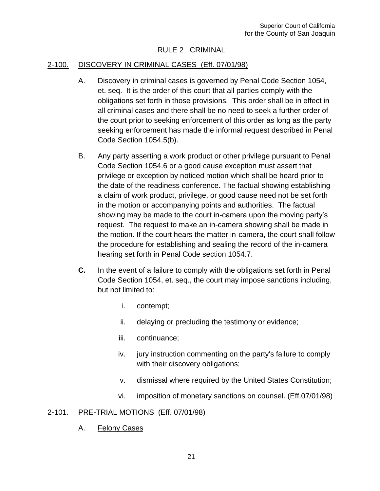### RULE 2 CRIMINAL

#### <span id="page-21-1"></span><span id="page-21-0"></span>2-100. DISCOVERY IN CRIMINAL CASES (Eff. 07/01/98)

- A. Discovery in criminal cases is governed by Penal Code Section 1054, et. seq. It is the order of this court that all parties comply with the obligations set forth in those provisions. This order shall be in effect in all criminal cases and there shall be no need to seek a further order of the court prior to seeking enforcement of this order as long as the party seeking enforcement has made the informal request described in Penal Code Section 1054.5(b).
- B. Any party asserting a work product or other privilege pursuant to Penal Code Section 1054.6 or a good cause exception must assert that privilege or exception by noticed motion which shall be heard prior to the date of the readiness conference. The factual showing establishing a claim of work product, privilege, or good cause need not be set forth in the motion or accompanying points and authorities. The factual showing may be made to the court in-camera upon the moving party's request. The request to make an in-camera showing shall be made in the motion. If the court hears the matter in-camera, the court shall follow the procedure for establishing and sealing the record of the in-camera hearing set forth in Penal Code section 1054.7.
- **C.** In the event of a failure to comply with the obligations set forth in Penal Code Section 1054, et. seq., the court may impose sanctions including, but not limited to:
	- i. contempt;
	- ii. delaying or precluding the testimony or evidence;
	- iii. continuance;
	- iv. jury instruction commenting on the party's failure to comply with their discovery obligations;
	- v. dismissal where required by the United States Constitution;
	- vi. imposition of monetary sanctions on counsel. (Eff.07/01/98)

### <span id="page-21-2"></span>2-101. PRE-TRIAL MOTIONS (Eff. 07/01/98)

A. Felony Cases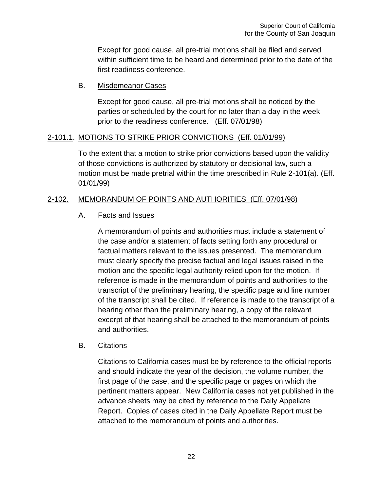Except for good cause, all pre-trial motions shall be filed and served within sufficient time to be heard and determined prior to the date of the first readiness conference.

### B. Misdemeanor Cases

Except for good cause, all pre-trial motions shall be noticed by the parties or scheduled by the court for no later than a day in the week prior to the readiness conference. (Eff. 07/01/98)

### <span id="page-22-0"></span>2-101.1. MOTIONS TO STRIKE PRIOR CONVICTIONS (Eff. 01/01/99)

To the extent that a motion to strike prior convictions based upon the validity of those convictions is authorized by statutory or decisional law, such a motion must be made pretrial within the time prescribed in Rule 2-101(a). (Eff. 01/01/99)

## <span id="page-22-1"></span>2-102. MEMORANDUM OF POINTS AND AUTHORITIES (Eff. 07/01/98)

### A. Facts and Issues

A memorandum of points and authorities must include a statement of the case and/or a statement of facts setting forth any procedural or factual matters relevant to the issues presented. The memorandum must clearly specify the precise factual and legal issues raised in the motion and the specific legal authority relied upon for the motion. If reference is made in the memorandum of points and authorities to the transcript of the preliminary hearing, the specific page and line number of the transcript shall be cited. If reference is made to the transcript of a hearing other than the preliminary hearing, a copy of the relevant excerpt of that hearing shall be attached to the memorandum of points and authorities.

#### B. Citations

Citations to California cases must be by reference to the official reports and should indicate the year of the decision, the volume number, the first page of the case, and the specific page or pages on which the pertinent matters appear. New California cases not yet published in the advance sheets may be cited by reference to the Daily Appellate Report. Copies of cases cited in the Daily Appellate Report must be attached to the memorandum of points and authorities.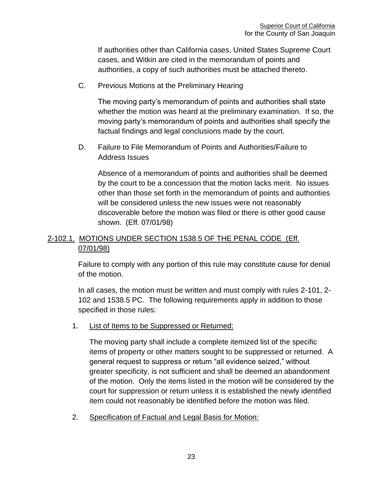If authorities other than California cases, United States Supreme Court cases, and Witkin are cited in the memorandum of points and authorities, a copy of such authorities must be attached thereto.

C. Previous Motions at the Preliminary Hearing

The moving party's memorandum of points and authorities shall state whether the motion was heard at the preliminary examination. If so, the moving party's memorandum of points and authorities shall specify the factual findings and legal conclusions made by the court.

D. Failure to File Memorandum of Points and Authorities/Failure to Address Issues

Absence of a memorandum of points and authorities shall be deemed by the court to be a concession that the motion lacks merit. No issues other than those set forth in the memorandum of points and authorities will be considered unless the new issues were not reasonably discoverable before the motion was filed or there is other good cause shown. (Eff. 07/01/98)

## <span id="page-23-0"></span>2-102.1. MOTIONS UNDER SECTION 1538.5 OF THE PENAL CODE (Eff. 07/01/98)

Failure to comply with any portion of this rule may constitute cause for denial of the motion.

In all cases, the motion must be written and must comply with rules 2-101, 2- 102 and 1538.5 PC. The following requirements apply in addition to those specified in those rules:

1. List of Items to be Suppressed or Returned:

The moving party shall include a complete itemized list of the specific items of property or other matters sought to be suppressed or returned. A general request to suppress or return "all evidence seized," without greater specificity, is not sufficient and shall be deemed an abandonment of the motion. Only the items listed in the motion will be considered by the court for suppression or return unless it is established the newly identified item could not reasonably be identified before the motion was filed.

2. Specification of Factual and Legal Basis for Motion: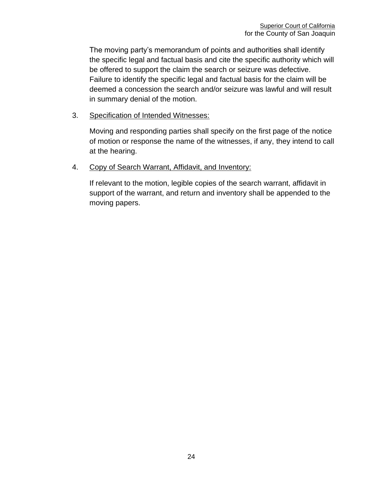The moving party's memorandum of points and authorities shall identify the specific legal and factual basis and cite the specific authority which will be offered to support the claim the search or seizure was defective. Failure to identify the specific legal and factual basis for the claim will be deemed a concession the search and/or seizure was lawful and will result in summary denial of the motion.

3. Specification of Intended Witnesses:

Moving and responding parties shall specify on the first page of the notice of motion or response the name of the witnesses, if any, they intend to call at the hearing.

### 4. Copy of Search Warrant, Affidavit, and Inventory:

If relevant to the motion, legible copies of the search warrant, affidavit in support of the warrant, and return and inventory shall be appended to the moving papers.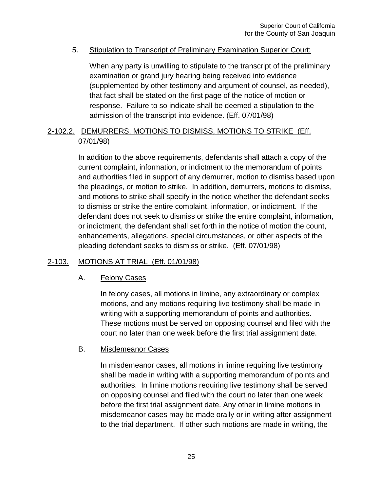### 5. Stipulation to Transcript of Preliminary Examination Superior Court:

When any party is unwilling to stipulate to the transcript of the preliminary examination or grand jury hearing being received into evidence (supplemented by other testimony and argument of counsel, as needed), that fact shall be stated on the first page of the notice of motion or response. Failure to so indicate shall be deemed a stipulation to the admission of the transcript into evidence. (Eff. 07/01/98)

## <span id="page-25-0"></span>2-102.2. DEMURRERS, MOTIONS TO DISMISS, MOTIONS TO STRIKE (Eff. 07/01/98)

In addition to the above requirements, defendants shall attach a copy of the current complaint, information, or indictment to the memorandum of points and authorities filed in support of any demurrer, motion to dismiss based upon the pleadings, or motion to strike. In addition, demurrers, motions to dismiss, and motions to strike shall specify in the notice whether the defendant seeks to dismiss or strike the entire complaint, information, or indictment. If the defendant does not seek to dismiss or strike the entire complaint, information, or indictment, the defendant shall set forth in the notice of motion the count, enhancements, allegations, special circumstances, or other aspects of the pleading defendant seeks to dismiss or strike. (Eff. 07/01/98)

### <span id="page-25-1"></span>2-103. MOTIONS AT TRIAL (Eff. 01/01/98)

### A. Felony Cases

In felony cases, all motions in limine, any extraordinary or complex motions, and any motions requiring live testimony shall be made in writing with a supporting memorandum of points and authorities. These motions must be served on opposing counsel and filed with the court no later than one week before the first trial assignment date.

#### B. Misdemeanor Cases

In misdemeanor cases, all motions in limine requiring live testimony shall be made in writing with a supporting memorandum of points and authorities. In limine motions requiring live testimony shall be served on opposing counsel and filed with the court no later than one week before the first trial assignment date. Any other in limine motions in misdemeanor cases may be made orally or in writing after assignment to the trial department. If other such motions are made in writing, the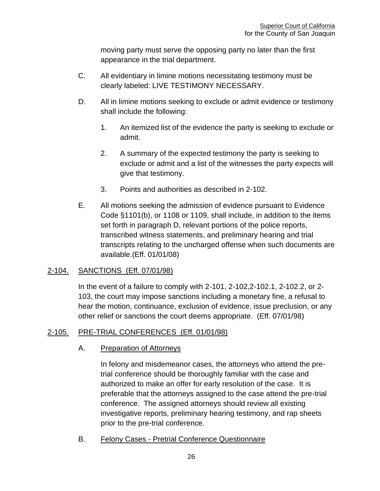moving party must serve the opposing party no later than the first appearance in the trial department.

- C. All evidentiary in limine motions necessitating testimony must be clearly labeled: LIVE TESTIMONY NECESSARY.
- D. All in limine motions seeking to exclude or admit evidence or testimony shall include the following:
	- 1. An itemized list of the evidence the party is seeking to exclude or admit.
	- 2. A summary of the expected testimony the party is seeking to exclude or admit and a list of the witnesses the party expects will give that testimony.
	- 3. Points and authorities as described in 2-102.
- E. All motions seeking the admission of evidence pursuant to Evidence Code §1101(b), or 1108 or 1109, shall include, in addition to the items set forth in paragraph D, relevant portions of the police reports, transcribed witness statements, and preliminary hearing and trial transcripts relating to the uncharged offense when such documents are available.(Eff. 01/01/08)

### <span id="page-26-0"></span>2-104. SANCTIONS (Eff. 07/01/98)

In the event of a failure to comply with 2-101, 2-102,2-102.1, 2-102.2, or 2- 103, the court may impose sanctions including a monetary fine, a refusal to hear the motion, continuance, exclusion of evidence, issue preclusion, or any other relief or sanctions the court deems appropriate. (Eff. 07/01/98)

## <span id="page-26-1"></span>2-105. PRE-TRIAL CONFERENCES (Eff. 01/01/98)

### A. Preparation of Attorneys

In felony and misdemeanor cases, the attorneys who attend the pretrial conference should be thoroughly familiar with the case and authorized to make an offer for early resolution of the case. It is preferable that the attorneys assigned to the case attend the pre-trial conference. The assigned attorneys should review all existing investigative reports, preliminary hearing testimony, and rap sheets prior to the pre-trial conference.

B. Felony Cases - Pretrial Conference Questionnaire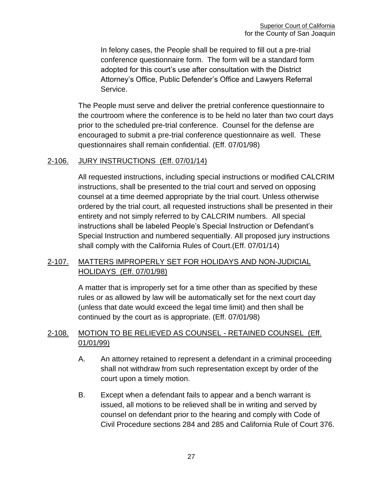In felony cases, the People shall be required to fill out a pre-trial conference questionnaire form. The form will be a standard form adopted for this court's use after consultation with the District Attorney's Office, Public Defender's Office and Lawyers Referral Service.

The People must serve and deliver the pretrial conference questionnaire to the courtroom where the conference is to be held no later than two court days prior to the scheduled pre-trial conference. Counsel for the defense are encouraged to submit a pre-trial conference questionnaire as well. These questionnaires shall remain confidential. (Eff. 07/01/98)

### <span id="page-27-0"></span>2-106. JURY INSTRUCTIONS (Eff. 07/01/14)

All requested instructions, including special instructions or modified CALCRIM instructions, shall be presented to the trial court and served on opposing counsel at a time deemed appropriate by the trial court. Unless otherwise ordered by the trial court, all requested instructions shall be presented in their entirety and not simply referred to by CALCRIM numbers. All special instructions shall be labeled People's Special Instruction or Defendant's Special Instruction and numbered sequentially. All proposed jury instructions shall comply with the California Rules of Court.(Eff. 07/01/14)

### <span id="page-27-1"></span>2-107. MATTERS IMPROPERLY SET FOR HOLIDAYS AND NON-JUDICIAL HOLIDAYS (Eff. 07/01/98)

A matter that is improperly set for a time other than as specified by these rules or as allowed by law will be automatically set for the next court day (unless that date would exceed the legal time limit) and then shall be continued by the court as is appropriate. (Eff. 07/01/98)

## <span id="page-27-2"></span>2-108. MOTION TO BE RELIEVED AS COUNSEL - RETAINED COUNSEL (Eff. 01/01/99)

- A. An attorney retained to represent a defendant in a criminal proceeding shall not withdraw from such representation except by order of the court upon a timely motion.
- B. Except when a defendant fails to appear and a bench warrant is issued, all motions to be relieved shall be in writing and served by counsel on defendant prior to the hearing and comply with Code of Civil Procedure sections 284 and 285 and California Rule of Court 376.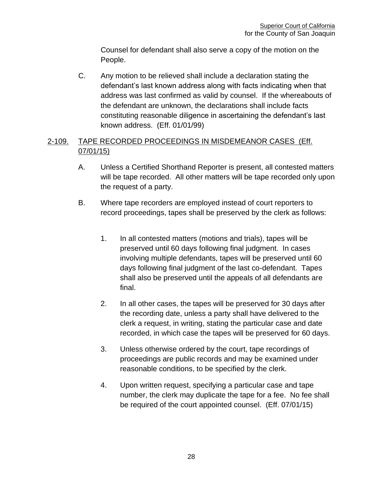Counsel for defendant shall also serve a copy of the motion on the People.

C. Any motion to be relieved shall include a declaration stating the defendant's last known address along with facts indicating when that address was last confirmed as valid by counsel. If the whereabouts of the defendant are unknown, the declarations shall include facts constituting reasonable diligence in ascertaining the defendant's last known address. (Eff. 01/01/99)

## <span id="page-28-0"></span>2-109. TAPE RECORDED PROCEEDINGS IN MISDEMEANOR CASES (Eff. 07/01/15)

- A. Unless a Certified Shorthand Reporter is present, all contested matters will be tape recorded. All other matters will be tape recorded only upon the request of a party.
- B. Where tape recorders are employed instead of court reporters to record proceedings, tapes shall be preserved by the clerk as follows:
	- 1. In all contested matters (motions and trials), tapes will be preserved until 60 days following final judgment. In cases involving multiple defendants, tapes will be preserved until 60 days following final judgment of the last co-defendant. Tapes shall also be preserved until the appeals of all defendants are final.
	- 2. In all other cases, the tapes will be preserved for 30 days after the recording date, unless a party shall have delivered to the clerk a request, in writing, stating the particular case and date recorded, in which case the tapes will be preserved for 60 days.
	- 3. Unless otherwise ordered by the court, tape recordings of proceedings are public records and may be examined under reasonable conditions, to be specified by the clerk.
	- 4. Upon written request, specifying a particular case and tape number, the clerk may duplicate the tape for a fee. No fee shall be required of the court appointed counsel. (Eff. 07/01/15)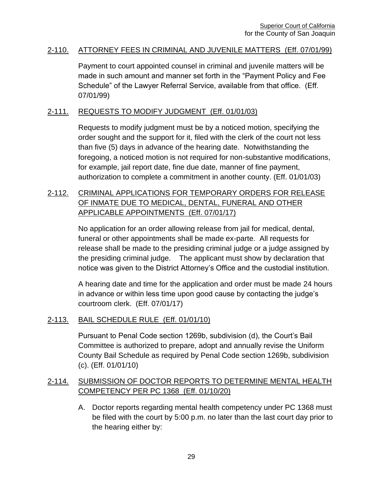#### <span id="page-29-0"></span>2-110. ATTORNEY FEES IN CRIMINAL AND JUVENILE MATTERS (Eff. 07/01/99)

Payment to court appointed counsel in criminal and juvenile matters will be made in such amount and manner set forth in the "Payment Policy and Fee Schedule" of the Lawyer Referral Service, available from that office. (Eff. 07/01/99)

### <span id="page-29-1"></span>2-111. REQUESTS TO MODIFY JUDGMENT (Eff. 01/01/03)

Requests to modify judgment must be by a noticed motion, specifying the order sought and the support for it, filed with the clerk of the court not less than five (5) days in advance of the hearing date. Notwithstanding the foregoing, a noticed motion is not required for non-substantive modifications, for example, jail report date, fine due date, manner of fine payment, authorization to complete a commitment in another county. (Eff. 01/01/03)

## <span id="page-29-2"></span>2-112. CRIMINAL APPLICATIONS FOR TEMPORARY ORDERS FOR RELEASE OF INMATE DUE TO MEDICAL, DENTAL, FUNERAL AND OTHER APPLICABLE APPOINTMENTS (Eff. 07/01/17)

No application for an order allowing release from jail for medical, dental, funeral or other appointments shall be made ex-parte. All requests for release shall be made to the presiding criminal judge or a judge assigned by the presiding criminal judge. The applicant must show by declaration that notice was given to the District Attorney's Office and the custodial institution.

A hearing date and time for the application and order must be made 24 hours in advance or within less time upon good cause by contacting the judge's courtroom clerk. (Eff. 07/01/17)

### <span id="page-29-3"></span>2-113. BAIL SCHEDULE RULE (Eff. 01/01/10)

Pursuant to Penal Code section 1269b, subdivision (d), the Court's Bail Committee is authorized to prepare, adopt and annually revise the Uniform County Bail Schedule as required by Penal Code section 1269b, subdivision (c). (Eff. 01/01/10)

## <span id="page-29-4"></span>2-114. SUBMISSION OF DOCTOR REPORTS TO DETERMINE MENTAL HEALTH COMPETENCY PER PC 1368 (Eff. 01/10/20)

A. Doctor reports regarding mental health competency under PC 1368 must be filed with the court by 5:00 p.m. no later than the last court day prior to the hearing either by: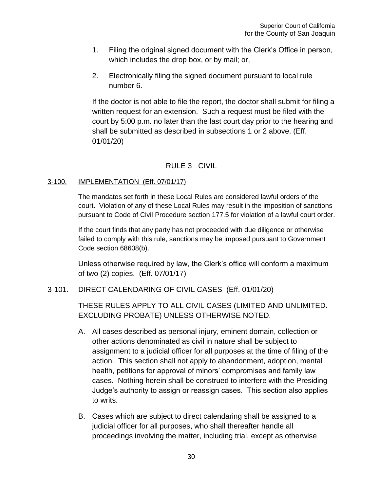- 1. Filing the original signed document with the Clerk's Office in person, which includes the drop box, or by mail; or,
- 2. Electronically filing the signed document pursuant to local rule number 6.

If the doctor is not able to file the report, the doctor shall submit for filing a written request for an extension. Such a request must be filed with the court by 5:00 p.m. no later than the last court day prior to the hearing and shall be submitted as described in subsections 1 or 2 above. (Eff. 01/01/20)

## RULE 3 CIVIL

#### <span id="page-30-1"></span><span id="page-30-0"></span>3-100. IMPLEMENTATION (Eff. 07/01/17)

The mandates set forth in these Local Rules are considered lawful orders of the court. Violation of any of these Local Rules may result in the imposition of sanctions pursuant to Code of Civil Procedure section 177.5 for violation of a lawful court order.

If the court finds that any party has not proceeded with due diligence or otherwise failed to comply with this rule, sanctions may be imposed pursuant to Government Code section 68608(b).

Unless otherwise required by law, the Clerk's office will conform a maximum of two (2) copies. (Eff. 07/01/17)

#### <span id="page-30-2"></span>3-101. DIRECT CALENDARING OF CIVIL CASES (Eff. 01/01/20)

THESE RULES APPLY TO ALL CIVIL CASES (LIMITED AND UNLIMITED. EXCLUDING PROBATE) UNLESS OTHERWISE NOTED.

- A. All cases described as personal injury, eminent domain, collection or other actions denominated as civil in nature shall be subject to assignment to a judicial officer for all purposes at the time of filing of the action. This section shall not apply to abandonment, adoption, mental health, petitions for approval of minors' compromises and family law cases. Nothing herein shall be construed to interfere with the Presiding Judge's authority to assign or reassign cases. This section also applies to writs.
- B. Cases which are subject to direct calendaring shall be assigned to a judicial officer for all purposes, who shall thereafter handle all proceedings involving the matter, including trial, except as otherwise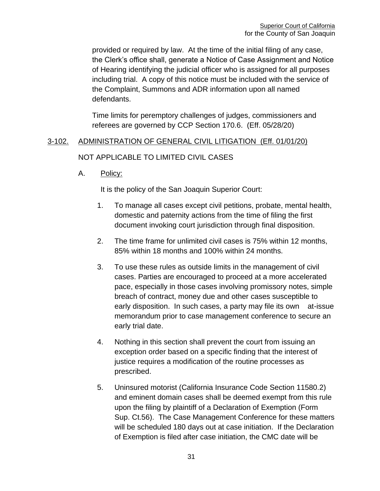provided or required by law. At the time of the initial filing of any case, the Clerk's office shall, generate a Notice of Case Assignment and Notice of Hearing identifying the judicial officer who is assigned for all purposes including trial. A copy of this notice must be included with the service of the Complaint, Summons and ADR information upon all named defendants.

Time limits for peremptory challenges of judges, commissioners and referees are governed by CCP Section 170.6. (Eff. 05/28/20)

# <span id="page-31-0"></span>3-102. ADMINISTRATION OF GENERAL CIVIL LITIGATION (Eff. 01/01/20)

### NOT APPLICABLE TO LIMITED CIVIL CASES

A. Policy:

It is the policy of the San Joaquin Superior Court:

- 1. To manage all cases except civil petitions, probate, mental health, domestic and paternity actions from the time of filing the first document invoking court jurisdiction through final disposition.
- 2. The time frame for unlimited civil cases is 75% within 12 months, 85% within 18 months and 100% within 24 months.
- 3. To use these rules as outside limits in the management of civil cases. Parties are encouraged to proceed at a more accelerated pace, especially in those cases involving promissory notes, simple breach of contract, money due and other cases susceptible to early disposition. In such cases, a party may file its own at-issue memorandum prior to case management conference to secure an early trial date.
- 4. Nothing in this section shall prevent the court from issuing an exception order based on a specific finding that the interest of justice requires a modification of the routine processes as prescribed.
- 5. Uninsured motorist (California Insurance Code Section 11580.2) and eminent domain cases shall be deemed exempt from this rule upon the filing by plaintiff of a Declaration of Exemption (Form Sup. Ct.56). The Case Management Conference for these matters will be scheduled 180 days out at case initiation. If the Declaration of Exemption is filed after case initiation, the CMC date will be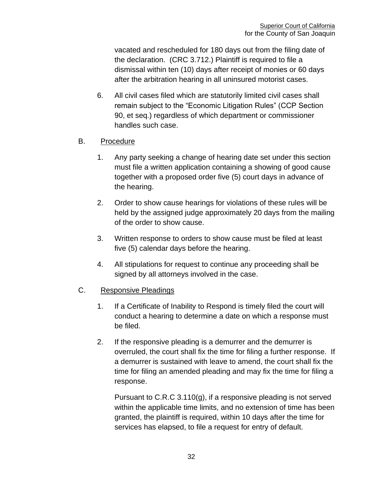vacated and rescheduled for 180 days out from the filing date of the declaration. (CRC 3.712.) Plaintiff is required to file a dismissal within ten (10) days after receipt of monies or 60 days after the arbitration hearing in all uninsured motorist cases.

6. All civil cases filed which are statutorily limited civil cases shall remain subject to the "Economic Litigation Rules" (CCP Section 90, et seq.) regardless of which department or commissioner handles such case.

## B. Procedure

- 1. Any party seeking a change of hearing date set under this section must file a written application containing a showing of good cause together with a proposed order five (5) court days in advance of the hearing.
- 2. Order to show cause hearings for violations of these rules will be held by the assigned judge approximately 20 days from the mailing of the order to show cause.
- 3. Written response to orders to show cause must be filed at least five (5) calendar days before the hearing.
- 4. All stipulations for request to continue any proceeding shall be signed by all attorneys involved in the case.

### C. Responsive Pleadings

- 1. If a Certificate of Inability to Respond is timely filed the court will conduct a hearing to determine a date on which a response must be filed.
- 2. If the responsive pleading is a demurrer and the demurrer is overruled, the court shall fix the time for filing a further response. If a demurrer is sustained with leave to amend, the court shall fix the time for filing an amended pleading and may fix the time for filing a response.

Pursuant to C.R.C 3.110(g), if a responsive pleading is not served within the applicable time limits, and no extension of time has been granted, the plaintiff is required, within 10 days after the time for services has elapsed, to file a request for entry of default.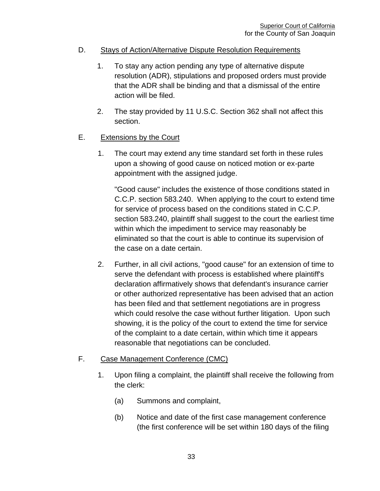### D. Stays of Action/Alternative Dispute Resolution Requirements

- 1. To stay any action pending any type of alternative dispute resolution (ADR), stipulations and proposed orders must provide that the ADR shall be binding and that a dismissal of the entire action will be filed.
- 2. The stay provided by 11 U.S.C. Section 362 shall not affect this section.

## E. Extensions by the Court

1. The court may extend any time standard set forth in these rules upon a showing of good cause on noticed motion or ex-parte appointment with the assigned judge.

"Good cause" includes the existence of those conditions stated in C.C.P. section 583.240. When applying to the court to extend time for service of process based on the conditions stated in C.C.P. section 583.240, plaintiff shall suggest to the court the earliest time within which the impediment to service may reasonably be eliminated so that the court is able to continue its supervision of the case on a date certain.

2. Further, in all civil actions, "good cause" for an extension of time to serve the defendant with process is established where plaintiff's declaration affirmatively shows that defendant's insurance carrier or other authorized representative has been advised that an action has been filed and that settlement negotiations are in progress which could resolve the case without further litigation. Upon such showing, it is the policy of the court to extend the time for service of the complaint to a date certain, within which time it appears reasonable that negotiations can be concluded.

### F. Case Management Conference (CMC)

- 1. Upon filing a complaint, the plaintiff shall receive the following from the clerk:
	- (a) Summons and complaint,
	- (b) Notice and date of the first case management conference (the first conference will be set within 180 days of the filing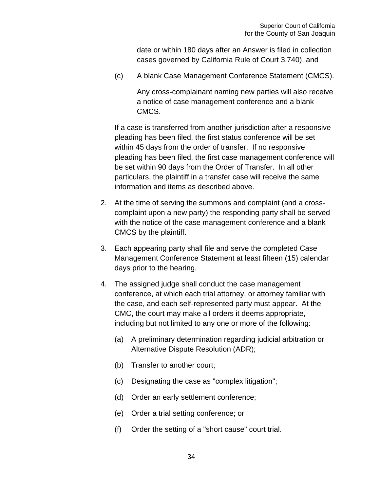date or within 180 days after an Answer is filed in collection cases governed by California Rule of Court 3.740), and

(c) A blank Case Management Conference Statement (CMCS).

Any cross-complainant naming new parties will also receive a notice of case management conference and a blank CMCS.

If a case is transferred from another jurisdiction after a responsive pleading has been filed, the first status conference will be set within 45 days from the order of transfer. If no responsive pleading has been filed, the first case management conference will be set within 90 days from the Order of Transfer. In all other particulars, the plaintiff in a transfer case will receive the same information and items as described above.

- 2. At the time of serving the summons and complaint (and a crosscomplaint upon a new party) the responding party shall be served with the notice of the case management conference and a blank CMCS by the plaintiff.
- 3. Each appearing party shall file and serve the completed Case Management Conference Statement at least fifteen (15) calendar days prior to the hearing.
- 4. The assigned judge shall conduct the case management conference, at which each trial attorney, or attorney familiar with the case, and each self-represented party must appear. At the CMC, the court may make all orders it deems appropriate, including but not limited to any one or more of the following:
	- (a) A preliminary determination regarding judicial arbitration or Alternative Dispute Resolution (ADR);
	- (b) Transfer to another court;
	- (c) Designating the case as "complex litigation";
	- (d) Order an early settlement conference;
	- (e) Order a trial setting conference; or
	- (f) Order the setting of a "short cause" court trial.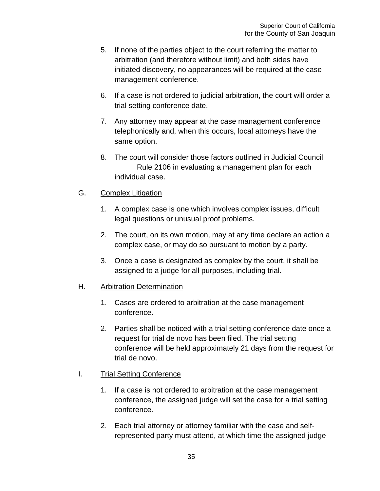- 5. If none of the parties object to the court referring the matter to arbitration (and therefore without limit) and both sides have initiated discovery, no appearances will be required at the case management conference.
- 6. If a case is not ordered to judicial arbitration, the court will order a trial setting conference date.
- 7. Any attorney may appear at the case management conference telephonically and, when this occurs, local attorneys have the same option.
- 8. The court will consider those factors outlined in Judicial Council Rule 2106 in evaluating a management plan for each individual case.

### G. Complex Litigation

- 1. A complex case is one which involves complex issues, difficult legal questions or unusual proof problems.
- 2. The court, on its own motion, may at any time declare an action a complex case, or may do so pursuant to motion by a party.
- 3. Once a case is designated as complex by the court, it shall be assigned to a judge for all purposes, including trial.
- H. Arbitration Determination
	- 1. Cases are ordered to arbitration at the case management conference.
	- 2. Parties shall be noticed with a trial setting conference date once a request for trial de novo has been filed. The trial setting conference will be held approximately 21 days from the request for trial de novo.

### I. Trial Setting Conference

- 1. If a case is not ordered to arbitration at the case management conference, the assigned judge will set the case for a trial setting conference.
- 2. Each trial attorney or attorney familiar with the case and selfrepresented party must attend, at which time the assigned judge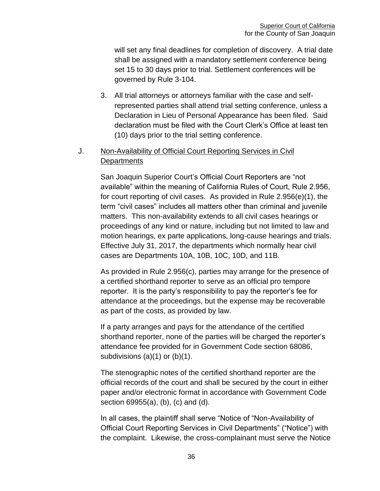will set any final deadlines for completion of discovery. A trial date shall be assigned with a mandatory settlement conference being set 15 to 30 days prior to trial. Settlement conferences will be governed by Rule 3-104.

3. All trial attorneys or attorneys familiar with the case and selfrepresented parties shall attend trial setting conference, unless a Declaration in Lieu of Personal Appearance has been filed. Said declaration must be filed with the Court Clerk's Office at least ten (10) days prior to the trial setting conference.

# J. Non-Availability of Official Court Reporting Services in Civil **Departments**

San Joaquin Superior Court's Official Court Reporters are "not available" within the meaning of California Rules of Court, Rule 2.956, for court reporting of civil cases. As provided in Rule 2.956(e)(1), the term "civil cases" includes all matters other than criminal and juvenile matters. This non-availability extends to all civil cases hearings or proceedings of any kind or nature, including but not limited to law and motion hearings, ex parte applications, long-cause hearings and trials. Effective July 31, 2017, the departments which normally hear civil cases are Departments 10A, 10B, 10C, 10D, and 11B.

As provided in Rule 2.956(c), parties may arrange for the presence of a certified shorthand reporter to serve as an official pro tempore reporter. It is the party's responsibility to pay the reporter's fee for attendance at the proceedings, but the expense may be recoverable as part of the costs, as provided by law.

If a party arranges and pays for the attendance of the certified shorthand reporter, none of the parties will be charged the reporter's attendance fee provided for in Government Code section 68086, subdivisions (a)(1) or (b)(1).

The stenographic notes of the certified shorthand reporter are the official records of the court and shall be secured by the court in either paper and/or electronic format in accordance with Government Code section 69955(a), (b), (c) and (d).

In all cases, the plaintiff shall serve "Notice of "Non-Availability of Official Court Reporting Services in Civil Departments" ("Notice") with the complaint. Likewise, the cross-complainant must serve the Notice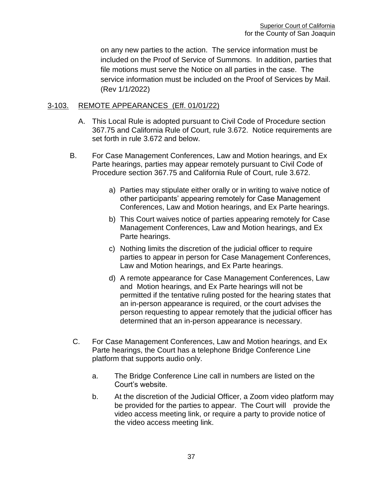on any new parties to the action. The service information must be included on the Proof of Service of Summons. In addition, parties that file motions must serve the Notice on all parties in the case. The service information must be included on the Proof of Services by Mail. (Rev 1/1/2022)

#### 3-103. REMOTE APPEARANCES (Eff. 01/01/22)

- A. This Local Rule is adopted pursuant to Civil Code of Procedure section 367.75 and California Rule of Court, rule 3.672. Notice requirements are set forth in rule 3.672 and below.
- B. For Case Management Conferences, Law and Motion hearings, and Ex Parte hearings, parties may appear remotely pursuant to Civil Code of Procedure section 367.75 and California Rule of Court, rule 3.672.
	- a) Parties may stipulate either orally or in writing to waive notice of other participants' appearing remotely for Case Management Conferences, Law and Motion hearings, and Ex Parte hearings.
	- b) This Court waives notice of parties appearing remotely for Case Management Conferences, Law and Motion hearings, and Ex Parte hearings.
	- c) Nothing limits the discretion of the judicial officer to require parties to appear in person for Case Management Conferences, Law and Motion hearings, and Ex Parte hearings.
	- d) A remote appearance for Case Management Conferences, Law and Motion hearings, and Ex Parte hearings will not be permitted if the tentative ruling posted for the hearing states that an in-person appearance is required, or the court advises the person requesting to appear remotely that the judicial officer has determined that an in-person appearance is necessary.
- C. For Case Management Conferences, Law and Motion hearings, and Ex Parte hearings, the Court has a telephone Bridge Conference Line platform that supports audio only.
	- a. The Bridge Conference Line call in numbers are listed on the Court's website.
	- b. At the discretion of the Judicial Officer, a Zoom video platform may be provided for the parties to appear. The Court will provide the video access meeting link, or require a party to provide notice of the video access meeting link.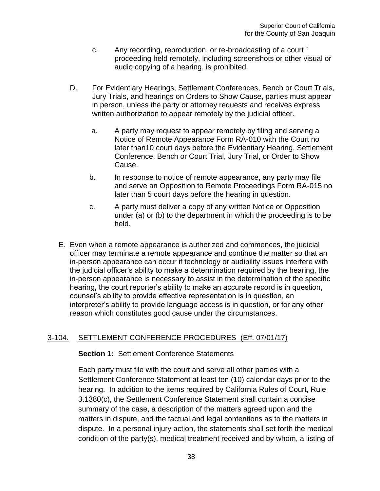- c. Any recording, reproduction, or re-broadcasting of a court ` proceeding held remotely, including screenshots or other visual or audio copying of a hearing, is prohibited.
- D. For Evidentiary Hearings, Settlement Conferences, Bench or Court Trials, Jury Trials, and hearings on Orders to Show Cause, parties must appear in person, unless the party or attorney requests and receives express written authorization to appear remotely by the judicial officer.
	- a. A party may request to appear remotely by filing and serving a Notice of Remote Appearance Form RA-010 with the Court no later than10 court days before the Evidentiary Hearing, Settlement Conference, Bench or Court Trial, Jury Trial, or Order to Show Cause.
	- b. In response to notice of remote appearance, any party may file and serve an Opposition to Remote Proceedings Form RA-015 no later than 5 court days before the hearing in question.
	- c. A party must deliver a copy of any written Notice or Opposition under (a) or (b) to the department in which the proceeding is to be held.
- E. Even when a remote appearance is authorized and commences, the judicial officer may terminate a remote appearance and continue the matter so that an in-person appearance can occur if technology or audibility issues interfere with the judicial officer's ability to make a determination required by the hearing, the in-person appearance is necessary to assist in the determination of the specific hearing, the court reporter's ability to make an accurate record is in question, counsel's ability to provide effective representation is in question, an interpreter's ability to provide language access is in question, or for any other reason which constitutes good cause under the circumstances.

## 3-104. SETTLEMENT CONFERENCE PROCEDURES (Eff. 07/01/17)

#### **Section 1:** Settlement Conference Statements

Each party must file with the court and serve all other parties with a Settlement Conference Statement at least ten (10) calendar days prior to the hearing. In addition to the items required by California Rules of Court, Rule 3.1380(c), the Settlement Conference Statement shall contain a concise summary of the case, a description of the matters agreed upon and the matters in dispute, and the factual and legal contentions as to the matters in dispute. In a personal injury action, the statements shall set forth the medical condition of the party(s), medical treatment received and by whom, a listing of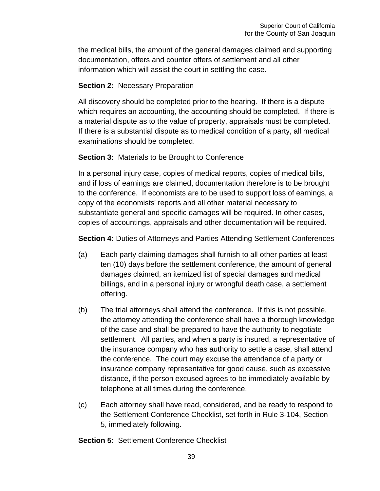the medical bills, the amount of the general damages claimed and supporting documentation, offers and counter offers of settlement and all other information which will assist the court in settling the case.

## **Section 2:** Necessary Preparation

All discovery should be completed prior to the hearing. If there is a dispute which requires an accounting, the accounting should be completed. If there is a material dispute as to the value of property, appraisals must be completed. If there is a substantial dispute as to medical condition of a party, all medical examinations should be completed.

# **Section 3:** Materials to be Brought to Conference

In a personal injury case, copies of medical reports, copies of medical bills, and if loss of earnings are claimed, documentation therefore is to be brought to the conference. If economists are to be used to support loss of earnings, a copy of the economists' reports and all other material necessary to substantiate general and specific damages will be required. In other cases, copies of accountings, appraisals and other documentation will be required.

**Section 4: Duties of Attorneys and Parties Attending Settlement Conferences** 

- (a) Each party claiming damages shall furnish to all other parties at least ten (10) days before the settlement conference, the amount of general damages claimed, an itemized list of special damages and medical billings, and in a personal injury or wrongful death case, a settlement offering.
- (b) The trial attorneys shall attend the conference. If this is not possible, the attorney attending the conference shall have a thorough knowledge of the case and shall be prepared to have the authority to negotiate settlement. All parties, and when a party is insured, a representative of the insurance company who has authority to settle a case, shall attend the conference. The court may excuse the attendance of a party or insurance company representative for good cause, such as excessive distance, if the person excused agrees to be immediately available by telephone at all times during the conference.
- (c) Each attorney shall have read, considered, and be ready to respond to the Settlement Conference Checklist, set forth in Rule 3-104, Section 5, immediately following.

**Section 5:** Settlement Conference Checklist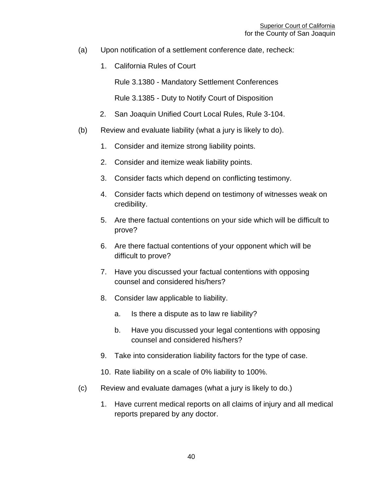- (a) Upon notification of a settlement conference date, recheck:
	- 1. California Rules of Court

Rule 3.1380 - Mandatory Settlement Conferences

Rule 3.1385 - Duty to Notify Court of Disposition

- 2. San Joaquin Unified Court Local Rules, Rule 3-104.
- (b) Review and evaluate liability (what a jury is likely to do).
	- 1. Consider and itemize strong liability points.
	- 2. Consider and itemize weak liability points.
	- 3. Consider facts which depend on conflicting testimony.
	- 4. Consider facts which depend on testimony of witnesses weak on credibility.
	- 5. Are there factual contentions on your side which will be difficult to prove?
	- 6. Are there factual contentions of your opponent which will be difficult to prove?
	- 7. Have you discussed your factual contentions with opposing counsel and considered his/hers?
	- 8. Consider law applicable to liability.
		- a. Is there a dispute as to law re liability?
		- b. Have you discussed your legal contentions with opposing counsel and considered his/hers?
	- 9. Take into consideration liability factors for the type of case.
	- 10. Rate liability on a scale of 0% liability to 100%.
- (c) Review and evaluate damages (what a jury is likely to do.)
	- 1. Have current medical reports on all claims of injury and all medical reports prepared by any doctor.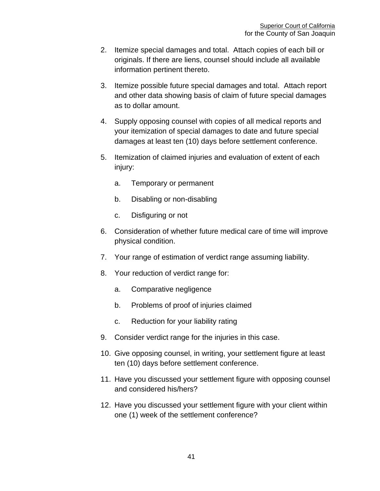- 2. Itemize special damages and total. Attach copies of each bill or originals. If there are liens, counsel should include all available information pertinent thereto.
- 3. Itemize possible future special damages and total. Attach report and other data showing basis of claim of future special damages as to dollar amount.
- 4. Supply opposing counsel with copies of all medical reports and your itemization of special damages to date and future special damages at least ten (10) days before settlement conference.
- 5. Itemization of claimed injuries and evaluation of extent of each injury:
	- a. Temporary or permanent
	- b. Disabling or non-disabling
	- c. Disfiguring or not
- 6. Consideration of whether future medical care of time will improve physical condition.
- 7. Your range of estimation of verdict range assuming liability.
- 8. Your reduction of verdict range for:
	- a. Comparative negligence
	- b. Problems of proof of injuries claimed
	- c. Reduction for your liability rating
- 9. Consider verdict range for the injuries in this case.
- 10. Give opposing counsel, in writing, your settlement figure at least ten (10) days before settlement conference.
- 11. Have you discussed your settlement figure with opposing counsel and considered his/hers?
- 12. Have you discussed your settlement figure with your client within one (1) week of the settlement conference?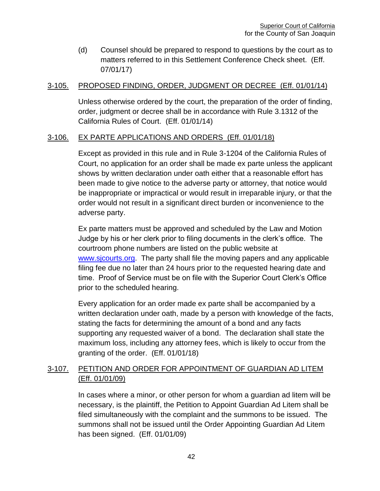(d) Counsel should be prepared to respond to questions by the court as to matters referred to in this Settlement Conference Check sheet. (Eff. 07/01/17)

### 3-105. PROPOSED FINDING, ORDER, JUDGMENT OR DECREE (Eff. 01/01/14)

Unless otherwise ordered by the court, the preparation of the order of finding, order, judgment or decree shall be in accordance with Rule 3.1312 of the California Rules of Court. (Eff. 01/01/14)

## 3-106. EX PARTE APPLICATIONS AND ORDERS (Eff. 01/01/18)

Except as provided in this rule and in Rule 3-1204 of the California Rules of Court, no application for an order shall be made ex parte unless the applicant shows by written declaration under oath either that a reasonable effort has been made to give notice to the adverse party or attorney, that notice would be inappropriate or impractical or would result in irreparable injury, or that the order would not result in a significant direct burden or inconvenience to the adverse party.

Ex parte matters must be approved and scheduled by the Law and Motion Judge by his or her clerk prior to filing documents in the clerk's office. The courtroom phone numbers are listed on the public website at [www.sjcourts.org.](http://www.sjcourts.org/) The party shall file the moving papers and any applicable filing fee due no later than 24 hours prior to the requested hearing date and time. Proof of Service must be on file with the Superior Court Clerk's Office prior to the scheduled hearing.

Every application for an order made ex parte shall be accompanied by a written declaration under oath, made by a person with knowledge of the facts, stating the facts for determining the amount of a bond and any facts supporting any requested waiver of a bond. The declaration shall state the maximum loss, including any attorney fees, which is likely to occur from the granting of the order. (Eff. 01/01/18)

## 3-107. PETITION AND ORDER FOR APPOINTMENT OF GUARDIAN AD LITEM (Eff. 01/01/09)

In cases where a minor, or other person for whom a guardian ad litem will be necessary, is the plaintiff, the Petition to Appoint Guardian Ad Litem shall be filed simultaneously with the complaint and the summons to be issued. The summons shall not be issued until the Order Appointing Guardian Ad Litem has been signed. (Eff. 01/01/09)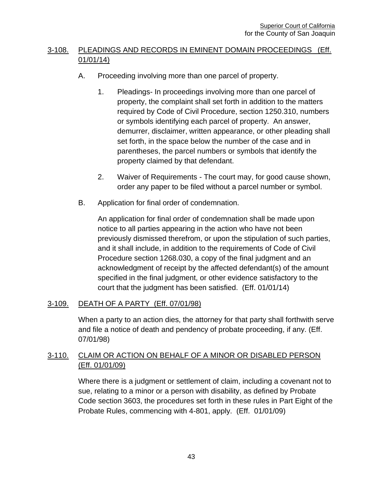# 3-108. PLEADINGS AND RECORDS IN EMINENT DOMAIN PROCEEDINGS (Eff. 01/01/14)

- A. Proceeding involving more than one parcel of property.
	- 1. Pleadings- In proceedings involving more than one parcel of property, the complaint shall set forth in addition to the matters required by Code of Civil Procedure, section 1250.310, numbers or symbols identifying each parcel of property. An answer, demurrer, disclaimer, written appearance, or other pleading shall set forth, in the space below the number of the case and in parentheses, the parcel numbers or symbols that identify the property claimed by that defendant.
	- 2. Waiver of Requirements The court may, for good cause shown, order any paper to be filed without a parcel number or symbol.
- B. Application for final order of condemnation.

An application for final order of condemnation shall be made upon notice to all parties appearing in the action who have not been previously dismissed therefrom, or upon the stipulation of such parties, and it shall include, in addition to the requirements of Code of Civil Procedure section 1268.030, a copy of the final judgment and an acknowledgment of receipt by the affected defendant(s) of the amount specified in the final judgment, or other evidence satisfactory to the court that the judgment has been satisfied. (Eff. 01/01/14)

# 3-109. DEATH OF A PARTY (Eff. 07/01/98)

When a party to an action dies, the attorney for that party shall forthwith serve and file a notice of death and pendency of probate proceeding, if any. (Eff. 07/01/98)

# 3-110. CLAIM OR ACTION ON BEHALF OF A MINOR OR DISABLED PERSON (Eff. 01/01/09)

Where there is a judgment or settlement of claim, including a covenant not to sue, relating to a minor or a person with disability, as defined by Probate Code section 3603, the procedures set forth in these rules in Part Eight of the Probate Rules, commencing with 4-801, apply. (Eff. 01/01/09)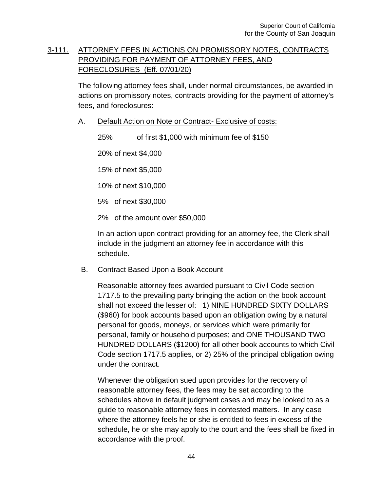# 3-111. ATTORNEY FEES IN ACTIONS ON PROMISSORY NOTES, CONTRACTS PROVIDING FOR PAYMENT OF ATTORNEY FEES, AND FORECLOSURES (Eff. 07/01/20)

The following attorney fees shall, under normal circumstances, be awarded in actions on promissory notes, contracts providing for the payment of attorney's fees, and foreclosures:

A. Default Action on Note or Contract- Exclusive of costs:

25% of first \$1,000 with minimum fee of \$150

20% of next \$4,000

15% of next \$5,000

10% of next \$10,000

5% of next \$30,000

2% of the amount over \$50,000

In an action upon contract providing for an attorney fee, the Clerk shall include in the judgment an attorney fee in accordance with this schedule.

#### B. Contract Based Upon a Book Account

Reasonable attorney fees awarded pursuant to Civil Code section 1717.5 to the prevailing party bringing the action on the book account shall not exceed the lesser of: 1) NINE HUNDRED SIXTY DOLLARS (\$960) for book accounts based upon an obligation owing by a natural personal for goods, moneys, or services which were primarily for personal, family or household purposes; and ONE THOUSAND TWO HUNDRED DOLLARS (\$1200) for all other book accounts to which Civil Code section 1717.5 applies, or 2) 25% of the principal obligation owing under the contract.

Whenever the obligation sued upon provides for the recovery of reasonable attorney fees, the fees may be set according to the schedules above in default judgment cases and may be looked to as a guide to reasonable attorney fees in contested matters. In any case where the attorney feels he or she is entitled to fees in excess of the schedule, he or she may apply to the court and the fees shall be fixed in accordance with the proof.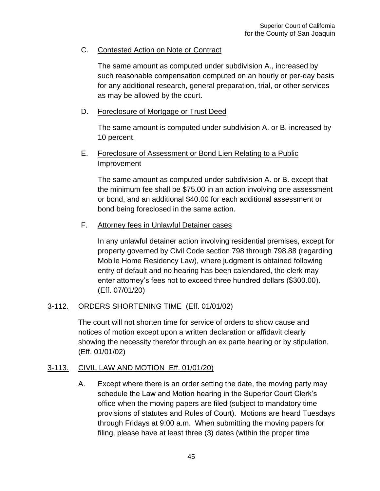## C. Contested Action on Note or Contract

The same amount as computed under subdivision A., increased by such reasonable compensation computed on an hourly or per-day basis for any additional research, general preparation, trial, or other services as may be allowed by the court.

### D. Foreclosure of Mortgage or Trust Deed

The same amount is computed under subdivision A. or B. increased by 10 percent.

## E. Foreclosure of Assessment or Bond Lien Relating to a Public Improvement

The same amount as computed under subdivision A. or B. except that the minimum fee shall be \$75.00 in an action involving one assessment or bond, and an additional \$40.00 for each additional assessment or bond being foreclosed in the same action.

### F. Attorney fees in Unlawful Detainer cases

In any unlawful detainer action involving residential premises, except for property governed by Civil Code section 798 through 798.88 (regarding Mobile Home Residency Law), where judgment is obtained following entry of default and no hearing has been calendared, the clerk may enter attorney's fees not to exceed three hundred dollars (\$300.00). (Eff. 07/01/20)

## 3-112. ORDERS SHORTENING TIME (Eff. 01/01/02)

The court will not shorten time for service of orders to show cause and notices of motion except upon a written declaration or affidavit clearly showing the necessity therefor through an ex parte hearing or by stipulation. (Eff. 01/01/02)

#### 3-113. CIVIL LAW AND MOTION Eff. 01/01/20)

A. Except where there is an order setting the date, the moving party may schedule the Law and Motion hearing in the Superior Court Clerk's office when the moving papers are filed (subject to mandatory time provisions of statutes and Rules of Court). Motions are heard Tuesdays through Fridays at 9:00 a.m. When submitting the moving papers for filing, please have at least three (3) dates (within the proper time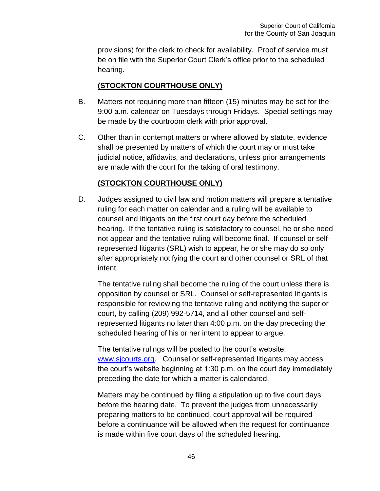provisions) for the clerk to check for availability. Proof of service must be on file with the Superior Court Clerk's office prior to the scheduled hearing.

# **(STOCKTON COURTHOUSE ONLY)**

- B. Matters not requiring more than fifteen (15) minutes may be set for the 9:00 a.m. calendar on Tuesdays through Fridays. Special settings may be made by the courtroom clerk with prior approval.
- C. Other than in contempt matters or where allowed by statute, evidence shall be presented by matters of which the court may or must take judicial notice, affidavits, and declarations, unless prior arrangements are made with the court for the taking of oral testimony.

# **(STOCKTON COURTHOUSE ONLY)**

D. Judges assigned to civil law and motion matters will prepare a tentative ruling for each matter on calendar and a ruling will be available to counsel and litigants on the first court day before the scheduled hearing. If the tentative ruling is satisfactory to counsel, he or she need not appear and the tentative ruling will become final. If counsel or selfrepresented litigants (SRL) wish to appear, he or she may do so only after appropriately notifying the court and other counsel or SRL of that intent.

The tentative ruling shall become the ruling of the court unless there is opposition by counsel or SRL. Counsel or self-represented litigants is responsible for reviewing the tentative ruling and notifying the superior court, by calling (209) 992-5714, and all other counsel and selfrepresented litigants no later than 4:00 p.m. on the day preceding the scheduled hearing of his or her intent to appear to argue.

The tentative rulings will be posted to the court's website: [www.sjcourts.org.](http://www.sjcourts.org/) Counsel or self-represented litigants may access the court's website beginning at 1:30 p.m. on the court day immediately preceding the date for which a matter is calendared.

Matters may be continued by filing a stipulation up to five court days before the hearing date. To prevent the judges from unnecessarily preparing matters to be continued, court approval will be required before a continuance will be allowed when the request for continuance is made within five court days of the scheduled hearing.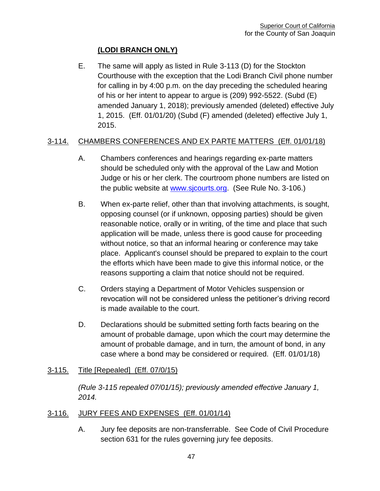# **(LODI BRANCH ONLY)**

E. The same will apply as listed in Rule 3-113 (D) for the Stockton Courthouse with the exception that the Lodi Branch Civil phone number for calling in by 4:00 p.m. on the day preceding the scheduled hearing of his or her intent to appear to argue is (209) 992-5522. (Subd (E) amended January 1, 2018); previously amended (deleted) effective July 1, 2015. (Eff. 01/01/20) (Subd (F) amended (deleted) effective July 1, 2015.

# 3-114. CHAMBERS CONFERENCES AND EX PARTE MATTERS (Eff. 01/01/18)

- A. Chambers conferences and hearings regarding ex-parte matters should be scheduled only with the approval of the Law and Motion Judge or his or her clerk. The courtroom phone numbers are listed on the public website at [www.sjcourts.org.](http://www.sjcourts.org/) (See Rule No. 3-106.)
- B. When ex-parte relief, other than that involving attachments, is sought, opposing counsel (or if unknown, opposing parties) should be given reasonable notice, orally or in writing, of the time and place that such application will be made, unless there is good cause for proceeding without notice, so that an informal hearing or conference may take place. Applicant's counsel should be prepared to explain to the court the efforts which have been made to give this informal notice, or the reasons supporting a claim that notice should not be required.
- C. Orders staying a Department of Motor Vehicles suspension or revocation will not be considered unless the petitioner's driving record is made available to the court.
- D. Declarations should be submitted setting forth facts bearing on the amount of probable damage, upon which the court may determine the amount of probable damage, and in turn, the amount of bond, in any case where a bond may be considered or required. (Eff. 01/01/18)

## 3-115. Title [Repealed] (Eff. 07/0/15)

*(Rule 3-115 repealed 07/01/15); previously amended effective January 1, 2014.*

# 3-116. JURY FEES AND EXPENSES (Eff. 01/01/14)

A. Jury fee deposits are non-transferrable. See Code of Civil Procedure section 631 for the rules governing jury fee deposits.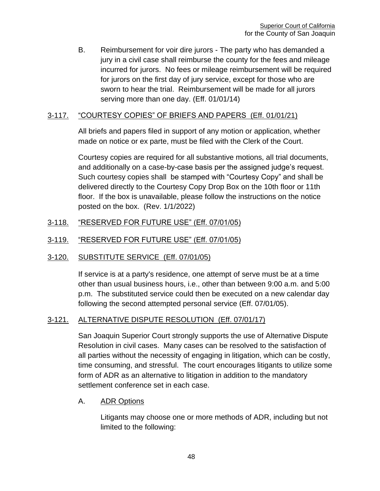B. Reimbursement for voir dire jurors - The party who has demanded a jury in a civil case shall reimburse the county for the fees and mileage incurred for jurors. No fees or mileage reimbursement will be required for jurors on the first day of jury service, except for those who are sworn to hear the trial. Reimbursement will be made for all jurors serving more than one day. (Eff. 01/01/14)

## 3-117. "COURTESY COPIES" OF BRIEFS AND PAPERS (Eff. 01/01/21)

All briefs and papers filed in support of any motion or application, whether made on notice or ex parte, must be filed with the Clerk of the Court.

Courtesy copies are required for all substantive motions, all trial documents, and additionally on a case-by-case basis per the assigned judge's request. Such courtesy copies shall be stamped with "Courtesy Copy" and shall be delivered directly to the Courtesy Copy Drop Box on the 10th floor or 11th floor. If the box is unavailable, please follow the instructions on the notice posted on the box. (Rev. 1/1/2022)

## 3-118. "RESERVED FOR FUTURE USE" (Eff. 07/01/05)

### 3-119. "RESERVED FOR FUTURE USE" (Eff. 07/01/05)

## 3-120. SUBSTITUTE SERVICE (Eff. 07/01/05)

If service is at a party's residence, one attempt of serve must be at a time other than usual business hours, i.e., other than between 9:00 a.m. and 5:00 p.m. The substituted service could then be executed on a new calendar day following the second attempted personal service (Eff. 07/01/05).

## 3-121. ALTERNATIVE DISPUTE RESOLUTION (Eff. 07/01/17)

San Joaquin Superior Court strongly supports the use of Alternative Dispute Resolution in civil cases. Many cases can be resolved to the satisfaction of all parties without the necessity of engaging in litigation, which can be costly, time consuming, and stressful. The court encourages litigants to utilize some form of ADR as an alternative to litigation in addition to the mandatory settlement conference set in each case.

#### A. ADR Options

Litigants may choose one or more methods of ADR, including but not limited to the following: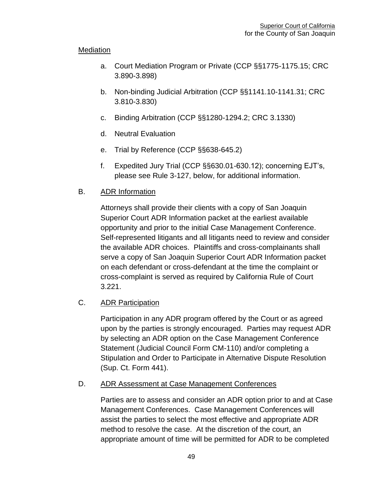## **Mediation**

- a. Court Mediation Program or Private (CCP §§1775-1175.15; CRC 3.890-3.898)
- b. Non-binding Judicial Arbitration (CCP §§1141.10-1141.31; CRC 3.810-3.830)
- c. Binding Arbitration (CCP §§1280-1294.2; CRC 3.1330)
- d. Neutral Evaluation
- e. Trial by Reference (CCP §§638-645.2)
- f. Expedited Jury Trial (CCP §§630.01-630.12); concerning EJT's, please see Rule 3-127, below, for additional information.

## B. ADR Information

Attorneys shall provide their clients with a copy of San Joaquin Superior Court ADR Information packet at the earliest available opportunity and prior to the initial Case Management Conference. Self-represented litigants and all litigants need to review and consider the available ADR choices. Plaintiffs and cross-complainants shall serve a copy of San Joaquin Superior Court ADR Information packet on each defendant or cross-defendant at the time the complaint or cross-complaint is served as required by California Rule of Court 3.221.

## C. ADR Participation

Participation in any ADR program offered by the Court or as agreed upon by the parties is strongly encouraged. Parties may request ADR by selecting an ADR option on the Case Management Conference Statement (Judicial Council Form CM-110) and/or completing a Stipulation and Order to Participate in Alternative Dispute Resolution (Sup. Ct. Form 441).

## D. ADR Assessment at Case Management Conferences

Parties are to assess and consider an ADR option prior to and at Case Management Conferences. Case Management Conferences will assist the parties to select the most effective and appropriate ADR method to resolve the case. At the discretion of the court, an appropriate amount of time will be permitted for ADR to be completed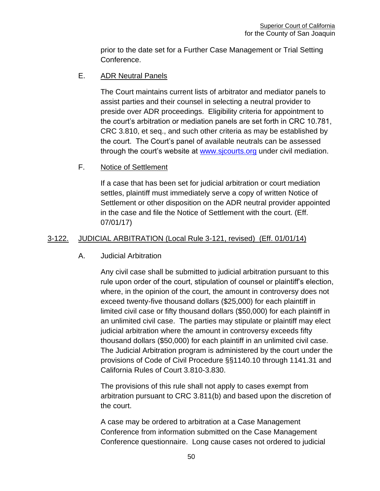prior to the date set for a Further Case Management or Trial Setting Conference.

## E. ADR Neutral Panels

The Court maintains current lists of arbitrator and mediator panels to assist parties and their counsel in selecting a neutral provider to preside over ADR proceedings. Eligibility criteria for appointment to the court's arbitration or mediation panels are set forth in CRC 10.781, CRC 3.810, et seq., and such other criteria as may be established by the court. The Court's panel of available neutrals can be assessed through the court's website at [www.sjcourts.org](http://www.sjcourts.org/) under civil mediation.

## F. Notice of Settlement

If a case that has been set for judicial arbitration or court mediation settles, plaintiff must immediately serve a copy of written Notice of Settlement or other disposition on the ADR neutral provider appointed in the case and file the Notice of Settlement with the court. (Eff. 07/01/17)

# 3-122. JUDICIAL ARBITRATION (Local Rule 3-121, revised) (Eff. 01/01/14)

## A. Judicial Arbitration

Any civil case shall be submitted to judicial arbitration pursuant to this rule upon order of the court, stipulation of counsel or plaintiff's election, where, in the opinion of the court, the amount in controversy does not exceed twenty-five thousand dollars (\$25,000) for each plaintiff in limited civil case or fifty thousand dollars (\$50,000) for each plaintiff in an unlimited civil case. The parties may stipulate or plaintiff may elect judicial arbitration where the amount in controversy exceeds fifty thousand dollars (\$50,000) for each plaintiff in an unlimited civil case. The Judicial Arbitration program is administered by the court under the provisions of Code of Civil Procedure §§1140.10 through 1141.31 and California Rules of Court 3.810-3.830.

The provisions of this rule shall not apply to cases exempt from arbitration pursuant to CRC 3.811(b) and based upon the discretion of the court.

A case may be ordered to arbitration at a Case Management Conference from information submitted on the Case Management Conference questionnaire. Long cause cases not ordered to judicial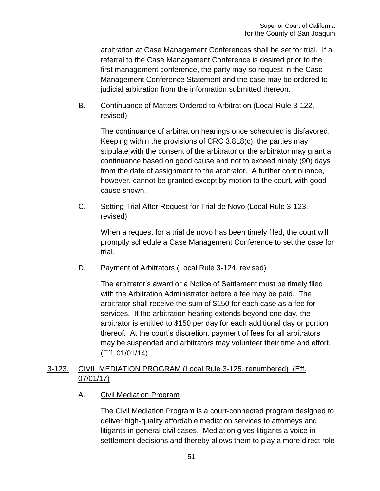arbitration at Case Management Conferences shall be set for trial. If a referral to the Case Management Conference is desired prior to the first management conference, the party may so request in the Case Management Conference Statement and the case may be ordered to judicial arbitration from the information submitted thereon.

B. Continuance of Matters Ordered to Arbitration (Local Rule 3-122, revised)

The continuance of arbitration hearings once scheduled is disfavored. Keeping within the provisions of CRC 3.818(c), the parties may stipulate with the consent of the arbitrator or the arbitrator may grant a continuance based on good cause and not to exceed ninety (90) days from the date of assignment to the arbitrator. A further continuance, however, cannot be granted except by motion to the court, with good cause shown.

C. Setting Trial After Request for Trial de Novo (Local Rule 3-123, revised)

When a request for a trial de novo has been timely filed, the court will promptly schedule a Case Management Conference to set the case for trial.

D. Payment of Arbitrators (Local Rule 3-124, revised)

The arbitrator's award or a Notice of Settlement must be timely filed with the Arbitration Administrator before a fee may be paid. The arbitrator shall receive the sum of \$150 for each case as a fee for services. If the arbitration hearing extends beyond one day, the arbitrator is entitled to \$150 per day for each additional day or portion thereof. At the court's discretion, payment of fees for all arbitrators may be suspended and arbitrators may volunteer their time and effort. (Eff. 01/01/14)

## 3-123. CIVIL MEDIATION PROGRAM (Local Rule 3-125, renumbered) (Eff. 07/01/17)

A. Civil Mediation Program

The Civil Mediation Program is a court-connected program designed to deliver high-quality affordable mediation services to attorneys and litigants in general civil cases. Mediation gives litigants a voice in settlement decisions and thereby allows them to play a more direct role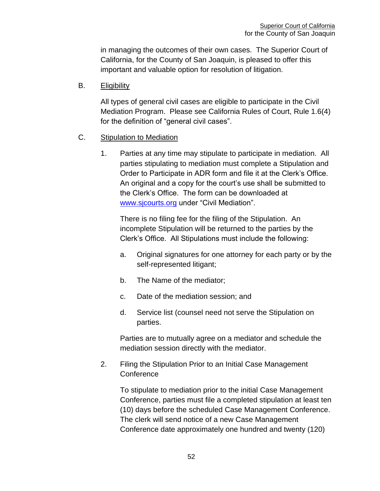in managing the outcomes of their own cases. The Superior Court of California, for the County of San Joaquin, is pleased to offer this important and valuable option for resolution of litigation.

B. Eligibility

All types of general civil cases are eligible to participate in the Civil Mediation Program. Please see California Rules of Court, Rule 1.6(4) for the definition of "general civil cases".

- C. Stipulation to Mediation
	- 1. Parties at any time may stipulate to participate in mediation. All parties stipulating to mediation must complete a Stipulation and Order to Participate in ADR form and file it at the Clerk's Office. An original and a copy for the court's use shall be submitted to the Clerk's Office. The form can be downloaded at [www.sjcourts.org](http://www.sjcourts.org/) under "Civil Mediation".

There is no filing fee for the filing of the Stipulation. An incomplete Stipulation will be returned to the parties by the Clerk's Office. All Stipulations must include the following:

- a. Original signatures for one attorney for each party or by the self-represented litigant;
- b. The Name of the mediator;
- c. Date of the mediation session; and
- d. Service list (counsel need not serve the Stipulation on parties.

Parties are to mutually agree on a mediator and schedule the mediation session directly with the mediator.

2. Filing the Stipulation Prior to an Initial Case Management **Conference** 

To stipulate to mediation prior to the initial Case Management Conference, parties must file a completed stipulation at least ten (10) days before the scheduled Case Management Conference. The clerk will send notice of a new Case Management Conference date approximately one hundred and twenty (120)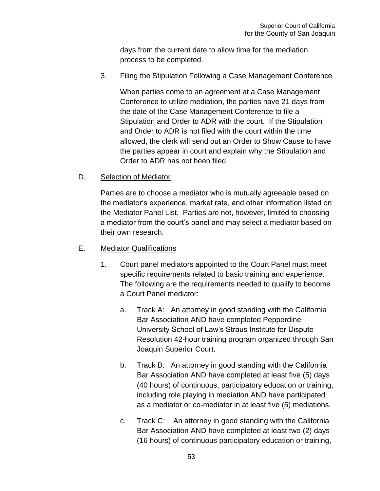days from the current date to allow time for the mediation process to be completed.

3. Filing the Stipulation Following a Case Management Conference

When parties come to an agreement at a Case Management Conference to utilize mediation, the parties have 21 days from the date of the Case Management Conference to file a Stipulation and Order to ADR with the court. If the Stipulation and Order to ADR is not filed with the court within the time allowed, the clerk will send out an Order to Show Cause to have the parties appear in court and explain why the Stipulation and Order to ADR has not been filed.

## D. Selection of Mediator

Parties are to choose a mediator who is mutually agreeable based on the mediator's experience, market rate, and other information listed on the Mediator Panel List. Parties are not, however, limited to choosing a mediator from the court's panel and may select a mediator based on their own research.

## E. Mediator Qualifications

- 1. Court panel mediators appointed to the Court Panel must meet specific requirements related to basic training and experience. The following are the requirements needed to qualify to become a Court Panel mediator:
	- a. Track A: An attorney in good standing with the California Bar Association AND have completed Pepperdine University School of Law's Straus Institute for Dispute Resolution 42-hour training program organized through San Joaquin Superior Court.
	- b. Track B: An attorney in good standing with the California Bar Association AND have completed at least five (5) days (40 hours) of continuous, participatory education or training, including role playing in mediation AND have participated as a mediator or co-mediator in at least five (5) mediations.
	- c. Track C: An attorney in good standing with the California Bar Association AND have completed at least two (2) days (16 hours) of continuous participatory education or training,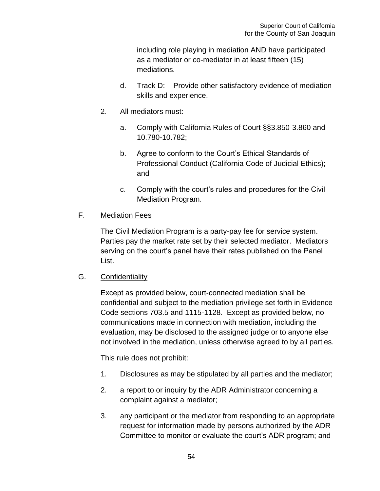including role playing in mediation AND have participated as a mediator or co-mediator in at least fifteen (15) mediations.

- d. Track D: Provide other satisfactory evidence of mediation skills and experience.
- 2. All mediators must:
	- a. Comply with California Rules of Court §§3.850-3.860 and 10.780-10.782;
	- b. Agree to conform to the Court's Ethical Standards of Professional Conduct (California Code of Judicial Ethics); and
	- c. Comply with the court's rules and procedures for the Civil Mediation Program.

# F. Mediation Fees

The Civil Mediation Program is a party-pay fee for service system. Parties pay the market rate set by their selected mediator. Mediators serving on the court's panel have their rates published on the Panel List.

## G. Confidentiality

Except as provided below, court-connected mediation shall be confidential and subject to the mediation privilege set forth in Evidence Code sections 703.5 and 1115-1128. Except as provided below, no communications made in connection with mediation, including the evaluation, may be disclosed to the assigned judge or to anyone else not involved in the mediation, unless otherwise agreed to by all parties.

This rule does not prohibit:

- 1. Disclosures as may be stipulated by all parties and the mediator;
- 2. a report to or inquiry by the ADR Administrator concerning a complaint against a mediator;
- 3. any participant or the mediator from responding to an appropriate request for information made by persons authorized by the ADR Committee to monitor or evaluate the court's ADR program; and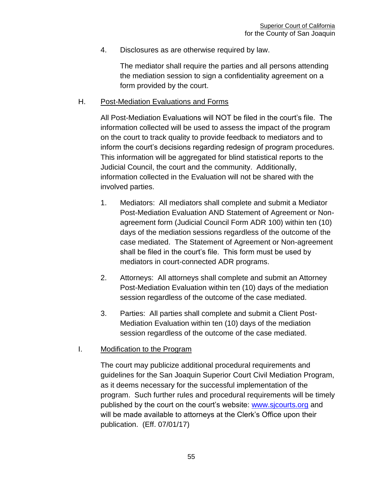4. Disclosures as are otherwise required by law.

The mediator shall require the parties and all persons attending the mediation session to sign a confidentiality agreement on a form provided by the court.

## H. Post-Mediation Evaluations and Forms

All Post-Mediation Evaluations will NOT be filed in the court's file. The information collected will be used to assess the impact of the program on the court to track quality to provide feedback to mediators and to inform the court's decisions regarding redesign of program procedures. This information will be aggregated for blind statistical reports to the Judicial Council, the court and the community. Additionally, information collected in the Evaluation will not be shared with the involved parties.

- 1. Mediators: All mediators shall complete and submit a Mediator Post-Mediation Evaluation AND Statement of Agreement or Nonagreement form (Judicial Council Form ADR 100) within ten (10) days of the mediation sessions regardless of the outcome of the case mediated. The Statement of Agreement or Non-agreement shall be filed in the court's file. This form must be used by mediators in court-connected ADR programs.
- 2. Attorneys: All attorneys shall complete and submit an Attorney Post-Mediation Evaluation within ten (10) days of the mediation session regardless of the outcome of the case mediated.
- 3. Parties: All parties shall complete and submit a Client Post-Mediation Evaluation within ten (10) days of the mediation session regardless of the outcome of the case mediated.

#### I. Modification to the Program

The court may publicize additional procedural requirements and guidelines for the San Joaquin Superior Court Civil Mediation Program, as it deems necessary for the successful implementation of the program. Such further rules and procedural requirements will be timely published by the court on the court's website: [www.sjcourts.org](http://www.sjcourts.org/) and will be made available to attorneys at the Clerk's Office upon their publication. (Eff. 07/01/17)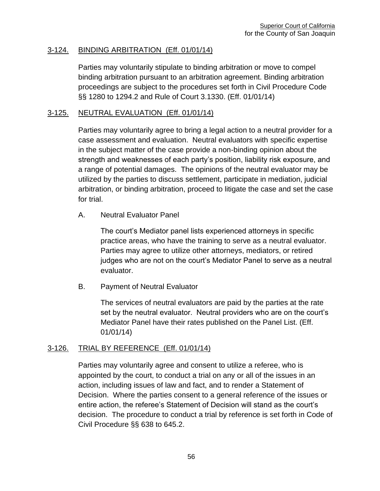### 3-124. BINDING ARBITRATION (Eff. 01/01/14)

Parties may voluntarily stipulate to binding arbitration or move to compel binding arbitration pursuant to an arbitration agreement. Binding arbitration proceedings are subject to the procedures set forth in Civil Procedure Code §§ 1280 to 1294.2 and Rule of Court 3.1330. (Eff. 01/01/14)

#### 3-125. NEUTRAL EVALUATION (Eff. 01/01/14)

Parties may voluntarily agree to bring a legal action to a neutral provider for a case assessment and evaluation. Neutral evaluators with specific expertise in the subject matter of the case provide a non-binding opinion about the strength and weaknesses of each party's position, liability risk exposure, and a range of potential damages. The opinions of the neutral evaluator may be utilized by the parties to discuss settlement, participate in mediation, judicial arbitration, or binding arbitration, proceed to litigate the case and set the case for trial.

A. Neutral Evaluator Panel

The court's Mediator panel lists experienced attorneys in specific practice areas, who have the training to serve as a neutral evaluator. Parties may agree to utilize other attorneys, mediators, or retired judges who are not on the court's Mediator Panel to serve as a neutral evaluator.

B. Payment of Neutral Evaluator

The services of neutral evaluators are paid by the parties at the rate set by the neutral evaluator. Neutral providers who are on the court's Mediator Panel have their rates published on the Panel List. (Eff. 01/01/14)

#### 3-126. TRIAL BY REFERENCE (Eff. 01/01/14)

Parties may voluntarily agree and consent to utilize a referee, who is appointed by the court, to conduct a trial on any or all of the issues in an action, including issues of law and fact, and to render a Statement of Decision. Where the parties consent to a general reference of the issues or entire action, the referee's Statement of Decision will stand as the court's decision. The procedure to conduct a trial by reference is set forth in Code of Civil Procedure §§ 638 to 645.2.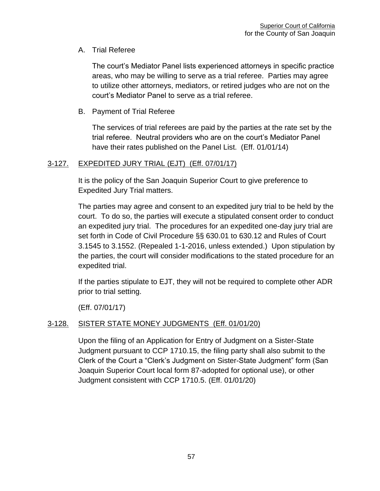# A. Trial Referee

The court's Mediator Panel lists experienced attorneys in specific practice areas, who may be willing to serve as a trial referee. Parties may agree to utilize other attorneys, mediators, or retired judges who are not on the court's Mediator Panel to serve as a trial referee.

# B. Payment of Trial Referee

The services of trial referees are paid by the parties at the rate set by the trial referee. Neutral providers who are on the court's Mediator Panel have their rates published on the Panel List. (Eff. 01/01/14)

# 3-127. EXPEDITED JURY TRIAL (EJT) (Eff. 07/01/17)

It is the policy of the San Joaquin Superior Court to give preference to Expedited Jury Trial matters.

The parties may agree and consent to an expedited jury trial to be held by the court. To do so, the parties will execute a stipulated consent order to conduct an expedited jury trial. The procedures for an expedited one-day jury trial are set forth in Code of Civil Procedure §§ 630.01 to 630.12 and Rules of Court 3.1545 to 3.1552. (Repealed 1-1-2016, unless extended.) Upon stipulation by the parties, the court will consider modifications to the stated procedure for an expedited trial.

If the parties stipulate to EJT, they will not be required to complete other ADR prior to trial setting.

(Eff. 07/01/17)

# 3-128. SISTER STATE MONEY JUDGMENTS (Eff. 01/01/20)

Upon the filing of an Application for Entry of Judgment on a Sister-State Judgment pursuant to CCP 1710.15, the filing party shall also submit to the Clerk of the Court a "Clerk's Judgment on Sister-State Judgment" form (San Joaquin Superior Court local form 87-adopted for optional use), or other Judgment consistent with CCP 1710.5. (Eff. 01/01/20)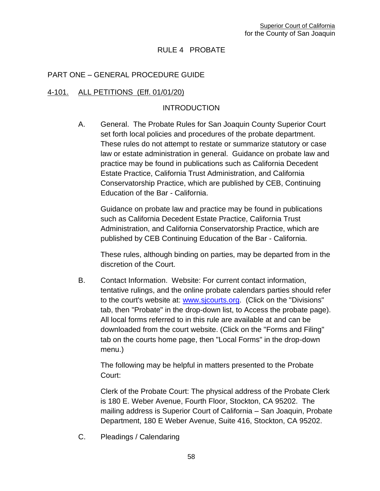# RULE 4 PROBATE

### PART ONE – GENERAL PROCEDURE GUIDE

#### 4-101. ALL PETITIONS (Eff. 01/01/20)

#### **INTRODUCTION**

A. General. The Probate Rules for San Joaquin County Superior Court set forth local policies and procedures of the probate department. These rules do not attempt to restate or summarize statutory or case law or estate administration in general. Guidance on probate law and practice may be found in publications such as California Decedent Estate Practice, California Trust Administration, and California Conservatorship Practice, which are published by CEB, Continuing Education of the Bar - California.

Guidance on probate law and practice may be found in publications such as California Decedent Estate Practice, California Trust Administration, and California Conservatorship Practice, which are published by CEB Continuing Education of the Bar - California.

These rules, although binding on parties, may be departed from in the discretion of the Court.

B. Contact Information. Website: For current contact information, tentative rulings, and the online probate calendars parties should refer to the court's website at: [www.sjcourts.org.](http://www.sjcourts.org/) (Click on the "Divisions" tab, then "Probate" in the drop-down list, to Access the probate page). All local forms referred to in this rule are available at and can be downloaded from the court website. (Click on the "Forms and Filing" tab on the courts home page, then "Local Forms" in the drop-down menu.)

The following may be helpful in matters presented to the Probate Court:

Clerk of the Probate Court: The physical address of the Probate Clerk is 180 E. Weber Avenue, Fourth Floor, Stockton, CA 95202. The mailing address is Superior Court of California – San Joaquin, Probate Department, 180 E Weber Avenue, Suite 416, Stockton, CA 95202.

C. Pleadings / Calendaring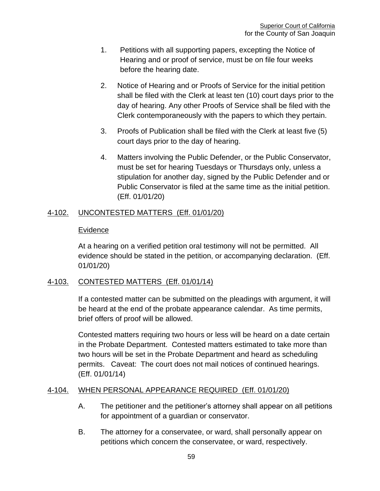- 1. Petitions with all supporting papers, excepting the Notice of Hearing and or proof of service, must be on file four weeks before the hearing date.
- 2. Notice of Hearing and or Proofs of Service for the initial petition shall be filed with the Clerk at least ten (10) court days prior to the day of hearing. Any other Proofs of Service shall be filed with the Clerk contemporaneously with the papers to which they pertain.
- 3. Proofs of Publication shall be filed with the Clerk at least five (5) court days prior to the day of hearing.
- 4. Matters involving the Public Defender, or the Public Conservator, must be set for hearing Tuesdays or Thursdays only, unless a stipulation for another day, signed by the Public Defender and or Public Conservator is filed at the same time as the initial petition. (Eff. 01/01/20)

## 4-102. UNCONTESTED MATTERS (Eff. 01/01/20)

#### Evidence

At a hearing on a verified petition oral testimony will not be permitted. All evidence should be stated in the petition, or accompanying declaration. (Eff. 01/01/20)

## 4-103. CONTESTED MATTERS (Eff. 01/01/14)

If a contested matter can be submitted on the pleadings with argument, it will be heard at the end of the probate appearance calendar. As time permits, brief offers of proof will be allowed.

Contested matters requiring two hours or less will be heard on a date certain in the Probate Department. Contested matters estimated to take more than two hours will be set in the Probate Department and heard as scheduling permits. Caveat: The court does not mail notices of continued hearings. (Eff. 01/01/14)

## 4-104. WHEN PERSONAL APPEARANCE REQUIRED (Eff. 01/01/20)

- A. The petitioner and the petitioner's attorney shall appear on all petitions for appointment of a guardian or conservator.
- B. The attorney for a conservatee, or ward, shall personally appear on petitions which concern the conservatee, or ward, respectively.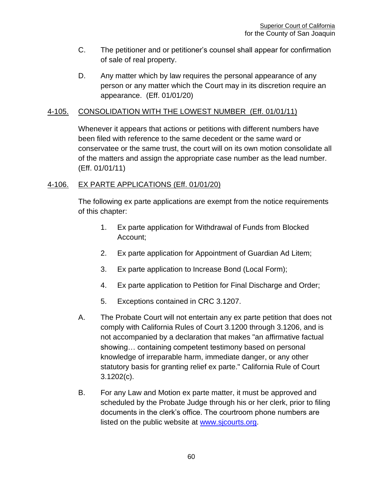- C. The petitioner and or petitioner's counsel shall appear for confirmation of sale of real property.
- D. Any matter which by law requires the personal appearance of any person or any matter which the Court may in its discretion require an appearance. (Eff. 01/01/20)

### 4-105. CONSOLIDATION WITH THE LOWEST NUMBER (Eff. 01/01/11)

Whenever it appears that actions or petitions with different numbers have been filed with reference to the same decedent or the same ward or conservatee or the same trust, the court will on its own motion consolidate all of the matters and assign the appropriate case number as the lead number. (Eff. 01/01/11)

### 4-106. EX PARTE APPLICATIONS (Eff. 01/01/20)

The following ex parte applications are exempt from the notice requirements of this chapter:

- 1. Ex parte application for Withdrawal of Funds from Blocked Account;
- 2. Ex parte application for Appointment of Guardian Ad Litem;
- 3. Ex parte application to Increase Bond (Local Form);
- 4. Ex parte application to Petition for Final Discharge and Order;
- 5. Exceptions contained in CRC 3.1207.
- A. The Probate Court will not entertain any ex parte petition that does not comply with California Rules of Court 3.1200 through 3.1206, and is not accompanied by a declaration that makes "an affirmative factual showing… containing competent testimony based on personal knowledge of irreparable harm, immediate danger, or any other statutory basis for granting relief ex parte." California Rule of Court 3.1202(c).
- B. For any Law and Motion ex parte matter, it must be approved and scheduled by the Probate Judge through his or her clerk, prior to filing documents in the clerk's office. The courtroom phone numbers are listed on the public website at [www.sjcourts.org.](http://www.sjcourts.org/)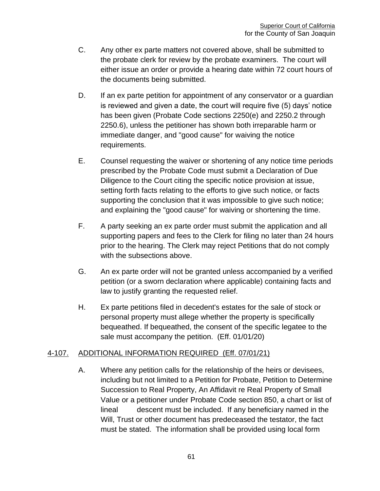- C. Any other ex parte matters not covered above, shall be submitted to the probate clerk for review by the probate examiners. The court will either issue an order or provide a hearing date within 72 court hours of the documents being submitted.
- D. If an ex parte petition for appointment of any conservator or a quardian is reviewed and given a date, the court will require five (5) days' notice has been given (Probate Code sections 2250(e) and 2250.2 through 2250.6), unless the petitioner has shown both irreparable harm or immediate danger, and "good cause" for waiving the notice requirements.
- E. Counsel requesting the waiver or shortening of any notice time periods prescribed by the Probate Code must submit a Declaration of Due Diligence to the Court citing the specific notice provision at issue, setting forth facts relating to the efforts to give such notice, or facts supporting the conclusion that it was impossible to give such notice; and explaining the "good cause" for waiving or shortening the time.
- F. A party seeking an ex parte order must submit the application and all supporting papers and fees to the Clerk for filing no later than 24 hours prior to the hearing. The Clerk may reject Petitions that do not comply with the subsections above.
- G. An ex parte order will not be granted unless accompanied by a verified petition (or a sworn declaration where applicable) containing facts and law to justify granting the requested relief.
- H. Ex parte petitions filed in decedent's estates for the sale of stock or personal property must allege whether the property is specifically bequeathed. If bequeathed, the consent of the specific legatee to the sale must accompany the petition. (Eff. 01/01/20)

## 4-107. ADDITIONAL INFORMATION REQUIRED (Eff. 07/01/21)

A. Where any petition calls for the relationship of the heirs or devisees, including but not limited to a Petition for Probate, Petition to Determine Succession to Real Property, An Affidavit re Real Property of Small Value or a petitioner under Probate Code section 850, a chart or list of lineal descent must be included. If any beneficiary named in the Will, Trust or other document has predeceased the testator, the fact must be stated. The information shall be provided using local form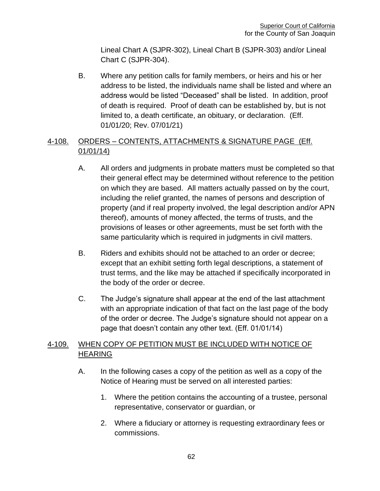Lineal Chart A (SJPR-302), Lineal Chart B (SJPR-303) and/or Lineal Chart C (SJPR-304).

B. Where any petition calls for family members, or heirs and his or her address to be listed, the individuals name shall be listed and where an address would be listed "Deceased" shall be listed. In addition, proof of death is required. Proof of death can be established by, but is not limited to, a death certificate, an obituary, or declaration. (Eff. 01/01/20; Rev. 07/01/21)

# 4-108. ORDERS – CONTENTS, ATTACHMENTS & SIGNATURE PAGE (Eff. 01/01/14)

- A. All orders and judgments in probate matters must be completed so that their general effect may be determined without reference to the petition on which they are based. All matters actually passed on by the court, including the relief granted, the names of persons and description of property (and if real property involved, the legal description and/or APN thereof), amounts of money affected, the terms of trusts, and the provisions of leases or other agreements, must be set forth with the same particularity which is required in judgments in civil matters.
- B. Riders and exhibits should not be attached to an order or decree; except that an exhibit setting forth legal descriptions, a statement of trust terms, and the like may be attached if specifically incorporated in the body of the order or decree.
- C. The Judge's signature shall appear at the end of the last attachment with an appropriate indication of that fact on the last page of the body of the order or decree. The Judge's signature should not appear on a page that doesn't contain any other text. (Eff. 01/01/14)

# 4-109. WHEN COPY OF PETITION MUST BE INCLUDED WITH NOTICE OF **HEARING**

- A. In the following cases a copy of the petition as well as a copy of the Notice of Hearing must be served on all interested parties:
	- 1. Where the petition contains the accounting of a trustee, personal representative, conservator or guardian, or
	- 2. Where a fiduciary or attorney is requesting extraordinary fees or commissions.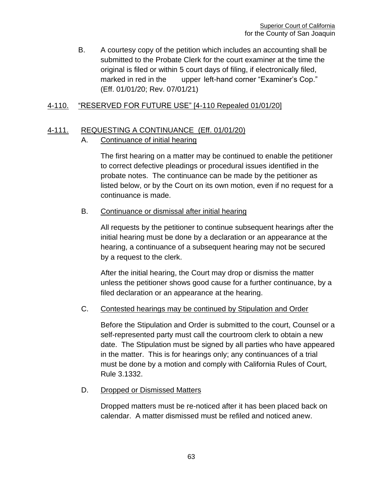B. A courtesy copy of the petition which includes an accounting shall be submitted to the Probate Clerk for the court examiner at the time the original is filed or within 5 court days of filing, if electronically filed, marked in red in the upper left-hand corner "Examiner's Cop." (Eff. 01/01/20; Rev. 07/01/21)

## 4-110. "RESERVED FOR FUTURE USE" [4-110 Repealed 01/01/20]

## 4-111. REQUESTING A CONTINUANCE (Eff. 01/01/20)

### A. Continuance of initial hearing

The first hearing on a matter may be continued to enable the petitioner to correct defective pleadings or procedural issues identified in the probate notes. The continuance can be made by the petitioner as listed below, or by the Court on its own motion, even if no request for a continuance is made.

### B. Continuance or dismissal after initial hearing

All requests by the petitioner to continue subsequent hearings after the initial hearing must be done by a declaration or an appearance at the hearing, a continuance of a subsequent hearing may not be secured by a request to the clerk.

After the initial hearing, the Court may drop or dismiss the matter unless the petitioner shows good cause for a further continuance, by a filed declaration or an appearance at the hearing.

#### C. Contested hearings may be continued by Stipulation and Order

Before the Stipulation and Order is submitted to the court, Counsel or a self-represented party must call the courtroom clerk to obtain a new date. The Stipulation must be signed by all parties who have appeared in the matter. This is for hearings only; any continuances of a trial must be done by a motion and comply with California Rules of Court, Rule 3.1332.

#### D. Dropped or Dismissed Matters

Dropped matters must be re-noticed after it has been placed back on calendar. A matter dismissed must be refiled and noticed anew.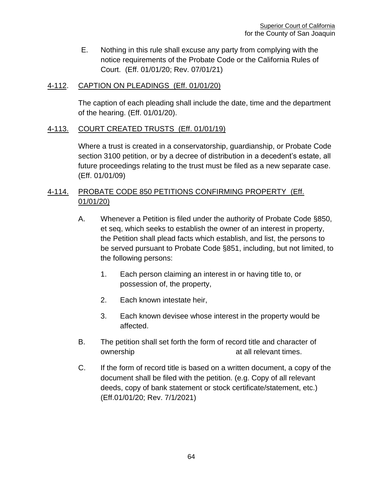E. Nothing in this rule shall excuse any party from complying with the notice requirements of the Probate Code or the California Rules of Court. (Eff. 01/01/20; Rev. 07/01/21)

### 4-112. CAPTION ON PLEADINGS (Eff. 01/01/20)

The caption of each pleading shall include the date, time and the department of the hearing. (Eff. 01/01/20).

## 4-113. COURT CREATED TRUSTS (Eff. 01/01/19)

Where a trust is created in a conservatorship, guardianship, or Probate Code section 3100 petition, or by a decree of distribution in a decedent's estate, all future proceedings relating to the trust must be filed as a new separate case. (Eff. 01/01/09)

# 4-114. PROBATE CODE 850 PETITIONS CONFIRMING PROPERTY (Eff. 01/01/20)

- A. Whenever a Petition is filed under the authority of Probate Code §850, et seq, which seeks to establish the owner of an interest in property, the Petition shall plead facts which establish, and list, the persons to be served pursuant to Probate Code §851, including, but not limited, to the following persons:
	- 1. Each person claiming an interest in or having title to, or possession of, the property,
	- 2. Each known intestate heir,
	- 3. Each known devisee whose interest in the property would be affected.
- B. The petition shall set forth the form of record title and character of ownership at all relevant times.
- C. If the form of record title is based on a written document, a copy of the document shall be filed with the petition. (e.g. Copy of all relevant deeds, copy of bank statement or stock certificate/statement, etc.) (Eff.01/01/20; Rev. 7/1/2021)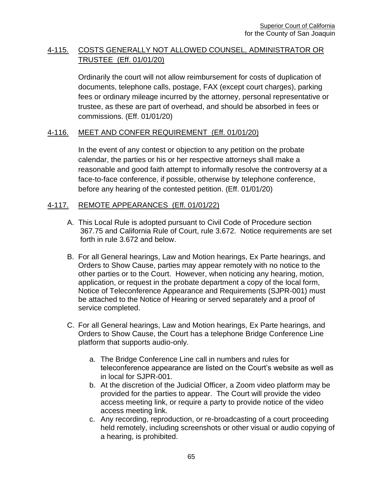# 4-115. COSTS GENERALLY NOT ALLOWED COUNSEL, ADMINISTRATOR OR TRUSTEE (Eff. 01/01/20)

Ordinarily the court will not allow reimbursement for costs of duplication of documents, telephone calls, postage, FAX (except court charges), parking fees or ordinary mileage incurred by the attorney, personal representative or trustee, as these are part of overhead, and should be absorbed in fees or commissions. (Eff. 01/01/20)

### 4-116. MEET AND CONFER REQUIREMENT (Eff. 01/01/20)

In the event of any contest or objection to any petition on the probate calendar, the parties or his or her respective attorneys shall make a reasonable and good faith attempt to informally resolve the controversy at a face-to-face conference, if possible, otherwise by telephone conference, before any hearing of the contested petition. (Eff. 01/01/20)

### 4-117. REMOTE APPEARANCES (Eff. 01/01/22)

- A. This Local Rule is adopted pursuant to Civil Code of Procedure section 367.75 and California Rule of Court, rule 3.672. Notice requirements are set forth in rule 3.672 and below.
- B. For all General hearings, Law and Motion hearings, Ex Parte hearings, and Orders to Show Cause, parties may appear remotely with no notice to the other parties or to the Court. However, when noticing any hearing, motion, application, or request in the probate department a copy of the local form, Notice of Teleconference Appearance and Requirements (SJPR-001) must be attached to the Notice of Hearing or served separately and a proof of service completed.
- C. For all General hearings, Law and Motion hearings, Ex Parte hearings, and Orders to Show Cause, the Court has a telephone Bridge Conference Line platform that supports audio-only.
	- a. The Bridge Conference Line call in numbers and rules for teleconference appearance are listed on the Court's website as well as in local for SJPR-001.
	- b. At the discretion of the Judicial Officer, a Zoom video platform may be provided for the parties to appear. The Court will provide the video access meeting link, or require a party to provide notice of the video access meeting link.
	- c. Any recording, reproduction, or re-broadcasting of a court proceeding held remotely, including screenshots or other visual or audio copying of a hearing, is prohibited.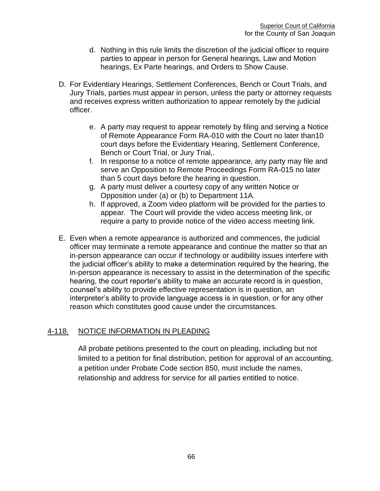- d. Nothing in this rule limits the discretion of the judicial officer to require parties to appear in person for General hearings, Law and Motion hearings, Ex Parte hearings, and Orders to Show Cause.
- D. For Evidentiary Hearings, Settlement Conferences, Bench or Court Trials, and Jury Trials, parties must appear in person, unless the party or attorney requests and receives express written authorization to appear remotely by the judicial officer.
	- e. A party may request to appear remotely by filing and serving a Notice of Remote Appearance Form RA-010 with the Court no later than10 court days before the Evidentiary Hearing, Settlement Conference, Bench or Court Trial, or Jury Trial,.
	- f. In response to a notice of remote appearance, any party may file and serve an Opposition to Remote Proceedings Form RA-015 no later than 5 court days before the hearing in question.
	- g. A party must deliver a courtesy copy of any written Notice or Opposition under (a) or (b) to Department 11A.
	- h. If approved, a Zoom video platform will be provided for the parties to appear. The Court will provide the video access meeting link, or require a party to provide notice of the video access meeting link.
- E. Even when a remote appearance is authorized and commences, the judicial officer may terminate a remote appearance and continue the matter so that an in-person appearance can occur if technology or audibility issues interfere with the judicial officer's ability to make a determination required by the hearing, the in-person appearance is necessary to assist in the determination of the specific hearing, the court reporter's ability to make an accurate record is in question, counsel's ability to provide effective representation is in question, an interpreter's ability to provide language access is in question, or for any other reason which constitutes good cause under the circumstances.

## 4-118. NOTICE INFORMATION IN PLEADING

All probate petitions presented to the court on pleading, including but not limited to a petition for final distribution, petition for approval of an accounting, a petition under Probate Code section 850, must include the names, relationship and address for service for all parties entitled to notice.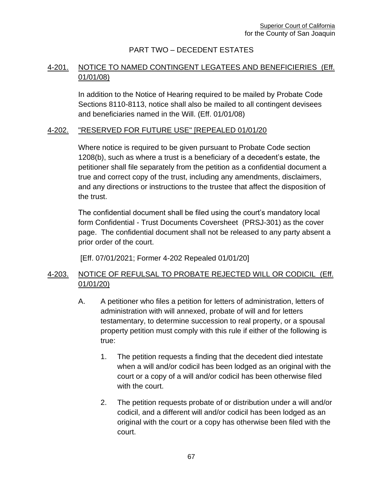# PART TWO – DECEDENT ESTATES

# 4-201. NOTICE TO NAMED CONTINGENT LEGATEES AND BENEFICIERIES (Eff. 01/01/08)

In addition to the Notice of Hearing required to be mailed by Probate Code Sections 8110-8113, notice shall also be mailed to all contingent devisees and beneficiaries named in the Will. (Eff. 01/01/08)

#### 4-202. "RESERVED FOR FUTURE USE" [REPEALED 01/01/20

Where notice is required to be given pursuant to Probate Code section 1208(b), such as where a trust is a beneficiary of a decedent's estate, the petitioner shall file separately from the petition as a confidential document a true and correct copy of the trust, including any amendments, disclaimers, and any directions or instructions to the trustee that affect the disposition of the trust.

The confidential document shall be filed using the court's mandatory local form Confidential - Trust Documents Coversheet (PRSJ-301) as the cover page. The confidential document shall not be released to any party absent a prior order of the court.

[Eff. 07/01/2021; Former 4-202 Repealed 01/01/20]

# 4-203. NOTICE OF REFULSAL TO PROBATE REJECTED WILL OR CODICIL (Eff. 01/01/20)

- A. A petitioner who files a petition for letters of administration, letters of administration with will annexed, probate of will and for letters testamentary, to determine succession to real property, or a spousal property petition must comply with this rule if either of the following is true:
	- 1. The petition requests a finding that the decedent died intestate when a will and/or codicil has been lodged as an original with the court or a copy of a will and/or codicil has been otherwise filed with the court.
	- 2. The petition requests probate of or distribution under a will and/or codicil, and a different will and/or codicil has been lodged as an original with the court or a copy has otherwise been filed with the court.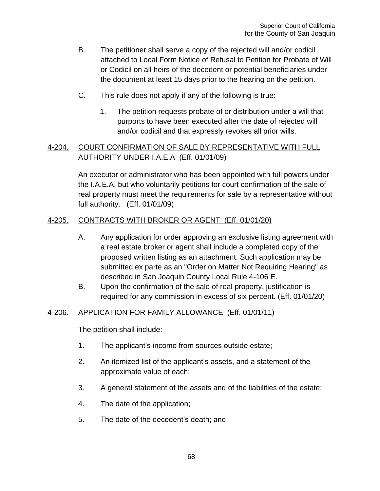- B. The petitioner shall serve a copy of the rejected will and/or codicil attached to Local Form Notice of Refusal to Petition for Probate of Will or Codicil on all heirs of the decedent or potential beneficiaries under the document at least 15 days prior to the hearing on the petition.
- C. This rule does not apply if any of the following is true:
	- 1. The petition requests probate of or distribution under a will that purports to have been executed after the date of rejected will and/or codicil and that expressly revokes all prior wills.

# 4-204. COURT CONFIRMATION OF SALE BY REPRESENTATIVE WITH FULL AUTHORITY UNDER I.A.E.A (Eff. 01/01/09)

An executor or administrator who has been appointed with full powers under the I.A.E.A. but who voluntarily petitions for court confirmation of the sale of real property must meet the requirements for sale by a representative without full authority. (Eff. 01/01/09)

## 4-205. CONTRACTS WITH BROKER OR AGENT (Eff. 01/01/20)

- A. Any application for order approving an exclusive listing agreement with a real estate broker or agent shall include a completed copy of the proposed written listing as an attachment. Such application may be submitted ex parte as an "Order on Matter Not Requiring Hearing" as described in San Joaquin County Local Rule 4-106 E.
- B. Upon the confirmation of the sale of real property, justification is required for any commission in excess of six percent. (Eff. 01/01/20)

## 4-206. APPLICATION FOR FAMILY ALLOWANCE (Eff. 01/01/11)

The petition shall include:

- 1. The applicant's income from sources outside estate;
- 2. An itemized list of the applicant's assets, and a statement of the approximate value of each;
- 3. A general statement of the assets and of the liabilities of the estate;
- 4. The date of the application;
- 5. The date of the decedent's death; and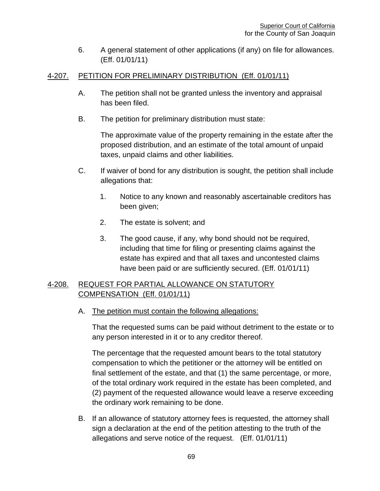6. A general statement of other applications (if any) on file for allowances. (Eff. 01/01/11)

## 4-207. PETITION FOR PRELIMINARY DISTRIBUTION (Eff. 01/01/11)

- A. The petition shall not be granted unless the inventory and appraisal has been filed.
- B. The petition for preliminary distribution must state:

The approximate value of the property remaining in the estate after the proposed distribution, and an estimate of the total amount of unpaid taxes, unpaid claims and other liabilities.

- C. If waiver of bond for any distribution is sought, the petition shall include allegations that:
	- 1. Notice to any known and reasonably ascertainable creditors has been given;
	- 2. The estate is solvent; and
	- 3. The good cause, if any, why bond should not be required, including that time for filing or presenting claims against the estate has expired and that all taxes and uncontested claims have been paid or are sufficiently secured. (Eff. 01/01/11)

# 4-208. REQUEST FOR PARTIAL ALLOWANCE ON STATUTORY COMPENSATION (Eff. 01/01/11)

A. The petition must contain the following allegations:

That the requested sums can be paid without detriment to the estate or to any person interested in it or to any creditor thereof.

The percentage that the requested amount bears to the total statutory compensation to which the petitioner or the attorney will be entitled on final settlement of the estate, and that (1) the same percentage, or more, of the total ordinary work required in the estate has been completed, and (2) payment of the requested allowance would leave a reserve exceeding the ordinary work remaining to be done.

B. If an allowance of statutory attorney fees is requested, the attorney shall sign a declaration at the end of the petition attesting to the truth of the allegations and serve notice of the request. (Eff. 01/01/11)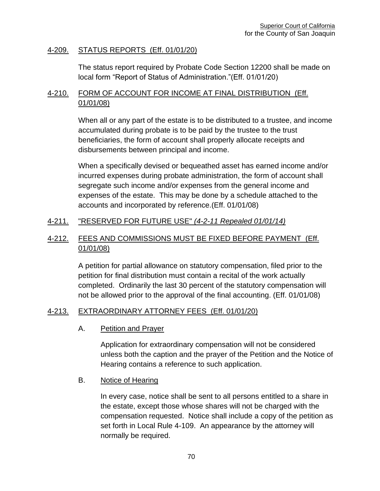### 4-209. STATUS REPORTS (Eff. 01/01/20)

The status report required by Probate Code Section 12200 shall be made on local form "Report of Status of Administration."(Eff. 01/01/20)

## 4-210. FORM OF ACCOUNT FOR INCOME AT FINAL DISTRIBUTION (Eff. 01/01/08)

When all or any part of the estate is to be distributed to a trustee, and income accumulated during probate is to be paid by the trustee to the trust beneficiaries, the form of account shall properly allocate receipts and disbursements between principal and income.

When a specifically devised or bequeathed asset has earned income and/or incurred expenses during probate administration, the form of account shall segregate such income and/or expenses from the general income and expenses of the estate. This may be done by a schedule attached to the accounts and incorporated by reference.(Eff. 01/01/08)

## 4-211. "RESERVED FOR FUTURE USE" *(4-2-11 Repealed 01/01/14)*

## 4-212. FEES AND COMMISSIONS MUST BE FIXED BEFORE PAYMENT (Eff. 01/01/08)

A petition for partial allowance on statutory compensation, filed prior to the petition for final distribution must contain a recital of the work actually completed. Ordinarily the last 30 percent of the statutory compensation will not be allowed prior to the approval of the final accounting. (Eff. 01/01/08)

## 4-213. EXTRAORDINARY ATTORNEY FEES (Eff. 01/01/20)

A. Petition and Prayer

Application for extraordinary compensation will not be considered unless both the caption and the prayer of the Petition and the Notice of Hearing contains a reference to such application.

#### B. Notice of Hearing

In every case, notice shall be sent to all persons entitled to a share in the estate, except those whose shares will not be charged with the compensation requested. Notice shall include a copy of the petition as set forth in Local Rule 4-109. An appearance by the attorney will normally be required.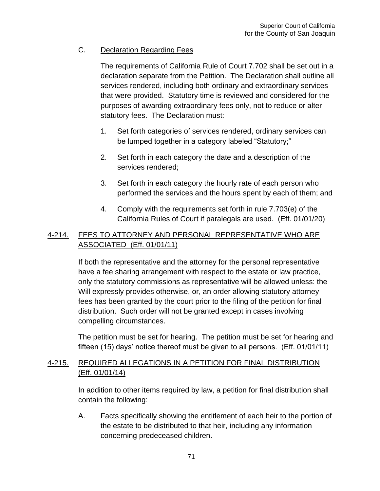# C. Declaration Regarding Fees

The requirements of California Rule of Court 7.702 shall be set out in a declaration separate from the Petition. The Declaration shall outline all services rendered, including both ordinary and extraordinary services that were provided. Statutory time is reviewed and considered for the purposes of awarding extraordinary fees only, not to reduce or alter statutory fees. The Declaration must:

- 1. Set forth categories of services rendered, ordinary services can be lumped together in a category labeled "Statutory;"
- 2. Set forth in each category the date and a description of the services rendered;
- 3. Set forth in each category the hourly rate of each person who performed the services and the hours spent by each of them; and
- 4. Comply with the requirements set forth in rule 7.703(e) of the California Rules of Court if paralegals are used. (Eff. 01/01/20)

# 4-214. FEES TO ATTORNEY AND PERSONAL REPRESENTATIVE WHO ARE ASSOCIATED (Eff. 01/01/11)

If both the representative and the attorney for the personal representative have a fee sharing arrangement with respect to the estate or law practice, only the statutory commissions as representative will be allowed unless: the Will expressly provides otherwise, or, an order allowing statutory attorney fees has been granted by the court prior to the filing of the petition for final distribution. Such order will not be granted except in cases involving compelling circumstances.

The petition must be set for hearing. The petition must be set for hearing and fifteen (15) days' notice thereof must be given to all persons. (Eff. 01/01/11)

# 4-215. REQUIRED ALLEGATIONS IN A PETITION FOR FINAL DISTRIBUTION (Eff. 01/01/14)

In addition to other items required by law, a petition for final distribution shall contain the following:

A. Facts specifically showing the entitlement of each heir to the portion of the estate to be distributed to that heir, including any information concerning predeceased children.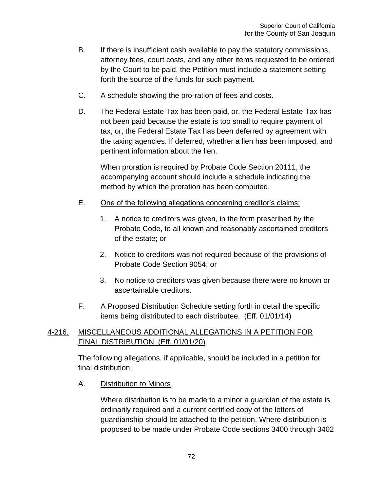- B. If there is insufficient cash available to pay the statutory commissions, attorney fees, court costs, and any other items requested to be ordered by the Court to be paid, the Petition must include a statement setting forth the source of the funds for such payment.
- C. A schedule showing the pro-ration of fees and costs.
- D. The Federal Estate Tax has been paid, or, the Federal Estate Tax has not been paid because the estate is too small to require payment of tax, or, the Federal Estate Tax has been deferred by agreement with the taxing agencies. If deferred, whether a lien has been imposed, and pertinent information about the lien.

When proration is required by Probate Code Section 20111, the accompanying account should include a schedule indicating the method by which the proration has been computed.

- E. One of the following allegations concerning creditor's claims:
	- 1. A notice to creditors was given, in the form prescribed by the Probate Code, to all known and reasonably ascertained creditors of the estate; or
	- 2. Notice to creditors was not required because of the provisions of Probate Code Section 9054; or
	- 3. No notice to creditors was given because there were no known or ascertainable creditors.
- F. A Proposed Distribution Schedule setting forth in detail the specific items being distributed to each distributee. (Eff. 01/01/14)

# 4-216. MISCELLANEOUS ADDITIONAL ALLEGATIONS IN A PETITION FOR FINAL DISTRIBUTION (Eff. 01/01/20)

The following allegations, if applicable, should be included in a petition for final distribution:

A. Distribution to Minors

Where distribution is to be made to a minor a guardian of the estate is ordinarily required and a current certified copy of the letters of guardianship should be attached to the petition. Where distribution is proposed to be made under Probate Code sections 3400 through 3402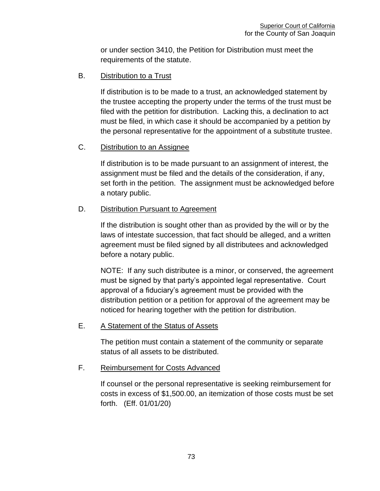or under section 3410, the Petition for Distribution must meet the requirements of the statute.

B. Distribution to a Trust

If distribution is to be made to a trust, an acknowledged statement by the trustee accepting the property under the terms of the trust must be filed with the petition for distribution. Lacking this, a declination to act must be filed, in which case it should be accompanied by a petition by the personal representative for the appointment of a substitute trustee.

### C. Distribution to an Assignee

If distribution is to be made pursuant to an assignment of interest, the assignment must be filed and the details of the consideration, if any, set forth in the petition. The assignment must be acknowledged before a notary public.

### D. Distribution Pursuant to Agreement

If the distribution is sought other than as provided by the will or by the laws of intestate succession, that fact should be alleged, and a written agreement must be filed signed by all distributees and acknowledged before a notary public.

NOTE: If any such distributee is a minor, or conserved, the agreement must be signed by that party's appointed legal representative. Court approval of a fiduciary's agreement must be provided with the distribution petition or a petition for approval of the agreement may be noticed for hearing together with the petition for distribution.

## E. A Statement of the Status of Assets

The petition must contain a statement of the community or separate status of all assets to be distributed.

#### F. Reimbursement for Costs Advanced

If counsel or the personal representative is seeking reimbursement for costs in excess of \$1,500.00, an itemization of those costs must be set forth. (Eff. 01/01/20)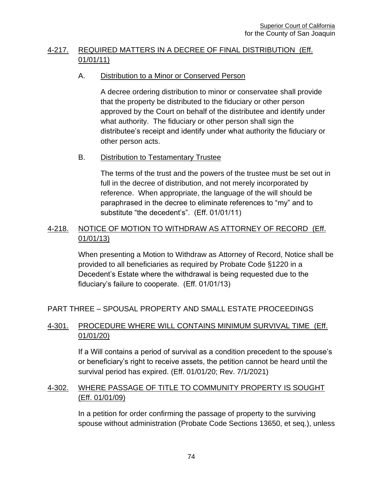# 4-217. REQUIRED MATTERS IN A DECREE OF FINAL DISTRIBUTION (Eff. 01/01/11)

## A. Distribution to a Minor or Conserved Person

A decree ordering distribution to minor or conservatee shall provide that the property be distributed to the fiduciary or other person approved by the Court on behalf of the distributee and identify under what authority. The fiduciary or other person shall sign the distributee's receipt and identify under what authority the fiduciary or other person acts.

## B. Distribution to Testamentary Trustee

The terms of the trust and the powers of the trustee must be set out in full in the decree of distribution, and not merely incorporated by reference. When appropriate, the language of the will should be paraphrased in the decree to eliminate references to "my" and to substitute "the decedent's". (Eff. 01/01/11)

# 4-218. NOTICE OF MOTION TO WITHDRAW AS ATTORNEY OF RECORD (Eff. 01/01/13)

When presenting a Motion to Withdraw as Attorney of Record, Notice shall be provided to all beneficiaries as required by Probate Code §1220 in a Decedent's Estate where the withdrawal is being requested due to the fiduciary's failure to cooperate. (Eff. 01/01/13)

PART THREE – SPOUSAL PROPERTY AND SMALL ESTATE PROCEEDINGS

# 4-301. PROCEDURE WHERE WILL CONTAINS MINIMUM SURVIVAL TIME (Eff. 01/01/20)

If a Will contains a period of survival as a condition precedent to the spouse's or beneficiary's right to receive assets, the petition cannot be heard until the survival period has expired. (Eff. 01/01/20; Rev. 7/1/2021)

# 4-302. WHERE PASSAGE OF TITLE TO COMMUNITY PROPERTY IS SOUGHT (Eff. 01/01/09)

In a petition for order confirming the passage of property to the surviving spouse without administration (Probate Code Sections 13650, et seq.), unless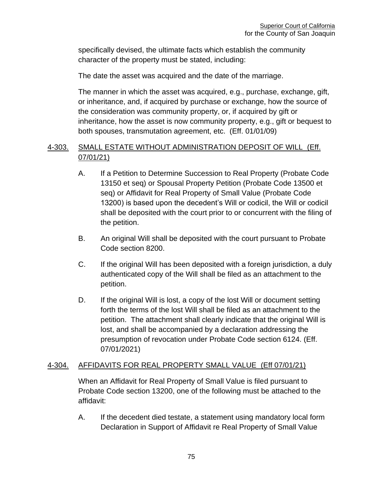specifically devised, the ultimate facts which establish the community character of the property must be stated, including:

The date the asset was acquired and the date of the marriage.

The manner in which the asset was acquired, e.g., purchase, exchange, gift, or inheritance, and, if acquired by purchase or exchange, how the source of the consideration was community property, or, if acquired by gift or inheritance, how the asset is now community property, e.g., gift or bequest to both spouses, transmutation agreement, etc. (Eff. 01/01/09)

# 4-303. SMALL ESTATE WITHOUT ADMINISTRATION DEPOSIT OF WILL (Eff. 07/01/21)

- A. If a Petition to Determine Succession to Real Property (Probate Code 13150 et seq) or Spousal Property Petition (Probate Code 13500 et seq) or Affidavit for Real Property of Small Value (Probate Code 13200) is based upon the decedent's Will or codicil, the Will or codicil shall be deposited with the court prior to or concurrent with the filing of the petition.
- B. An original Will shall be deposited with the court pursuant to Probate Code section 8200.
- C. If the original Will has been deposited with a foreign jurisdiction, a duly authenticated copy of the Will shall be filed as an attachment to the petition.
- D. If the original Will is lost, a copy of the lost Will or document setting forth the terms of the lost Will shall be filed as an attachment to the petition. The attachment shall clearly indicate that the original Will is lost, and shall be accompanied by a declaration addressing the presumption of revocation under Probate Code section 6124. (Eff. 07/01/2021)

# 4-304. AFFIDAVITS FOR REAL PROPERTY SMALL VALUE (Eff 07/01/21)

When an Affidavit for Real Property of Small Value is filed pursuant to Probate Code section 13200, one of the following must be attached to the affidavit:

A. If the decedent died testate, a statement using mandatory local form Declaration in Support of Affidavit re Real Property of Small Value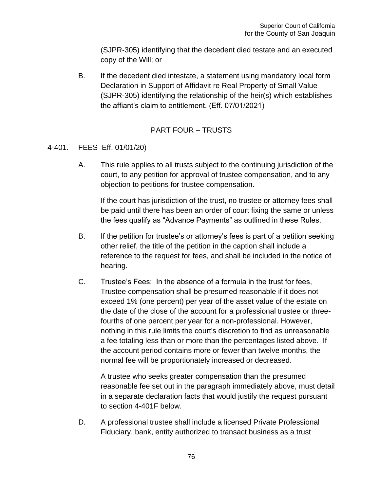(SJPR-305) identifying that the decedent died testate and an executed copy of the Will; or

B. If the decedent died intestate, a statement using mandatory local form Declaration in Support of Affidavit re Real Property of Small Value (SJPR-305) identifying the relationship of the heir(s) which establishes the affiant's claim to entitlement. (Eff. 07/01/2021)

# PART FOUR – TRUSTS

### 4-401. FEES Eff. 01/01/20)

A. This rule applies to all trusts subject to the continuing jurisdiction of the court, to any petition for approval of trustee compensation, and to any objection to petitions for trustee compensation.

If the court has jurisdiction of the trust, no trustee or attorney fees shall be paid until there has been an order of court fixing the same or unless the fees qualify as "Advance Payments" as outlined in these Rules.

- B. If the petition for trustee's or attorney's fees is part of a petition seeking other relief, the title of the petition in the caption shall include a reference to the request for fees, and shall be included in the notice of hearing.
- C. Trustee's Fees: In the absence of a formula in the trust for fees, Trustee compensation shall be presumed reasonable if it does not exceed 1% (one percent) per year of the asset value of the estate on the date of the close of the account for a professional trustee or threefourths of one percent per year for a non-professional. However, nothing in this rule limits the court's discretion to find as unreasonable a fee totaling less than or more than the percentages listed above. If the account period contains more or fewer than twelve months, the normal fee will be proportionately increased or decreased.

A trustee who seeks greater compensation than the presumed reasonable fee set out in the paragraph immediately above, must detail in a separate declaration facts that would justify the request pursuant to section 4-401F below.

D. A professional trustee shall include a licensed Private Professional Fiduciary, bank, entity authorized to transact business as a trust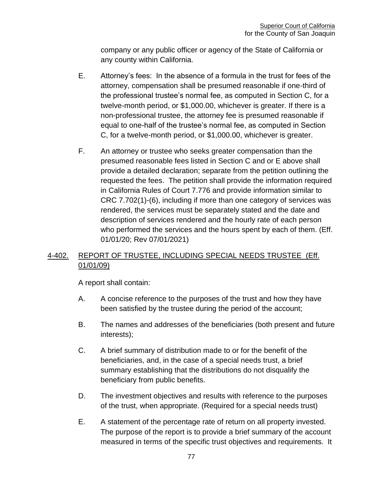company or any public officer or agency of the State of California or any county within California.

- E. Attorney's fees: In the absence of a formula in the trust for fees of the attorney, compensation shall be presumed reasonable if one-third of the professional trustee's normal fee, as computed in Section C, for a twelve-month period, or \$1,000.00, whichever is greater. If there is a non-professional trustee, the attorney fee is presumed reasonable if equal to one-half of the trustee's normal fee, as computed in Section C, for a twelve-month period, or \$1,000.00, whichever is greater.
- F. An attorney or trustee who seeks greater compensation than the presumed reasonable fees listed in Section C and or E above shall provide a detailed declaration; separate from the petition outlining the requested the fees. The petition shall provide the information required in California Rules of Court 7.776 and provide information similar to CRC 7.702(1)-(6), including if more than one category of services was rendered, the services must be separately stated and the date and description of services rendered and the hourly rate of each person who performed the services and the hours spent by each of them. (Eff. 01/01/20; Rev 07/01/2021)

# 4-402. REPORT OF TRUSTEE, INCLUDING SPECIAL NEEDS TRUSTEE (Eff. 01/01/09)

A report shall contain:

- A. A concise reference to the purposes of the trust and how they have been satisfied by the trustee during the period of the account;
- B. The names and addresses of the beneficiaries (both present and future interests);
- C. A brief summary of distribution made to or for the benefit of the beneficiaries, and, in the case of a special needs trust, a brief summary establishing that the distributions do not disqualify the beneficiary from public benefits.
- D. The investment objectives and results with reference to the purposes of the trust, when appropriate. (Required for a special needs trust)
- E. A statement of the percentage rate of return on all property invested. The purpose of the report is to provide a brief summary of the account measured in terms of the specific trust objectives and requirements. It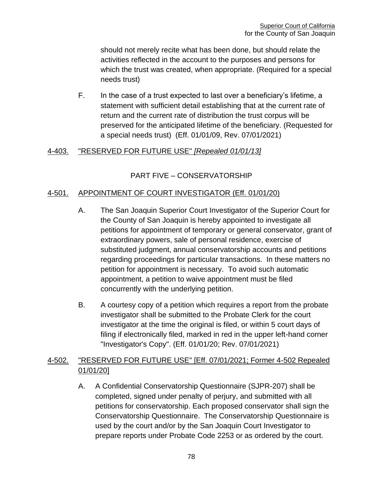should not merely recite what has been done, but should relate the activities reflected in the account to the purposes and persons for which the trust was created, when appropriate. (Required for a special needs trust)

F. In the case of a trust expected to last over a beneficiary's lifetime, a statement with sufficient detail establishing that at the current rate of return and the current rate of distribution the trust corpus will be preserved for the anticipated lifetime of the beneficiary. (Requested for a special needs trust) (Eff. 01/01/09, Rev. 07/01/2021)

## 4-403. "RESERVED FOR FUTURE USE" *[Repealed 01/01/13]*

# PART FIVE – CONSERVATORSHIP

### 4-501. APPOINTMENT OF COURT INVESTIGATOR (Eff. 01/01/20)

- A. The San Joaquin Superior Court Investigator of the Superior Court for the County of San Joaquin is hereby appointed to investigate all petitions for appointment of temporary or general conservator, grant of extraordinary powers, sale of personal residence, exercise of substituted judgment, annual conservatorship accounts and petitions regarding proceedings for particular transactions. In these matters no petition for appointment is necessary. To avoid such automatic appointment, a petition to waive appointment must be filed concurrently with the underlying petition.
- B. A courtesy copy of a petition which requires a report from the probate investigator shall be submitted to the Probate Clerk for the court investigator at the time the original is filed, or within 5 court days of filing if electronically filed, marked in red in the upper left-hand corner "Investigator's Copy". (Eff. 01/01/20; Rev. 07/01/2021)

# 4-502. "RESERVED FOR FUTURE USE" [Eff. 07/01/2021; Former 4-502 Repealed 01/01/20]

A. A Confidential Conservatorship Questionnaire (SJPR-207) shall be completed, signed under penalty of perjury, and submitted with all petitions for conservatorship. Each proposed conservator shall sign the Conservatorship Questionnaire. The Conservatorship Questionnaire is used by the court and/or by the San Joaquin Court Investigator to prepare reports under Probate Code 2253 or as ordered by the court.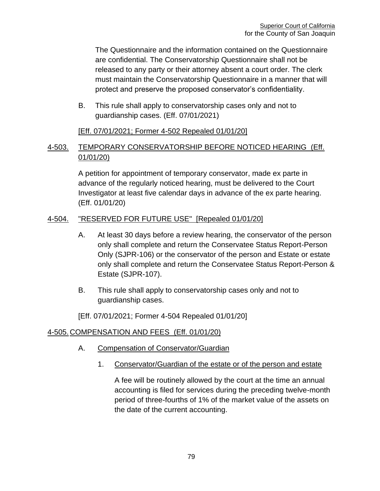The Questionnaire and the information contained on the Questionnaire are confidential. The Conservatorship Questionnaire shall not be released to any party or their attorney absent a court order. The clerk must maintain the Conservatorship Questionnaire in a manner that will protect and preserve the proposed conservator's confidentiality.

B. This rule shall apply to conservatorship cases only and not to guardianship cases. (Eff. 07/01/2021)

### [Eff. 07/01/2021; Former 4-502 Repealed 01/01/20]

# 4-503. TEMPORARY CONSERVATORSHIP BEFORE NOTICED HEARING (Eff. 01/01/20)

A petition for appointment of temporary conservator, made ex parte in advance of the regularly noticed hearing, must be delivered to the Court Investigator at least five calendar days in advance of the ex parte hearing. (Eff. 01/01/20)

### 4-504. "RESERVED FOR FUTURE USE" [Repealed 01/01/20]

- A. At least 30 days before a review hearing, the conservator of the person only shall complete and return the Conservatee Status Report-Person Only (SJPR-106) or the conservator of the person and Estate or estate only shall complete and return the Conservatee Status Report-Person & Estate (SJPR-107).
- B. This rule shall apply to conservatorship cases only and not to guardianship cases.

[Eff. 07/01/2021; Former 4-504 Repealed 01/01/20]

## 4-505. COMPENSATION AND FEES (Eff. 01/01/20)

- A. Compensation of Conservator/Guardian
	- 1. Conservator/Guardian of the estate or of the person and estate

A fee will be routinely allowed by the court at the time an annual accounting is filed for services during the preceding twelve-month period of three-fourths of 1% of the market value of the assets on the date of the current accounting.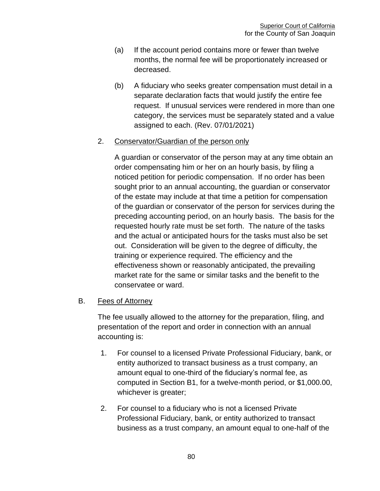- (a) If the account period contains more or fewer than twelve months, the normal fee will be proportionately increased or decreased.
- (b) A fiduciary who seeks greater compensation must detail in a separate declaration facts that would justify the entire fee request. If unusual services were rendered in more than one category, the services must be separately stated and a value assigned to each. (Rev. 07/01/2021)

## 2. Conservator/Guardian of the person only

A guardian or conservator of the person may at any time obtain an order compensating him or her on an hourly basis, by filing a noticed petition for periodic compensation. If no order has been sought prior to an annual accounting, the guardian or conservator of the estate may include at that time a petition for compensation of the guardian or conservator of the person for services during the preceding accounting period, on an hourly basis. The basis for the requested hourly rate must be set forth. The nature of the tasks and the actual or anticipated hours for the tasks must also be set out. Consideration will be given to the degree of difficulty, the training or experience required. The efficiency and the effectiveness shown or reasonably anticipated, the prevailing market rate for the same or similar tasks and the benefit to the conservatee or ward.

## B. Fees of Attorney

The fee usually allowed to the attorney for the preparation, filing, and presentation of the report and order in connection with an annual accounting is:

- 1. For counsel to a licensed Private Professional Fiduciary, bank, or entity authorized to transact business as a trust company, an amount equal to one-third of the fiduciary's normal fee, as computed in Section B1, for a twelve-month period, or \$1,000.00, whichever is greater;
- 2. For counsel to a fiduciary who is not a licensed Private Professional Fiduciary, bank, or entity authorized to transact business as a trust company, an amount equal to one-half of the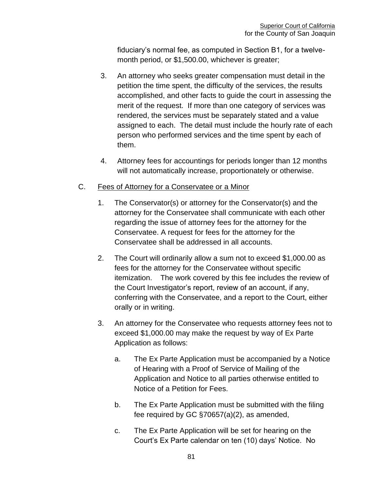fiduciary's normal fee, as computed in Section B1, for a twelvemonth period, or \$1,500.00, whichever is greater;

- 3. An attorney who seeks greater compensation must detail in the petition the time spent, the difficulty of the services, the results accomplished, and other facts to guide the court in assessing the merit of the request. If more than one category of services was rendered, the services must be separately stated and a value assigned to each. The detail must include the hourly rate of each person who performed services and the time spent by each of them.
- 4. Attorney fees for accountings for periods longer than 12 months will not automatically increase, proportionately or otherwise.

## C. Fees of Attorney for a Conservatee or a Minor

- 1. The Conservator(s) or attorney for the Conservator(s) and the attorney for the Conservatee shall communicate with each other regarding the issue of attorney fees for the attorney for the Conservatee. A request for fees for the attorney for the Conservatee shall be addressed in all accounts.
- 2. The Court will ordinarily allow a sum not to exceed \$1,000.00 as fees for the attorney for the Conservatee without specific itemization. The work covered by this fee includes the review of the Court Investigator's report, review of an account, if any, conferring with the Conservatee, and a report to the Court, either orally or in writing.
- 3. An attorney for the Conservatee who requests attorney fees not to exceed \$1,000.00 may make the request by way of Ex Parte Application as follows:
	- a. The Ex Parte Application must be accompanied by a Notice of Hearing with a Proof of Service of Mailing of the Application and Notice to all parties otherwise entitled to Notice of a Petition for Fees.
	- b. The Ex Parte Application must be submitted with the filing fee required by GC §70657(a)(2), as amended,
	- c. The Ex Parte Application will be set for hearing on the Court's Ex Parte calendar on ten (10) days' Notice. No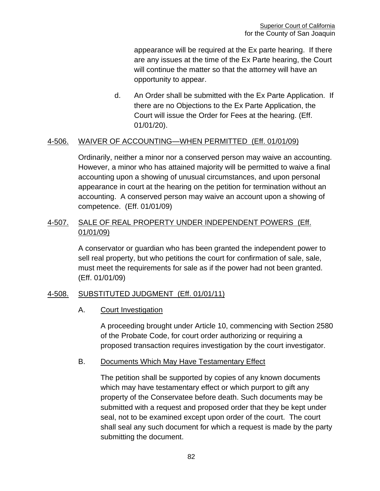appearance will be required at the Ex parte hearing. If there are any issues at the time of the Ex Parte hearing, the Court will continue the matter so that the attorney will have an opportunity to appear.

d. An Order shall be submitted with the Ex Parte Application. If there are no Objections to the Ex Parte Application, the Court will issue the Order for Fees at the hearing. (Eff. 01/01/20).

# 4-506. WAIVER OF ACCOUNTING—WHEN PERMITTED (Eff. 01/01/09)

Ordinarily, neither a minor nor a conserved person may waive an accounting. However, a minor who has attained majority will be permitted to waive a final accounting upon a showing of unusual circumstances, and upon personal appearance in court at the hearing on the petition for termination without an accounting. A conserved person may waive an account upon a showing of competence. (Eff. 01/01/09)

# 4-507. SALE OF REAL PROPERTY UNDER INDEPENDENT POWERS (Eff. 01/01/09)

A conservator or guardian who has been granted the independent power to sell real property, but who petitions the court for confirmation of sale, sale, must meet the requirements for sale as if the power had not been granted. (Eff. 01/01/09)

## 4-508. SUBSTITUTED JUDGMENT (Eff. 01/01/11)

#### A. Court Investigation

A proceeding brought under Article 10, commencing with Section 2580 of the Probate Code, for court order authorizing or requiring a proposed transaction requires investigation by the court investigator.

#### B. Documents Which May Have Testamentary Effect

The petition shall be supported by copies of any known documents which may have testamentary effect or which purport to gift any property of the Conservatee before death. Such documents may be submitted with a request and proposed order that they be kept under seal, not to be examined except upon order of the court. The court shall seal any such document for which a request is made by the party submitting the document.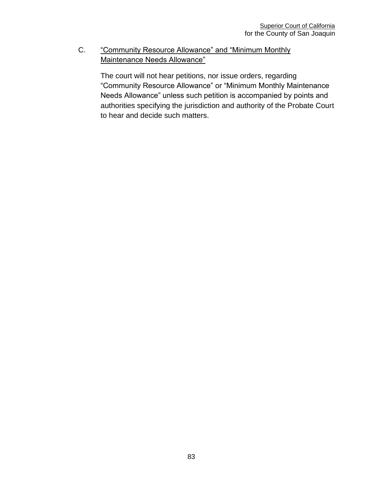C. "Community Resource Allowance" and "Minimum Monthly Maintenance Needs Allowance"

> The court will not hear petitions, nor issue orders, regarding "Community Resource Allowance" or "Minimum Monthly Maintenance Needs Allowance" unless such petition is accompanied by points and authorities specifying the jurisdiction and authority of the Probate Court to hear and decide such matters.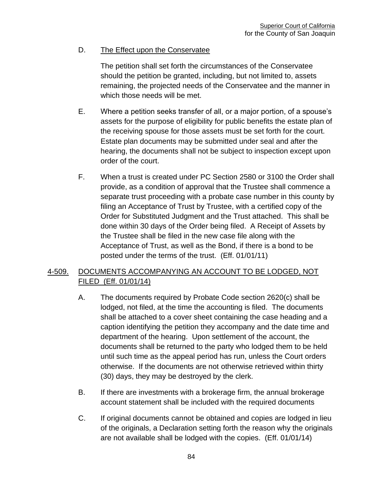# D. The Effect upon the Conservatee

The petition shall set forth the circumstances of the Conservatee should the petition be granted, including, but not limited to, assets remaining, the projected needs of the Conservatee and the manner in which those needs will be met.

- E. Where a petition seeks transfer of all, or a major portion, of a spouse's assets for the purpose of eligibility for public benefits the estate plan of the receiving spouse for those assets must be set forth for the court. Estate plan documents may be submitted under seal and after the hearing, the documents shall not be subject to inspection except upon order of the court.
- F. When a trust is created under PC Section 2580 or 3100 the Order shall provide, as a condition of approval that the Trustee shall commence a separate trust proceeding with a probate case number in this county by filing an Acceptance of Trust by Trustee, with a certified copy of the Order for Substituted Judgment and the Trust attached. This shall be done within 30 days of the Order being filed. A Receipt of Assets by the Trustee shall be filed in the new case file along with the Acceptance of Trust, as well as the Bond, if there is a bond to be posted under the terms of the trust. (Eff. 01/01/11)

# 4-509. DOCUMENTS ACCOMPANYING AN ACCOUNT TO BE LODGED, NOT FILED (Eff. 01/01/14)

- A. The documents required by Probate Code section 2620(c) shall be lodged, not filed, at the time the accounting is filed. The documents shall be attached to a cover sheet containing the case heading and a caption identifying the petition they accompany and the date time and department of the hearing. Upon settlement of the account, the documents shall be returned to the party who lodged them to be held until such time as the appeal period has run, unless the Court orders otherwise. If the documents are not otherwise retrieved within thirty (30) days, they may be destroyed by the clerk.
- B. If there are investments with a brokerage firm, the annual brokerage account statement shall be included with the required documents
- C. If original documents cannot be obtained and copies are lodged in lieu of the originals, a Declaration setting forth the reason why the originals are not available shall be lodged with the copies. (Eff. 01/01/14)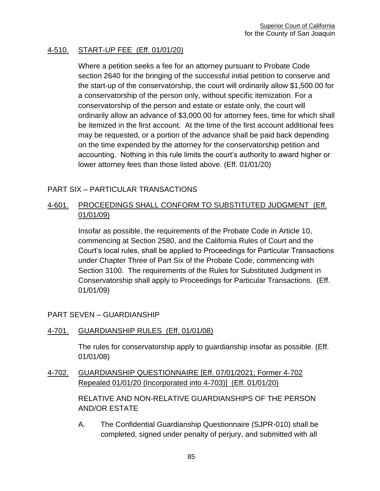### 4-510. START-UP FEE (Eff. 01/01/20)

Where a petition seeks a fee for an attorney pursuant to Probate Code section 2640 for the bringing of the successful initial petition to conserve and the start-up of the conservatorship, the court will ordinarily allow \$1,500.00 for a conservatorship of the person only, without specific itemization. For a conservatorship of the person and estate or estate only, the court will ordinarily allow an advance of \$3,000.00 for attorney fees, time for which shall be itemized in the first account. At the time of the first account additional fees may be requested, or a portion of the advance shall be paid back depending on the time expended by the attorney for the conservatorship petition and accounting. Nothing in this rule limits the court's authority to award higher or lower attorney fees than those listed above. (Eff. 01/01/20)

### PART SIX – PARTICULAR TRANSACTIONS

### 4-601. PROCEEDINGS SHALL CONFORM TO SUBSTITUTED JUDGMENT (Eff. 01/01/09)

Insofar as possible, the requirements of the Probate Code in Article 10, commencing at Section 2580, and the California Rules of Court and the Court's local rules, shall be applied to Proceedings for Particular Transactions under Chapter Three of Part Six of the Probate Code, commencing with Section 3100. The requirements of the Rules for Substituted Judgment in Conservatorship shall apply to Proceedings for Particular Transactions. (Eff. 01/01/09)

PART SEVEN – GUARDIANSHIP

4-701. GUARDIANSHIP RULES (Eff. 01/01/08)

The rules for conservatorship apply to guardianship insofar as possible. (Eff. 01/01/08)

4-702. GUARDIANSHIP QUESTIONNAIRE [Eff. 07/01/2021; Former 4-702 Repealed 01/01/20 (Incorporated into 4-703)] (Eff. 01/01/20)

> RELATIVE AND NON-RELATIVE GUARDIANSHIPS OF THE PERSON AND/OR ESTATE

A. The Confidential Guardianship Questionnaire (SJPR-010) shall be completed, signed under penalty of perjury, and submitted with all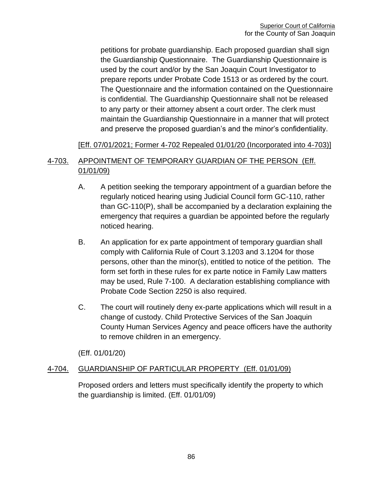petitions for probate guardianship. Each proposed guardian shall sign the Guardianship Questionnaire. The Guardianship Questionnaire is used by the court and/or by the San Joaquin Court Investigator to prepare reports under Probate Code 1513 or as ordered by the court. The Questionnaire and the information contained on the Questionnaire is confidential. The Guardianship Questionnaire shall not be released to any party or their attorney absent a court order. The clerk must maintain the Guardianship Questionnaire in a manner that will protect and preserve the proposed guardian's and the minor's confidentiality.

### [Eff. 07/01/2021; Former 4-702 Repealed 01/01/20 (Incorporated into 4-703)]

# 4-703. APPOINTMENT OF TEMPORARY GUARDIAN OF THE PERSON (Eff. 01/01/09)

- A. A petition seeking the temporary appointment of a guardian before the regularly noticed hearing using Judicial Council form GC-110, rather than GC-110(P), shall be accompanied by a declaration explaining the emergency that requires a guardian be appointed before the regularly noticed hearing.
- B. An application for ex parte appointment of temporary guardian shall comply with California Rule of Court 3.1203 and 3.1204 for those persons, other than the minor(s), entitled to notice of the petition. The form set forth in these rules for ex parte notice in Family Law matters may be used, Rule 7-100. A declaration establishing compliance with Probate Code Section 2250 is also required.
- C. The court will routinely deny ex-parte applications which will result in a change of custody. Child Protective Services of the San Joaquin County Human Services Agency and peace officers have the authority to remove children in an emergency.

(Eff. 01/01/20)

## 4-704. GUARDIANSHIP OF PARTICULAR PROPERTY (Eff. 01/01/09)

Proposed orders and letters must specifically identify the property to which the guardianship is limited. (Eff. 01/01/09)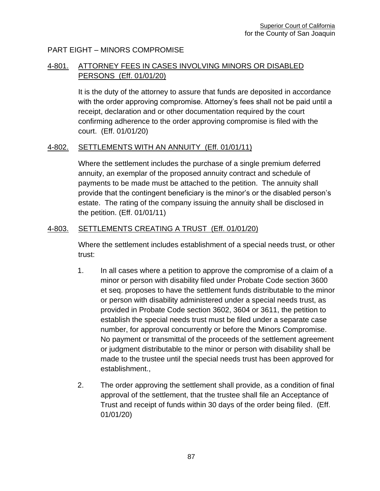### PART EIGHT – MINORS COMPROMISE

# 4-801. ATTORNEY FEES IN CASES INVOLVING MINORS OR DISABLED PERSONS (Eff. 01/01/20)

It is the duty of the attorney to assure that funds are deposited in accordance with the order approving compromise. Attorney's fees shall not be paid until a receipt, declaration and or other documentation required by the court confirming adherence to the order approving compromise is filed with the court. (Eff. 01/01/20)

#### 4-802. SETTLEMENTS WITH AN ANNUITY (Eff. 01/01/11)

Where the settlement includes the purchase of a single premium deferred annuity, an exemplar of the proposed annuity contract and schedule of payments to be made must be attached to the petition. The annuity shall provide that the contingent beneficiary is the minor's or the disabled person's estate. The rating of the company issuing the annuity shall be disclosed in the petition. (Eff. 01/01/11)

### 4-803. SETTLEMENTS CREATING A TRUST (Eff. 01/01/20)

Where the settlement includes establishment of a special needs trust, or other trust:

- 1. In all cases where a petition to approve the compromise of a claim of a minor or person with disability filed under Probate Code section 3600 et seq. proposes to have the settlement funds distributable to the minor or person with disability administered under a special needs trust, as provided in Probate Code section 3602, 3604 or 3611, the petition to establish the special needs trust must be filed under a separate case number, for approval concurrently or before the Minors Compromise. No payment or transmittal of the proceeds of the settlement agreement or judgment distributable to the minor or person with disability shall be made to the trustee until the special needs trust has been approved for establishment.,
- 2. The order approving the settlement shall provide, as a condition of final approval of the settlement, that the trustee shall file an Acceptance of Trust and receipt of funds within 30 days of the order being filed. (Eff. 01/01/20)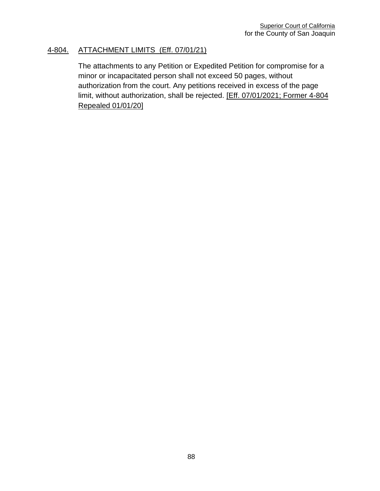### 4-804. ATTACHMENT LIMITS (Eff. 07/01/21)

The attachments to any Petition or Expedited Petition for compromise for a minor or incapacitated person shall not exceed 50 pages, without authorization from the court. Any petitions received in excess of the page limit, without authorization, shall be rejected. [Eff. 07/01/2021; Former 4-804 Repealed 01/01/20]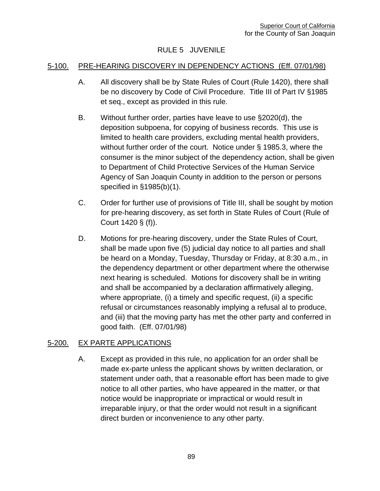# RULE 5 JUVENILE

#### 5-100. PRE-HEARING DISCOVERY IN DEPENDENCY ACTIONS (Eff. 07/01/98)

- A. All discovery shall be by State Rules of Court (Rule 1420), there shall be no discovery by Code of Civil Procedure. Title III of Part IV §1985 et seq., except as provided in this rule.
- B. Without further order, parties have leave to use §2020(d), the deposition subpoena, for copying of business records. This use is limited to health care providers, excluding mental health providers, without further order of the court. Notice under § 1985.3, where the consumer is the minor subject of the dependency action, shall be given to Department of Child Protective Services of the Human Service Agency of San Joaquin County in addition to the person or persons specified in §1985(b)(1).
- C. Order for further use of provisions of Title III, shall be sought by motion for pre-hearing discovery, as set forth in State Rules of Court (Rule of Court 1420 § (f)).
- D. Motions for pre-hearing discovery, under the State Rules of Court, shall be made upon five (5) judicial day notice to all parties and shall be heard on a Monday, Tuesday, Thursday or Friday, at 8:30 a.m., in the dependency department or other department where the otherwise next hearing is scheduled. Motions for discovery shall be in writing and shall be accompanied by a declaration affirmatively alleging, where appropriate, (i) a timely and specific request, (ii) a specific refusal or circumstances reasonably implying a refusal al to produce, and (iii) that the moving party has met the other party and conferred in good faith. (Eff. 07/01/98)

## 5-200. EX PARTE APPLICATIONS

A. Except as provided in this rule, no application for an order shall be made ex-parte unless the applicant shows by written declaration, or statement under oath, that a reasonable effort has been made to give notice to all other parties, who have appeared in the matter, or that notice would be inappropriate or impractical or would result in irreparable injury, or that the order would not result in a significant direct burden or inconvenience to any other party.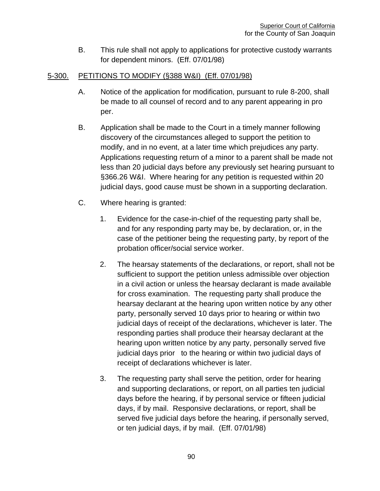B. This rule shall not apply to applications for protective custody warrants for dependent minors. (Eff. 07/01/98)

## 5-300. PETITIONS TO MODIFY (§388 W&I) (Eff. 07/01/98)

- A. Notice of the application for modification, pursuant to rule 8-200, shall be made to all counsel of record and to any parent appearing in pro per.
- B. Application shall be made to the Court in a timely manner following discovery of the circumstances alleged to support the petition to modify, and in no event, at a later time which prejudices any party. Applications requesting return of a minor to a parent shall be made not less than 20 judicial days before any previously set hearing pursuant to §366.26 W&I. Where hearing for any petition is requested within 20 judicial days, good cause must be shown in a supporting declaration.
- C. Where hearing is granted:
	- 1. Evidence for the case-in-chief of the requesting party shall be, and for any responding party may be, by declaration, or, in the case of the petitioner being the requesting party, by report of the probation officer/social service worker.
	- 2. The hearsay statements of the declarations, or report, shall not be sufficient to support the petition unless admissible over objection in a civil action or unless the hearsay declarant is made available for cross examination. The requesting party shall produce the hearsay declarant at the hearing upon written notice by any other party, personally served 10 days prior to hearing or within two judicial days of receipt of the declarations, whichever is later. The responding parties shall produce their hearsay declarant at the hearing upon written notice by any party, personally served five judicial days prior to the hearing or within two judicial days of receipt of declarations whichever is later.
	- 3. The requesting party shall serve the petition, order for hearing and supporting declarations, or report, on all parties ten judicial days before the hearing, if by personal service or fifteen judicial days, if by mail. Responsive declarations, or report, shall be served five judicial days before the hearing, if personally served, or ten judicial days, if by mail. (Eff. 07/01/98)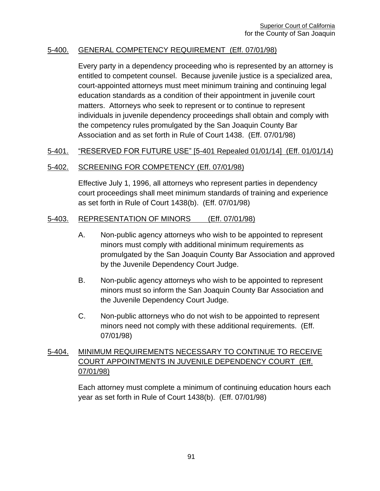#### 5-400. GENERAL COMPETENCY REQUIREMENT (Eff. 07/01/98)

Every party in a dependency proceeding who is represented by an attorney is entitled to competent counsel. Because juvenile justice is a specialized area, court-appointed attorneys must meet minimum training and continuing legal education standards as a condition of their appointment in juvenile court matters. Attorneys who seek to represent or to continue to represent individuals in juvenile dependency proceedings shall obtain and comply with the competency rules promulgated by the San Joaquin County Bar Association and as set forth in Rule of Court 1438. (Eff. 07/01/98)

### 5-401. "RESERVED FOR FUTURE USE" [5-401 Repealed 01/01/14] (Eff. 01/01/14)

#### 5-402. SCREENING FOR COMPETENCY (Eff. 07/01/98)

Effective July 1, 1996, all attorneys who represent parties in dependency court proceedings shall meet minimum standards of training and experience as set forth in Rule of Court 1438(b). (Eff. 07/01/98)

### 5-403. REPRESENTATION OF MINORS (Eff. 07/01/98)

- A. Non-public agency attorneys who wish to be appointed to represent minors must comply with additional minimum requirements as promulgated by the San Joaquin County Bar Association and approved by the Juvenile Dependency Court Judge.
- B. Non-public agency attorneys who wish to be appointed to represent minors must so inform the San Joaquin County Bar Association and the Juvenile Dependency Court Judge.
- C. Non-public attorneys who do not wish to be appointed to represent minors need not comply with these additional requirements. (Eff. 07/01/98)

# 5-404. MINIMUM REQUIREMENTS NECESSARY TO CONTINUE TO RECEIVE COURT APPOINTMENTS IN JUVENILE DEPENDENCY COURT (Eff. 07/01/98)

Each attorney must complete a minimum of continuing education hours each year as set forth in Rule of Court 1438(b). (Eff. 07/01/98)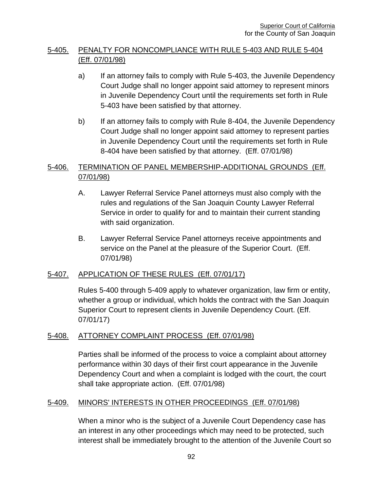# 5-405. PENALTY FOR NONCOMPLIANCE WITH RULE 5-403 AND RULE 5-404 (Eff. 07/01/98)

- a) If an attorney fails to comply with Rule 5-403, the Juvenile Dependency Court Judge shall no longer appoint said attorney to represent minors in Juvenile Dependency Court until the requirements set forth in Rule 5-403 have been satisfied by that attorney.
- b) If an attorney fails to comply with Rule 8-404, the Juvenile Dependency Court Judge shall no longer appoint said attorney to represent parties in Juvenile Dependency Court until the requirements set forth in Rule 8-404 have been satisfied by that attorney. (Eff. 07/01/98)

## 5-406. TERMINATION OF PANEL MEMBERSHIP-ADDITIONAL GROUNDS (Eff. 07/01/98)

- A. Lawyer Referral Service Panel attorneys must also comply with the rules and regulations of the San Joaquin County Lawyer Referral Service in order to qualify for and to maintain their current standing with said organization.
- B. Lawyer Referral Service Panel attorneys receive appointments and service on the Panel at the pleasure of the Superior Court. (Eff. 07/01/98)

## 5-407. APPLICATION OF THESE RULES (Eff. 07/01/17)

Rules 5-400 through 5-409 apply to whatever organization, law firm or entity, whether a group or individual, which holds the contract with the San Joaquin Superior Court to represent clients in Juvenile Dependency Court. (Eff. 07/01/17)

## 5-408. ATTORNEY COMPLAINT PROCESS (Eff. 07/01/98)

Parties shall be informed of the process to voice a complaint about attorney performance within 30 days of their first court appearance in the Juvenile Dependency Court and when a complaint is lodged with the court, the court shall take appropriate action. (Eff. 07/01/98)

## 5-409. MINORS' INTERESTS IN OTHER PROCEEDINGS (Eff. 07/01/98)

When a minor who is the subject of a Juvenile Court Dependency case has an interest in any other proceedings which may need to be protected, such interest shall be immediately brought to the attention of the Juvenile Court so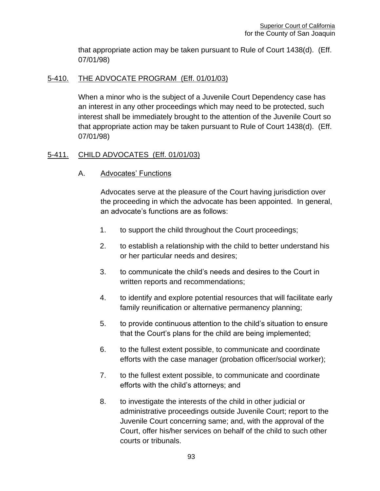that appropriate action may be taken pursuant to Rule of Court 1438(d). (Eff. 07/01/98)

### 5-410. THE ADVOCATE PROGRAM (Eff. 01/01/03)

When a minor who is the subject of a Juvenile Court Dependency case has an interest in any other proceedings which may need to be protected, such interest shall be immediately brought to the attention of the Juvenile Court so that appropriate action may be taken pursuant to Rule of Court 1438(d). (Eff. 07/01/98)

### 5-411. CHILD ADVOCATES (Eff. 01/01/03)

A. Advocates' Functions

Advocates serve at the pleasure of the Court having jurisdiction over the proceeding in which the advocate has been appointed. In general, an advocate's functions are as follows:

- 1. to support the child throughout the Court proceedings;
- 2. to establish a relationship with the child to better understand his or her particular needs and desires;
- 3. to communicate the child's needs and desires to the Court in written reports and recommendations;
- 4. to identify and explore potential resources that will facilitate early family reunification or alternative permanency planning;
- 5. to provide continuous attention to the child's situation to ensure that the Court's plans for the child are being implemented;
- 6. to the fullest extent possible, to communicate and coordinate efforts with the case manager (probation officer/social worker);
- 7. to the fullest extent possible, to communicate and coordinate efforts with the child's attorneys; and
- 8. to investigate the interests of the child in other judicial or administrative proceedings outside Juvenile Court; report to the Juvenile Court concerning same; and, with the approval of the Court, offer his/her services on behalf of the child to such other courts or tribunals.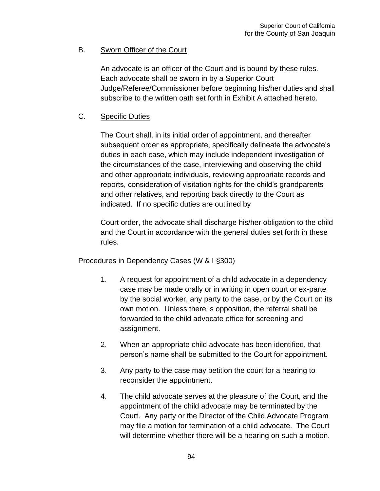# B. Sworn Officer of the Court

An advocate is an officer of the Court and is bound by these rules. Each advocate shall be sworn in by a Superior Court Judge/Referee/Commissioner before beginning his/her duties and shall subscribe to the written oath set forth in Exhibit A attached hereto.

# C. Specific Duties

The Court shall, in its initial order of appointment, and thereafter subsequent order as appropriate, specifically delineate the advocate's duties in each case, which may include independent investigation of the circumstances of the case, interviewing and observing the child and other appropriate individuals, reviewing appropriate records and reports, consideration of visitation rights for the child's grandparents and other relatives, and reporting back directly to the Court as indicated. If no specific duties are outlined by

Court order, the advocate shall discharge his/her obligation to the child and the Court in accordance with the general duties set forth in these rules.

Procedures in Dependency Cases (W & I §300)

- 1. A request for appointment of a child advocate in a dependency case may be made orally or in writing in open court or ex-parte by the social worker, any party to the case, or by the Court on its own motion. Unless there is opposition, the referral shall be forwarded to the child advocate office for screening and assignment.
- 2. When an appropriate child advocate has been identified, that person's name shall be submitted to the Court for appointment.
- 3. Any party to the case may petition the court for a hearing to reconsider the appointment.
- 4. The child advocate serves at the pleasure of the Court, and the appointment of the child advocate may be terminated by the Court. Any party or the Director of the Child Advocate Program may file a motion for termination of a child advocate. The Court will determine whether there will be a hearing on such a motion.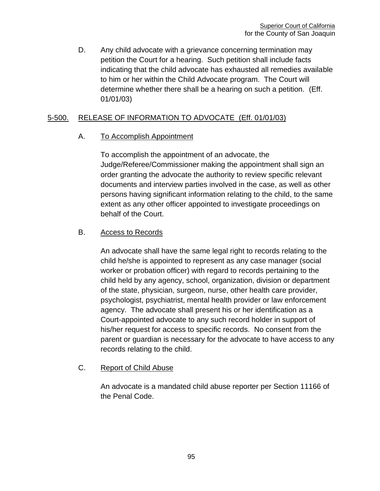D. Any child advocate with a grievance concerning termination may petition the Court for a hearing. Such petition shall include facts indicating that the child advocate has exhausted all remedies available to him or her within the Child Advocate program. The Court will determine whether there shall be a hearing on such a petition. (Eff. 01/01/03)

## 5-500. RELEASE OF INFORMATION TO ADVOCATE (Eff. 01/01/03)

## A. To Accomplish Appointment

To accomplish the appointment of an advocate, the Judge/Referee/Commissioner making the appointment shall sign an order granting the advocate the authority to review specific relevant documents and interview parties involved in the case, as well as other persons having significant information relating to the child, to the same extent as any other officer appointed to investigate proceedings on behalf of the Court.

## B. Access to Records

An advocate shall have the same legal right to records relating to the child he/she is appointed to represent as any case manager (social worker or probation officer) with regard to records pertaining to the child held by any agency, school, organization, division or department of the state, physician, surgeon, nurse, other health care provider, psychologist, psychiatrist, mental health provider or law enforcement agency. The advocate shall present his or her identification as a Court-appointed advocate to any such record holder in support of his/her request for access to specific records. No consent from the parent or guardian is necessary for the advocate to have access to any records relating to the child.

## C. Report of Child Abuse

An advocate is a mandated child abuse reporter per Section 11166 of the Penal Code.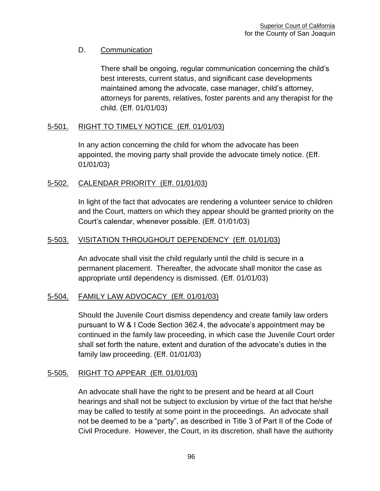# D. Communication

There shall be ongoing, regular communication concerning the child's best interests, current status, and significant case developments maintained among the advocate, case manager, child's attorney, attorneys for parents, relatives, foster parents and any therapist for the child. (Eff. 01/01/03)

# 5-501. RIGHT TO TIMELY NOTICE (Eff. 01/01/03)

In any action concerning the child for whom the advocate has been appointed, the moving party shall provide the advocate timely notice. (Eff. 01/01/03)

## 5-502. CALENDAR PRIORITY (Eff. 01/01/03)

In light of the fact that advocates are rendering a volunteer service to children and the Court, matters on which they appear should be granted priority on the Court's calendar, whenever possible. (Eff. 01/01/03)

## 5-503. VISITATION THROUGHOUT DEPENDENCY (Eff. 01/01/03)

An advocate shall visit the child regularly until the child is secure in a permanent placement. Thereafter, the advocate shall monitor the case as appropriate until dependency is dismissed. (Eff. 01/01/03)

## 5-504. FAMILY LAW ADVOCACY (Eff. 01/01/03)

Should the Juvenile Court dismiss dependency and create family law orders pursuant to W & I Code Section 362.4, the advocate's appointment may be continued in the family law proceeding, in which case the Juvenile Court order shall set forth the nature, extent and duration of the advocate's duties in the family law proceeding. (Eff. 01/01/03)

## 5-505. RIGHT TO APPEAR (Eff. 01/01/03)

An advocate shall have the right to be present and be heard at all Court hearings and shall not be subject to exclusion by virtue of the fact that he/she may be called to testify at some point in the proceedings. An advocate shall not be deemed to be a "party", as described in Title 3 of Part II of the Code of Civil Procedure. However, the Court, in its discretion, shall have the authority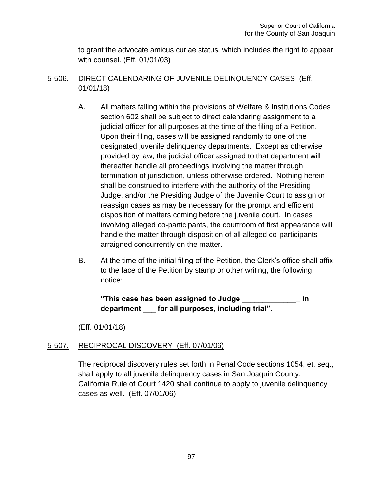to grant the advocate amicus curiae status, which includes the right to appear with counsel. (Eff. 01/01/03)

# 5-506. DIRECT CALENDARING OF JUVENILE DELINQUENCY CASES (Eff. 01/01/18)

- A. All matters falling within the provisions of Welfare & Institutions Codes section 602 shall be subject to direct calendaring assignment to a judicial officer for all purposes at the time of the filing of a Petition. Upon their filing, cases will be assigned randomly to one of the designated juvenile delinquency departments. Except as otherwise provided by law, the judicial officer assigned to that department will thereafter handle all proceedings involving the matter through termination of jurisdiction, unless otherwise ordered. Nothing herein shall be construed to interfere with the authority of the Presiding Judge, and/or the Presiding Judge of the Juvenile Court to assign or reassign cases as may be necessary for the prompt and efficient disposition of matters coming before the juvenile court. In cases involving alleged co-participants, the courtroom of first appearance will handle the matter through disposition of all alleged co-participants arraigned concurrently on the matter.
- B. At the time of the initial filing of the Petition, the Clerk's office shall affix to the face of the Petition by stamp or other writing, the following notice:

**"This case has been assigned to Judge \_\_\_\_\_\_\_\_\_\_\_\_\_\_ in department \_\_\_ for all purposes, including trial".** 

(Eff. 01/01/18)

## 5-507. RECIPROCAL DISCOVERY (Eff. 07/01/06)

The reciprocal discovery rules set forth in Penal Code sections 1054, et. seq., shall apply to all juvenile delinquency cases in San Joaquin County. California Rule of Court 1420 shall continue to apply to juvenile delinquency cases as well. (Eff. 07/01/06)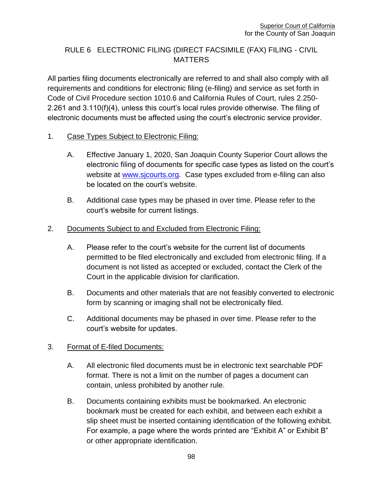# RULE 6 ELECTRONIC FILING (DIRECT FACSIMILE (FAX) FILING - CIVIL **MATTERS**

All parties filing documents electronically are referred to and shall also comply with all requirements and conditions for electronic filing (e-filing) and service as set forth in Code of Civil Procedure section 1010.6 and California Rules of Court, rules 2.250- 2.261 and 3.110(f)(4), unless this court's local rules provide otherwise. The filing of electronic documents must be affected using the court's electronic service provider.

## 1. Case Types Subject to Electronic Filing:

- A. Effective January 1, 2020, San Joaquin County Superior Court allows the electronic filing of documents for specific case types as listed on the court's website at [www.sjcourts.org.](http://www.sjcourts.org/) Case types excluded from e-filing can also be located on the court's website.
- B. Additional case types may be phased in over time. Please refer to the court's website for current listings.

## 2. Documents Subject to and Excluded from Electronic Filing:

- A. Please refer to the court's website for the current list of documents permitted to be filed electronically and excluded from electronic filing. If a document is not listed as accepted or excluded, contact the Clerk of the Court in the applicable division for clarification.
- B. Documents and other materials that are not feasibly converted to electronic form by scanning or imaging shall not be electronically filed.
- C. Additional documents may be phased in over time. Please refer to the court's website for updates.

## 3. Format of E-filed Documents:

- A. All electronic filed documents must be in electronic text searchable PDF format. There is not a limit on the number of pages a document can contain, unless prohibited by another rule.
- B. Documents containing exhibits must be bookmarked. An electronic bookmark must be created for each exhibit, and between each exhibit a slip sheet must be inserted containing identification of the following exhibit. For example, a page where the words printed are "Exhibit A" or Exhibit B" or other appropriate identification.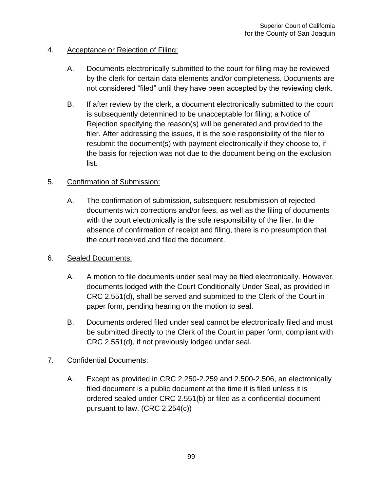## 4. Acceptance or Rejection of Filing:

- A. Documents electronically submitted to the court for filing may be reviewed by the clerk for certain data elements and/or completeness. Documents are not considered "filed" until they have been accepted by the reviewing clerk.
- B. If after review by the clerk, a document electronically submitted to the court is subsequently determined to be unacceptable for filing; a Notice of Rejection specifying the reason(s) will be generated and provided to the filer. After addressing the issues, it is the sole responsibility of the filer to resubmit the document(s) with payment electronically if they choose to, if the basis for rejection was not due to the document being on the exclusion list.

## 5. Confirmation of Submission:

A. The confirmation of submission, subsequent resubmission of rejected documents with corrections and/or fees, as well as the filing of documents with the court electronically is the sole responsibility of the filer. In the absence of confirmation of receipt and filing, there is no presumption that the court received and filed the document.

## 6. Sealed Documents:

- A. A motion to file documents under seal may be filed electronically. However, documents lodged with the Court Conditionally Under Seal, as provided in CRC 2.551(d), shall be served and submitted to the Clerk of the Court in paper form, pending hearing on the motion to seal.
- B. Documents ordered filed under seal cannot be electronically filed and must be submitted directly to the Clerk of the Court in paper form, compliant with CRC 2.551(d), if not previously lodged under seal.

## 7. Confidential Documents:

A. Except as provided in CRC 2.250-2.259 and 2.500-2.506, an electronically filed document is a public document at the time it is filed unless it is ordered sealed under CRC 2.551(b) or filed as a confidential document pursuant to law. (CRC 2.254(c))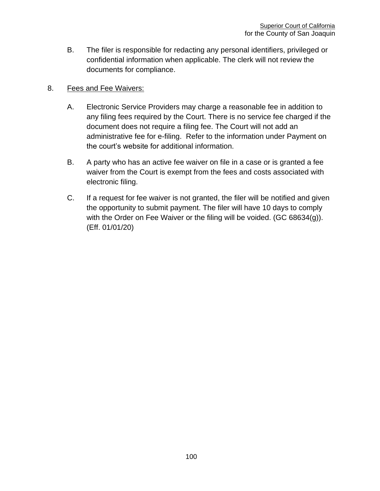B. The filer is responsible for redacting any personal identifiers, privileged or confidential information when applicable. The clerk will not review the documents for compliance.

# 8. Fees and Fee Waivers:

- A. Electronic Service Providers may charge a reasonable fee in addition to any filing fees required by the Court. There is no service fee charged if the document does not require a filing fee. The Court will not add an administrative fee for e-filing. Refer to the information under Payment on the court's website for additional information.
- B. A party who has an active fee waiver on file in a case or is granted a fee waiver from the Court is exempt from the fees and costs associated with electronic filing.
- C. If a request for fee waiver is not granted, the filer will be notified and given the opportunity to submit payment. The filer will have 10 days to comply with the Order on Fee Waiver or the filing will be voided. (GC 68634(g)). (Eff. 01/01/20)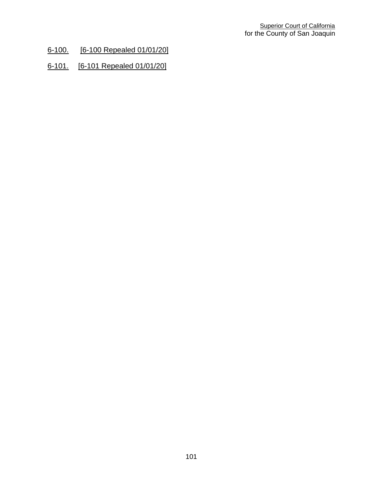- 6-100. [6-100 Repealed 01/01/20]
- 6-101. [6-101 Repealed 01/01/20]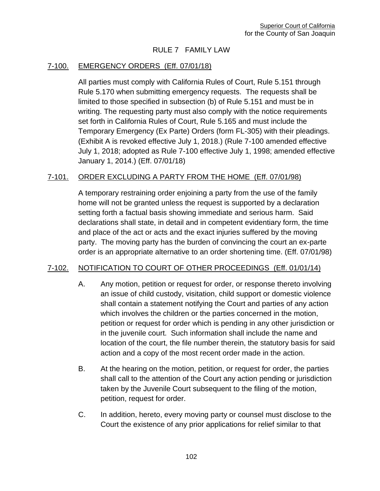# RULE 7 FAMILY LAW

## 7-100. EMERGENCY ORDERS (Eff. 07/01/18)

All parties must comply with California Rules of Court, Rule 5.151 through Rule 5.170 when submitting emergency requests. The requests shall be limited to those specified in subsection (b) of Rule 5.151 and must be in writing. The requesting party must also comply with the notice requirements set forth in California Rules of Court, Rule 5.165 and must include the Temporary Emergency (Ex Parte) Orders (form FL-305) with their pleadings. (Exhibit A is revoked effective July 1, 2018.) (Rule 7-100 amended effective July 1, 2018; adopted as Rule 7-100 effective July 1, 1998; amended effective January 1, 2014.) (Eff. 07/01/18)

### 7-101. ORDER EXCLUDING A PARTY FROM THE HOME (Eff. 07/01/98)

A temporary restraining order enjoining a party from the use of the family home will not be granted unless the request is supported by a declaration setting forth a factual basis showing immediate and serious harm. Said declarations shall state, in detail and in competent evidentiary form, the time and place of the act or acts and the exact injuries suffered by the moving party. The moving party has the burden of convincing the court an ex-parte order is an appropriate alternative to an order shortening time. (Eff. 07/01/98)

#### 7-102. NOTIFICATION TO COURT OF OTHER PROCEEDINGS (Eff. 01/01/14)

- A. Any motion, petition or request for order, or response thereto involving an issue of child custody, visitation, child support or domestic violence shall contain a statement notifying the Court and parties of any action which involves the children or the parties concerned in the motion, petition or request for order which is pending in any other jurisdiction or in the juvenile court. Such information shall include the name and location of the court, the file number therein, the statutory basis for said action and a copy of the most recent order made in the action.
- B. At the hearing on the motion, petition, or request for order, the parties shall call to the attention of the Court any action pending or jurisdiction taken by the Juvenile Court subsequent to the filing of the motion, petition, request for order.
- C. In addition, hereto, every moving party or counsel must disclose to the Court the existence of any prior applications for relief similar to that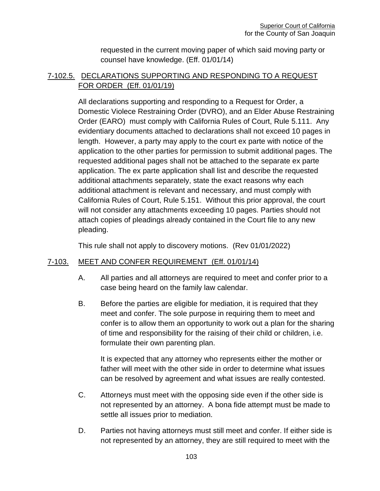requested in the current moving paper of which said moving party or counsel have knowledge. (Eff. 01/01/14)

## 7-102.5. DECLARATIONS SUPPORTING AND RESPONDING TO A REQUEST FOR ORDER (Eff. 01/01/19)

All declarations supporting and responding to a Request for Order, a Domestic Violece Restraining Order (DVRO), and an Elder Abuse Restraining Order (EARO) must comply with California Rules of Court, Rule 5.111. Any evidentiary documents attached to declarations shall not exceed 10 pages in length. However, a party may apply to the court ex parte with notice of the application to the other parties for permission to submit additional pages. The requested additional pages shall not be attached to the separate ex parte application. The ex parte application shall list and describe the requested additional attachments separately, state the exact reasons why each additional attachment is relevant and necessary, and must comply with California Rules of Court, Rule 5.151. Without this prior approval, the court will not consider any attachments exceeding 10 pages. Parties should not attach copies of pleadings already contained in the Court file to any new pleading.

This rule shall not apply to discovery motions. (Rev 01/01/2022)

## 7-103. MEET AND CONFER REQUIREMENT (Eff. 01/01/14)

- A. All parties and all attorneys are required to meet and confer prior to a case being heard on the family law calendar.
- B. Before the parties are eligible for mediation, it is required that they meet and confer. The sole purpose in requiring them to meet and confer is to allow them an opportunity to work out a plan for the sharing of time and responsibility for the raising of their child or children, i.e. formulate their own parenting plan.

It is expected that any attorney who represents either the mother or father will meet with the other side in order to determine what issues can be resolved by agreement and what issues are really contested.

- C. Attorneys must meet with the opposing side even if the other side is not represented by an attorney. A bona fide attempt must be made to settle all issues prior to mediation.
- D. Parties not having attorneys must still meet and confer. If either side is not represented by an attorney, they are still required to meet with the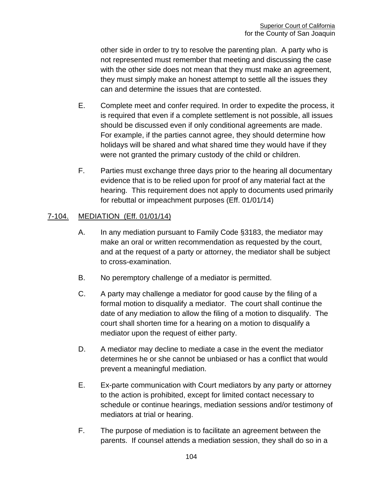other side in order to try to resolve the parenting plan. A party who is not represented must remember that meeting and discussing the case with the other side does not mean that they must make an agreement, they must simply make an honest attempt to settle all the issues they can and determine the issues that are contested.

- E. Complete meet and confer required. In order to expedite the process, it is required that even if a complete settlement is not possible, all issues should be discussed even if only conditional agreements are made. For example, if the parties cannot agree, they should determine how holidays will be shared and what shared time they would have if they were not granted the primary custody of the child or children.
- F. Parties must exchange three days prior to the hearing all documentary evidence that is to be relied upon for proof of any material fact at the hearing. This requirement does not apply to documents used primarily for rebuttal or impeachment purposes (Eff. 01/01/14)

### 7-104. MEDIATION (Eff. 01/01/14)

- A. In any mediation pursuant to Family Code §3183, the mediator may make an oral or written recommendation as requested by the court, and at the request of a party or attorney, the mediator shall be subject to cross-examination.
- B. No peremptory challenge of a mediator is permitted.
- C. A party may challenge a mediator for good cause by the filing of a formal motion to disqualify a mediator. The court shall continue the date of any mediation to allow the filing of a motion to disqualify. The court shall shorten time for a hearing on a motion to disqualify a mediator upon the request of either party.
- D. A mediator may decline to mediate a case in the event the mediator determines he or she cannot be unbiased or has a conflict that would prevent a meaningful mediation.
- E. Ex-parte communication with Court mediators by any party or attorney to the action is prohibited, except for limited contact necessary to schedule or continue hearings, mediation sessions and/or testimony of mediators at trial or hearing.
- F. The purpose of mediation is to facilitate an agreement between the parents. If counsel attends a mediation session, they shall do so in a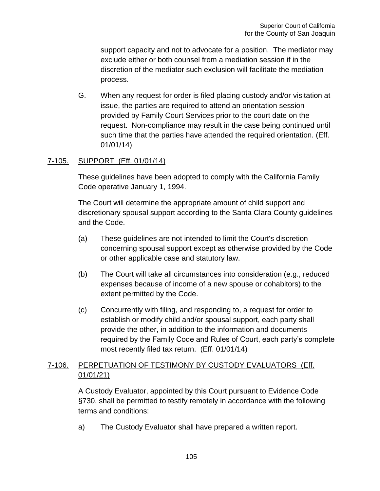support capacity and not to advocate for a position. The mediator may exclude either or both counsel from a mediation session if in the discretion of the mediator such exclusion will facilitate the mediation process.

G. When any request for order is filed placing custody and/or visitation at issue, the parties are required to attend an orientation session provided by Family Court Services prior to the court date on the request. Non-compliance may result in the case being continued until such time that the parties have attended the required orientation. (Eff. 01/01/14)

# 7-105. SUPPORT (Eff. 01/01/14)

These guidelines have been adopted to comply with the California Family Code operative January 1, 1994.

The Court will determine the appropriate amount of child support and discretionary spousal support according to the Santa Clara County guidelines and the Code.

- (a) These guidelines are not intended to limit the Court's discretion concerning spousal support except as otherwise provided by the Code or other applicable case and statutory law.
- (b) The Court will take all circumstances into consideration (e.g., reduced expenses because of income of a new spouse or cohabitors) to the extent permitted by the Code.
- (c) Concurrently with filing, and responding to, a request for order to establish or modify child and/or spousal support, each party shall provide the other, in addition to the information and documents required by the Family Code and Rules of Court, each party's complete most recently filed tax return. (Eff. 01/01/14)

# 7-106. PERPETUATION OF TESTIMONY BY CUSTODY EVALUATORS (Eff. 01/01/21)

A Custody Evaluator, appointed by this Court pursuant to Evidence Code §730, shall be permitted to testify remotely in accordance with the following terms and conditions:

a) The Custody Evaluator shall have prepared a written report.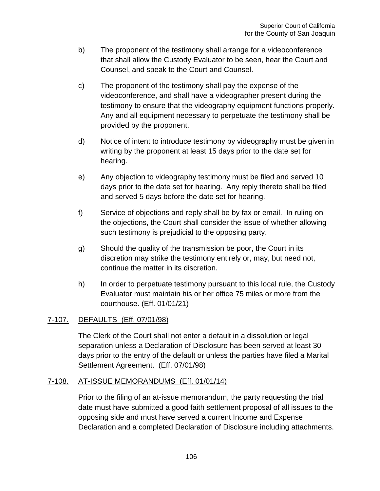- b) The proponent of the testimony shall arrange for a videoconference that shall allow the Custody Evaluator to be seen, hear the Court and Counsel, and speak to the Court and Counsel.
- c) The proponent of the testimony shall pay the expense of the videoconference, and shall have a videographer present during the testimony to ensure that the videography equipment functions properly. Any and all equipment necessary to perpetuate the testimony shall be provided by the proponent.
- d) Notice of intent to introduce testimony by videography must be given in writing by the proponent at least 15 days prior to the date set for hearing.
- e) Any objection to videography testimony must be filed and served 10 days prior to the date set for hearing. Any reply thereto shall be filed and served 5 days before the date set for hearing.
- f) Service of objections and reply shall be by fax or email. In ruling on the objections, the Court shall consider the issue of whether allowing such testimony is prejudicial to the opposing party.
- g) Should the quality of the transmission be poor, the Court in its discretion may strike the testimony entirely or, may, but need not, continue the matter in its discretion.
- h) In order to perpetuate testimony pursuant to this local rule, the Custody Evaluator must maintain his or her office 75 miles or more from the courthouse. (Eff. 01/01/21)

## 7-107. DEFAULTS (Eff. 07/01/98)

The Clerk of the Court shall not enter a default in a dissolution or legal separation unless a Declaration of Disclosure has been served at least 30 days prior to the entry of the default or unless the parties have filed a Marital Settlement Agreement. (Eff. 07/01/98)

## 7-108. AT-ISSUE MEMORANDUMS (Eff. 01/01/14)

Prior to the filing of an at-issue memorandum, the party requesting the trial date must have submitted a good faith settlement proposal of all issues to the opposing side and must have served a current Income and Expense Declaration and a completed Declaration of Disclosure including attachments.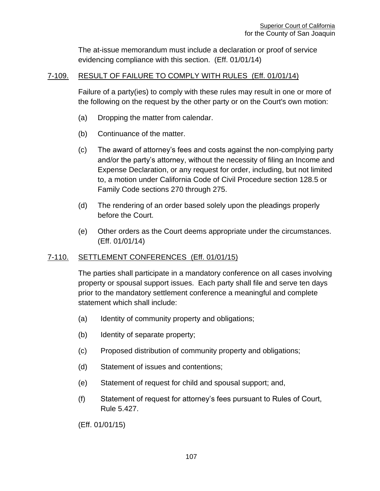The at-issue memorandum must include a declaration or proof of service evidencing compliance with this section. (Eff. 01/01/14)

### 7-109. RESULT OF FAILURE TO COMPLY WITH RULES (Eff. 01/01/14)

Failure of a party(ies) to comply with these rules may result in one or more of the following on the request by the other party or on the Court's own motion:

- (a) Dropping the matter from calendar.
- (b) Continuance of the matter.
- (c) The award of attorney's fees and costs against the non-complying party and/or the party's attorney, without the necessity of filing an Income and Expense Declaration, or any request for order, including, but not limited to, a motion under California Code of Civil Procedure section 128.5 or Family Code sections 270 through 275.
- (d) The rendering of an order based solely upon the pleadings properly before the Court.
- (e) Other orders as the Court deems appropriate under the circumstances. (Eff. 01/01/14)

## 7-110. SETTLEMENT CONFERENCES (Eff. 01/01/15)

The parties shall participate in a mandatory conference on all cases involving property or spousal support issues. Each party shall file and serve ten days prior to the mandatory settlement conference a meaningful and complete statement which shall include:

- (a) Identity of community property and obligations;
- (b) Identity of separate property;
- (c) Proposed distribution of community property and obligations;
- (d) Statement of issues and contentions;
- (e) Statement of request for child and spousal support; and,
- (f) Statement of request for attorney's fees pursuant to Rules of Court, Rule 5.427.

(Eff. 01/01/15)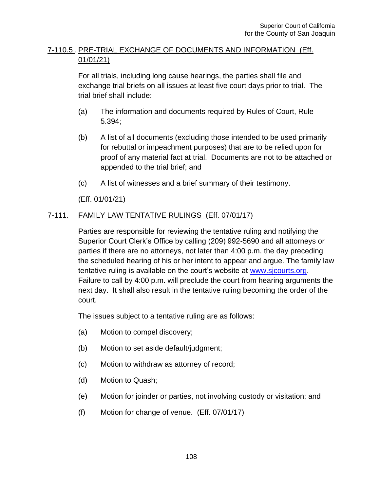## 7-110.5 . PRE-TRIAL EXCHANGE OF DOCUMENTS AND INFORMATION (Eff. 01/01/21)

For all trials, including long cause hearings, the parties shall file and exchange trial briefs on all issues at least five court days prior to trial. The trial brief shall include:

- (a) The information and documents required by Rules of Court, Rule 5.394;
- (b) A list of all documents (excluding those intended to be used primarily for rebuttal or impeachment purposes) that are to be relied upon for proof of any material fact at trial. Documents are not to be attached or appended to the trial brief; and
- (c) A list of witnesses and a brief summary of their testimony.

(Eff. 01/01/21)

# 7-111. FAMILY LAW TENTATIVE RULINGS (Eff. 07/01/17)

Parties are responsible for reviewing the tentative ruling and notifying the Superior Court Clerk's Office by calling (209) 992-5690 and all attorneys or parties if there are no attorneys, not later than 4:00 p.m. the day preceding the scheduled hearing of his or her intent to appear and argue. The family law tentative ruling is available on the court's website at [www.sjcourts.org.](http://www.sjcourts.org/) Failure to call by 4:00 p.m. will preclude the court from hearing arguments the next day. It shall also result in the tentative ruling becoming the order of the court.

The issues subject to a tentative ruling are as follows:

- (a) Motion to compel discovery;
- (b) Motion to set aside default/judgment;
- (c) Motion to withdraw as attorney of record;
- (d) Motion to Quash;
- (e) Motion for joinder or parties, not involving custody or visitation; and
- (f) Motion for change of venue. (Eff. 07/01/17)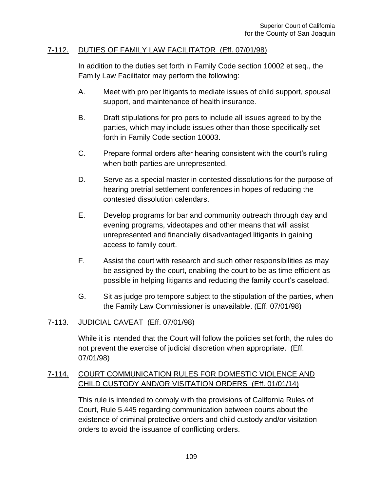#### 7-112. DUTIES OF FAMILY LAW FACILITATOR (Eff. 07/01/98)

In addition to the duties set forth in Family Code section 10002 et seq., the Family Law Facilitator may perform the following:

- A. Meet with pro per litigants to mediate issues of child support, spousal support, and maintenance of health insurance.
- B. Draft stipulations for pro pers to include all issues agreed to by the parties, which may include issues other than those specifically set forth in Family Code section 10003.
- C. Prepare formal orders after hearing consistent with the court's ruling when both parties are unrepresented.
- D. Serve as a special master in contested dissolutions for the purpose of hearing pretrial settlement conferences in hopes of reducing the contested dissolution calendars.
- E. Develop programs for bar and community outreach through day and evening programs, videotapes and other means that will assist unrepresented and financially disadvantaged litigants in gaining access to family court.
- F. Assist the court with research and such other responsibilities as may be assigned by the court, enabling the court to be as time efficient as possible in helping litigants and reducing the family court's caseload.
- G. Sit as judge pro tempore subject to the stipulation of the parties, when the Family Law Commissioner is unavailable. (Eff. 07/01/98)

## 7-113. JUDICIAL CAVEAT (Eff. 07/01/98)

While it is intended that the Court will follow the policies set forth, the rules do not prevent the exercise of judicial discretion when appropriate. (Eff. 07/01/98)

## 7-114. COURT COMMUNICATION RULES FOR DOMESTIC VIOLENCE AND CHILD CUSTODY AND/OR VISITATION ORDERS (Eff. 01/01/14)

This rule is intended to comply with the provisions of California Rules of Court, Rule 5.445 regarding communication between courts about the existence of criminal protective orders and child custody and/or visitation orders to avoid the issuance of conflicting orders.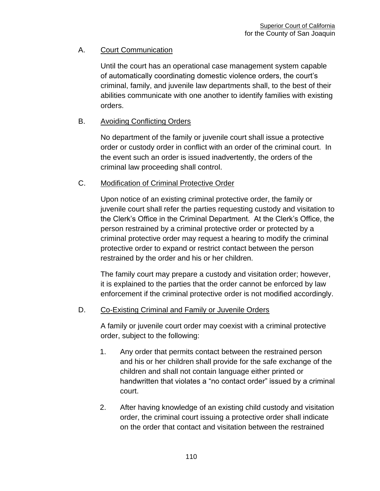## A. Court Communication

Until the court has an operational case management system capable of automatically coordinating domestic violence orders, the court's criminal, family, and juvenile law departments shall, to the best of their abilities communicate with one another to identify families with existing orders.

#### B. Avoiding Conflicting Orders

No department of the family or juvenile court shall issue a protective order or custody order in conflict with an order of the criminal court. In the event such an order is issued inadvertently, the orders of the criminal law proceeding shall control.

## C. Modification of Criminal Protective Order

Upon notice of an existing criminal protective order, the family or juvenile court shall refer the parties requesting custody and visitation to the Clerk's Office in the Criminal Department. At the Clerk's Office, the person restrained by a criminal protective order or protected by a criminal protective order may request a hearing to modify the criminal protective order to expand or restrict contact between the person restrained by the order and his or her children.

The family court may prepare a custody and visitation order; however, it is explained to the parties that the order cannot be enforced by law enforcement if the criminal protective order is not modified accordingly.

## D. Co-Existing Criminal and Family or Juvenile Orders

A family or juvenile court order may coexist with a criminal protective order, subject to the following:

- 1. Any order that permits contact between the restrained person and his or her children shall provide for the safe exchange of the children and shall not contain language either printed or handwritten that violates a "no contact order" issued by a criminal court.
- 2. After having knowledge of an existing child custody and visitation order, the criminal court issuing a protective order shall indicate on the order that contact and visitation between the restrained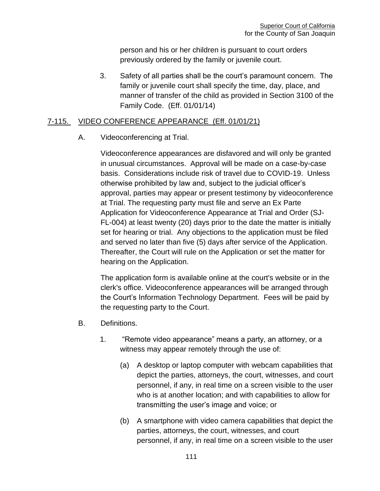person and his or her children is pursuant to court orders previously ordered by the family or juvenile court.

3. Safety of all parties shall be the court's paramount concern. The family or juvenile court shall specify the time, day, place, and manner of transfer of the child as provided in Section 3100 of the Family Code. (Eff. 01/01/14)

#### 7-115. VIDEO CONFERENCE APPEARANCE (Eff. 01/01/21)

A. Videoconferencing at Trial.

Videoconference appearances are disfavored and will only be granted in unusual circumstances. Approval will be made on a case-by-case basis. Considerations include risk of travel due to COVID-19. Unless otherwise prohibited by law and, subject to the judicial officer's approval, parties may appear or present testimony by videoconference at Trial. The requesting party must file and serve an Ex Parte Application for Videoconference Appearance at Trial and Order (SJ-FL-004) at least twenty (20) days prior to the date the matter is initially set for hearing or trial. Any objections to the application must be filed and served no later than five (5) days after service of the Application. Thereafter, the Court will rule on the Application or set the matter for hearing on the Application.

The application form is available online at the court's website or in the clerk's office. Videoconference appearances will be arranged through the Court's Information Technology Department. Fees will be paid by the requesting party to the Court.

- B. Definitions.
	- 1. "Remote video appearance" means a party, an attorney, or a witness may appear remotely through the use of:
		- (a) A desktop or laptop computer with webcam capabilities that depict the parties, attorneys, the court, witnesses, and court personnel, if any, in real time on a screen visible to the user who is at another location; and with capabilities to allow for transmitting the user's image and voice; or
		- (b) A smartphone with video camera capabilities that depict the parties, attorneys, the court, witnesses, and court personnel, if any, in real time on a screen visible to the user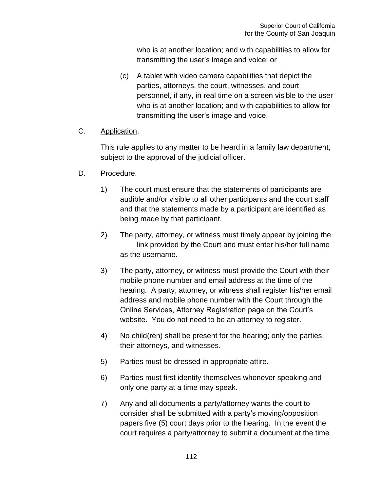who is at another location; and with capabilities to allow for transmitting the user's image and voice; or

(c) A tablet with video camera capabilities that depict the parties, attorneys, the court, witnesses, and court personnel, if any, in real time on a screen visible to the user who is at another location; and with capabilities to allow for transmitting the user's image and voice.

## C. Application.

This rule applies to any matter to be heard in a family law department, subject to the approval of the judicial officer.

- D. Procedure.
	- 1) The court must ensure that the statements of participants are audible and/or visible to all other participants and the court staff and that the statements made by a participant are identified as being made by that participant.
	- 2) The party, attorney, or witness must timely appear by joining the link provided by the Court and must enter his/her full name as the username.
	- 3) The party, attorney, or witness must provide the Court with their mobile phone number and email address at the time of the hearing. A party, attorney, or witness shall register his/her email address and mobile phone number with the Court through the Online Services, Attorney Registration page on the Court's website. You do not need to be an attorney to register.
	- 4) No child(ren) shall be present for the hearing; only the parties, their attorneys, and witnesses.
	- 5) Parties must be dressed in appropriate attire.
	- 6) Parties must first identify themselves whenever speaking and only one party at a time may speak.
	- 7) Any and all documents a party/attorney wants the court to consider shall be submitted with a party's moving/opposition papers five (5) court days prior to the hearing. In the event the court requires a party/attorney to submit a document at the time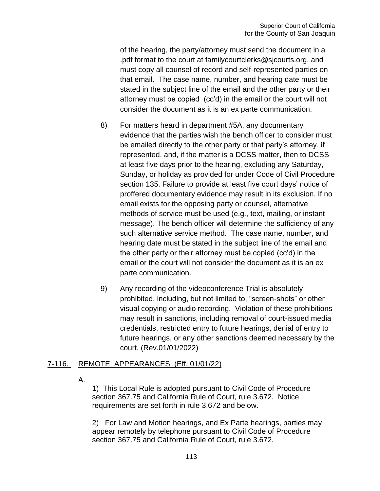of the hearing, the party/attorney must send the document in a .pdf format to the court at familycourtclerks@sjcourts.org, and must copy all counsel of record and self-represented parties on that email. The case name, number, and hearing date must be stated in the subject line of the email and the other party or their attorney must be copied (cc'd) in the email or the court will not consider the document as it is an ex parte communication.

- 8) For matters heard in department #5A, any documentary evidence that the parties wish the bench officer to consider must be emailed directly to the other party or that party's attorney, if represented, and, if the matter is a DCSS matter, then to DCSS at least five days prior to the hearing, excluding any Saturday, Sunday, or holiday as provided for under Code of Civil Procedure section 135. Failure to provide at least five court days' notice of proffered documentary evidence may result in its exclusion. If no email exists for the opposing party or counsel, alternative methods of service must be used (e.g., text, mailing, or instant message). The bench officer will determine the sufficiency of any such alternative service method. The case name, number, and hearing date must be stated in the subject line of the email and the other party or their attorney must be copied (cc'd) in the email or the court will not consider the document as it is an ex parte communication.
- 9) Any recording of the videoconference Trial is absolutely prohibited, including, but not limited to, "screen-shots" or other visual copying or audio recording. Violation of these prohibitions may result in sanctions, including removal of court-issued media credentials, restricted entry to future hearings, denial of entry to future hearings, or any other sanctions deemed necessary by the court. (Rev.01/01/2022)

## 7-116. REMOTE APPEARANCES (Eff. 01/01/22)

A.

1) This Local Rule is adopted pursuant to Civil Code of Procedure section 367.75 and California Rule of Court, rule 3.672. Notice requirements are set forth in rule 3.672 and below.

2) For Law and Motion hearings, and Ex Parte hearings, parties may appear remotely by telephone pursuant to Civil Code of Procedure section 367.75 and California Rule of Court, rule 3.672.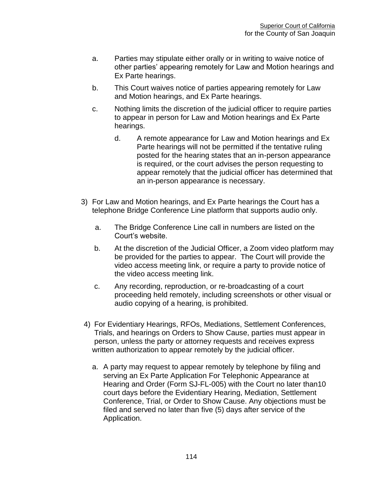- a. Parties may stipulate either orally or in writing to waive notice of other parties' appearing remotely for Law and Motion hearings and Ex Parte hearings.
- b. This Court waives notice of parties appearing remotely for Law and Motion hearings, and Ex Parte hearings.
- c. Nothing limits the discretion of the judicial officer to require parties to appear in person for Law and Motion hearings and Ex Parte hearings.
	- d. A remote appearance for Law and Motion hearings and Ex Parte hearings will not be permitted if the tentative ruling posted for the hearing states that an in-person appearance is required, or the court advises the person requesting to appear remotely that the judicial officer has determined that an in-person appearance is necessary.
- 3) For Law and Motion hearings, and Ex Parte hearings the Court has a telephone Bridge Conference Line platform that supports audio only.
	- a. The Bridge Conference Line call in numbers are listed on the Court's website.
	- b. At the discretion of the Judicial Officer, a Zoom video platform may be provided for the parties to appear. The Court will provide the video access meeting link, or require a party to provide notice of the video access meeting link.
	- c. Any recording, reproduction, or re-broadcasting of a court proceeding held remotely, including screenshots or other visual or audio copying of a hearing, is prohibited.
- 4) For Evidentiary Hearings, RFOs, Mediations, Settlement Conferences, Trials, and hearings on Orders to Show Cause, parties must appear in person, unless the party or attorney requests and receives express written authorization to appear remotely by the judicial officer.
	- a. A party may request to appear remotely by telephone by filing and serving an Ex Parte Application For Telephonic Appearance at Hearing and Order (Form SJ-FL-005) with the Court no later than10 court days before the Evidentiary Hearing, Mediation, Settlement Conference, Trial, or Order to Show Cause. Any objections must be filed and served no later than five (5) days after service of the Application.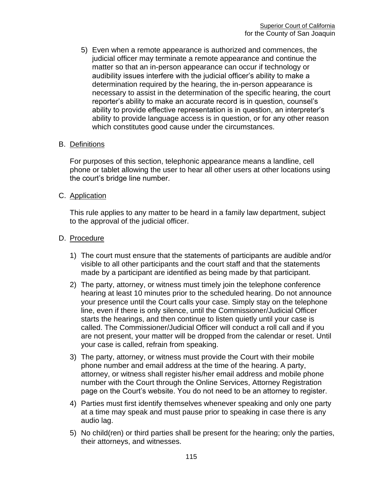5) Even when a remote appearance is authorized and commences, the judicial officer may terminate a remote appearance and continue the matter so that an in-person appearance can occur if technology or audibility issues interfere with the judicial officer's ability to make a determination required by the hearing, the in-person appearance is necessary to assist in the determination of the specific hearing, the court reporter's ability to make an accurate record is in question, counsel's ability to provide effective representation is in question, an interpreter's ability to provide language access is in question, or for any other reason which constitutes good cause under the circumstances.

#### B. Definitions

For purposes of this section, telephonic appearance means a landline, cell phone or tablet allowing the user to hear all other users at other locations using the court's bridge line number.

#### C. Application

This rule applies to any matter to be heard in a family law department, subject to the approval of the judicial officer.

#### D. Procedure

- 1) The court must ensure that the statements of participants are audible and/or visible to all other participants and the court staff and that the statements made by a participant are identified as being made by that participant.
- 2) The party, attorney, or witness must timely join the telephone conference hearing at least 10 minutes prior to the scheduled hearing. Do not announce your presence until the Court calls your case. Simply stay on the telephone line, even if there is only silence, until the Commissioner/Judicial Officer starts the hearings, and then continue to listen quietly until your case is called. The Commissioner/Judicial Officer will conduct a roll call and if you are not present, your matter will be dropped from the calendar or reset. Until your case is called, refrain from speaking.
- 3) The party, attorney, or witness must provide the Court with their mobile phone number and email address at the time of the hearing. A party, attorney, or witness shall register his/her email address and mobile phone number with the Court through the Online Services, Attorney Registration page on the Court's website. You do not need to be an attorney to register.
- 4) Parties must first identify themselves whenever speaking and only one party at a time may speak and must pause prior to speaking in case there is any audio lag.
- 5) No child(ren) or third parties shall be present for the hearing; only the parties, their attorneys, and witnesses.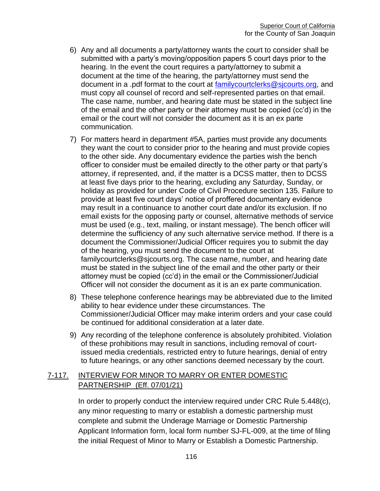- 6) Any and all documents a party/attorney wants the court to consider shall be submitted with a party's moving/opposition papers 5 court days prior to the hearing. In the event the court requires a party/attorney to submit a document at the time of the hearing, the party/attorney must send the document in a .pdf format to the court at [familycourtclerks@sjcourts.org,](mailto:familycourtclerks@sjcourts.org) and must copy all counsel of record and self-represented parties on that email. The case name, number, and hearing date must be stated in the subject line of the email and the other party or their attorney must be copied (cc'd) in the email or the court will not consider the document as it is an ex parte communication.
- 7) For matters heard in department #5A, parties must provide any documents they want the court to consider prior to the hearing and must provide copies to the other side. Any documentary evidence the parties wish the bench officer to consider must be emailed directly to the other party or that party's attorney, if represented, and, if the matter is a DCSS matter, then to DCSS at least five days prior to the hearing, excluding any Saturday, Sunday, or holiday as provided for under Code of Civil Procedure section 135. Failure to provide at least five court days' notice of proffered documentary evidence may result in a continuance to another court date and/or its exclusion. If no email exists for the opposing party or counsel, alternative methods of service must be used (e.g., text, mailing, or instant message). The bench officer will determine the sufficiency of any such alternative service method. If there is a document the Commissioner/Judicial Officer requires you to submit the day of the hearing, you must send the document to the court at familycourtclerks@sjcourts.org. The case name, number, and hearing date must be stated in the subject line of the email and the other party or their attorney must be copied (cc'd) in the email or the Commissioner/Judicial Officer will not consider the document as it is an ex parte communication.
- 8) These telephone conference hearings may be abbreviated due to the limited ability to hear evidence under these circumstances. The Commissioner/Judicial Officer may make interim orders and your case could be continued for additional consideration at a later date.
- 9) Any recording of the telephone conference is absolutely prohibited. Violation of these prohibitions may result in sanctions, including removal of courtissued media credentials, restricted entry to future hearings, denial of entry to future hearings, or any other sanctions deemed necessary by the court.

## 7-117. INTERVIEW FOR MINOR TO MARRY OR ENTER DOMESTIC PARTNERSHIP (Eff. 07/01/21)

In order to properly conduct the interview required under CRC Rule 5.448(c), any minor requesting to marry or establish a domestic partnership must complete and submit the Underage Marriage or Domestic Partnership Applicant Information form, local form number SJ-FL-009, at the time of filing the initial Request of Minor to Marry or Establish a Domestic Partnership.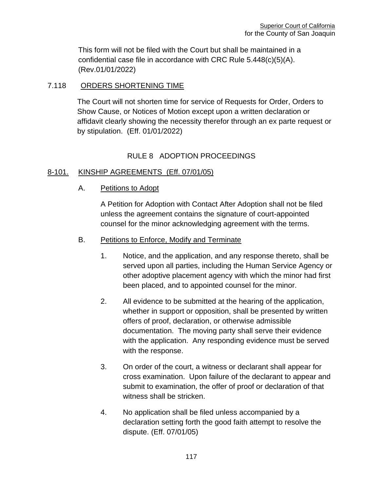This form will not be filed with the Court but shall be maintained in a confidential case file in accordance with CRC Rule 5.448(c)(5)(A). (Rev.01/01/2022)

## 7.118 ORDERS SHORTENING TIME

The Court will not shorten time for service of Requests for Order, Orders to Show Cause, or Notices of Motion except upon a written declaration or affidavit clearly showing the necessity therefor through an ex parte request or by stipulation. (Eff. 01/01/2022)

# RULE 8 ADOPTION PROCEEDINGS

## 8-101. KINSHIP AGREEMENTS (Eff. 07/01/05)

A. Petitions to Adopt

A Petition for Adoption with Contact After Adoption shall not be filed unless the agreement contains the signature of court-appointed counsel for the minor acknowledging agreement with the terms.

## B. Petitions to Enforce, Modify and Terminate

- 1. Notice, and the application, and any response thereto, shall be served upon all parties, including the Human Service Agency or other adoptive placement agency with which the minor had first been placed, and to appointed counsel for the minor.
- 2. All evidence to be submitted at the hearing of the application, whether in support or opposition, shall be presented by written offers of proof, declaration, or otherwise admissible documentation. The moving party shall serve their evidence with the application. Any responding evidence must be served with the response.
- 3. On order of the court, a witness or declarant shall appear for cross examination. Upon failure of the declarant to appear and submit to examination, the offer of proof or declaration of that witness shall be stricken.
- 4. No application shall be filed unless accompanied by a declaration setting forth the good faith attempt to resolve the dispute. (Eff. 07/01/05)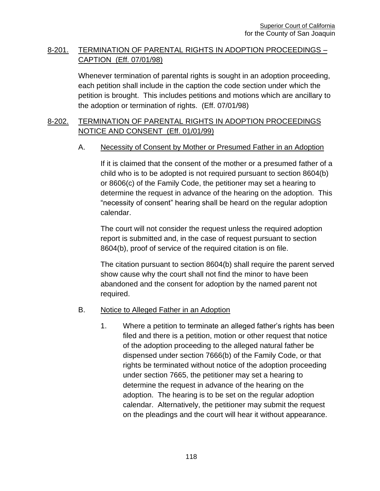## 8-201. TERMINATION OF PARENTAL RIGHTS IN ADOPTION PROCEEDINGS – CAPTION (Eff. 07/01/98)

Whenever termination of parental rights is sought in an adoption proceeding, each petition shall include in the caption the code section under which the petition is brought. This includes petitions and motions which are ancillary to the adoption or termination of rights. (Eff. 07/01/98)

## 8-202. TERMINATION OF PARENTAL RIGHTS IN ADOPTION PROCEEDINGS NOTICE AND CONSENT (Eff. 01/01/99)

#### A. Necessity of Consent by Mother or Presumed Father in an Adoption

If it is claimed that the consent of the mother or a presumed father of a child who is to be adopted is not required pursuant to section 8604(b) or 8606(c) of the Family Code, the petitioner may set a hearing to determine the request in advance of the hearing on the adoption. This "necessity of consent" hearing shall be heard on the regular adoption calendar.

The court will not consider the request unless the required adoption report is submitted and, in the case of request pursuant to section 8604(b), proof of service of the required citation is on file.

The citation pursuant to section 8604(b) shall require the parent served show cause why the court shall not find the minor to have been abandoned and the consent for adoption by the named parent not required.

#### B. Notice to Alleged Father in an Adoption

1. Where a petition to terminate an alleged father's rights has been filed and there is a petition, motion or other request that notice of the adoption proceeding to the alleged natural father be dispensed under section 7666(b) of the Family Code, or that rights be terminated without notice of the adoption proceeding under section 7665, the petitioner may set a hearing to determine the request in advance of the hearing on the adoption. The hearing is to be set on the regular adoption calendar. Alternatively, the petitioner may submit the request on the pleadings and the court will hear it without appearance.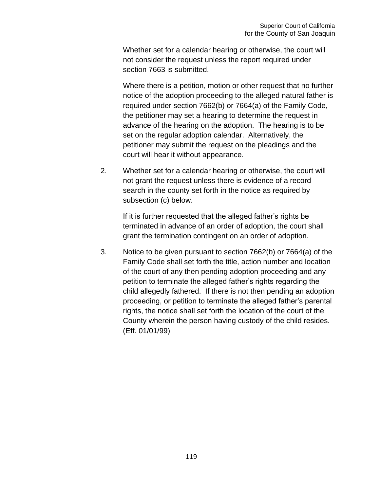Whether set for a calendar hearing or otherwise, the court will not consider the request unless the report required under section 7663 is submitted.

Where there is a petition, motion or other request that no further notice of the adoption proceeding to the alleged natural father is required under section 7662(b) or 7664(a) of the Family Code, the petitioner may set a hearing to determine the request in advance of the hearing on the adoption. The hearing is to be set on the regular adoption calendar. Alternatively, the petitioner may submit the request on the pleadings and the court will hear it without appearance.

2. Whether set for a calendar hearing or otherwise, the court will not grant the request unless there is evidence of a record search in the county set forth in the notice as required by subsection (c) below.

If it is further requested that the alleged father's rights be terminated in advance of an order of adoption, the court shall grant the termination contingent on an order of adoption.

3. Notice to be given pursuant to section 7662(b) or 7664(a) of the Family Code shall set forth the title, action number and location of the court of any then pending adoption proceeding and any petition to terminate the alleged father's rights regarding the child allegedly fathered. If there is not then pending an adoption proceeding, or petition to terminate the alleged father's parental rights, the notice shall set forth the location of the court of the County wherein the person having custody of the child resides. (Eff. 01/01/99)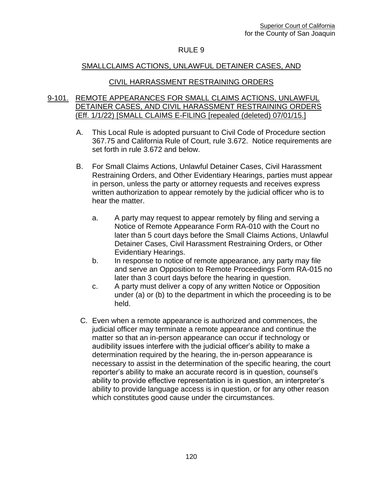#### RULE 9

#### SMALLCLAIMS ACTIONS, UNLAWFUL DETAINER CASES, AND

#### CIVIL HARRASSMENT RESTRAINING ORDERS

#### 9-101. REMOTE APPEARANCES FOR SMALL CLAIMS ACTIONS, UNLAWFUL DETAINER CASES, AND CIVIL HARASSMENT RESTRAINING ORDERS (Eff. 1/1/22) [SMALL CLAIMS E-FILING [repealed (deleted) 07/01/15.]

- A. This Local Rule is adopted pursuant to Civil Code of Procedure section 367.75 and California Rule of Court, rule 3.672. Notice requirements are set forth in rule 3.672 and below.
- B. For Small Claims Actions, Unlawful Detainer Cases, Civil Harassment Restraining Orders, and Other Evidentiary Hearings, parties must appear in person, unless the party or attorney requests and receives express written authorization to appear remotely by the judicial officer who is to hear the matter.
	- a. A party may request to appear remotely by filing and serving a Notice of Remote Appearance Form RA-010 with the Court no later than 5 court days before the Small Claims Actions, Unlawful Detainer Cases, Civil Harassment Restraining Orders, or Other Evidentiary Hearings.
	- b. In response to notice of remote appearance, any party may file and serve an Opposition to Remote Proceedings Form RA-015 no later than 3 court days before the hearing in question.
	- c. A party must deliver a copy of any written Notice or Opposition under (a) or (b) to the department in which the proceeding is to be held.
- C. Even when a remote appearance is authorized and commences, the judicial officer may terminate a remote appearance and continue the matter so that an in-person appearance can occur if technology or audibility issues interfere with the judicial officer's ability to make a determination required by the hearing, the in-person appearance is necessary to assist in the determination of the specific hearing, the court reporter's ability to make an accurate record is in question, counsel's ability to provide effective representation is in question, an interpreter's ability to provide language access is in question, or for any other reason which constitutes good cause under the circumstances.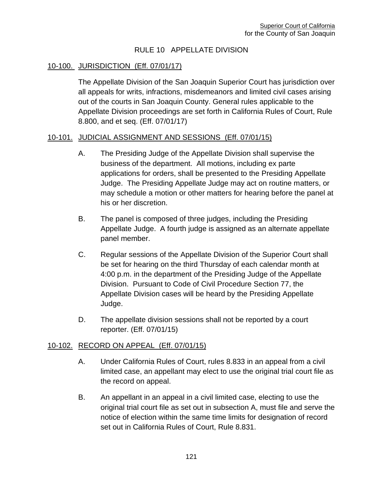#### RULE 10 APPELLATE DIVISION

#### 10-100. JURISDICTION (Eff. 07/01/17)

The Appellate Division of the San Joaquin Superior Court has jurisdiction over all appeals for writs, infractions, misdemeanors and limited civil cases arising out of the courts in San Joaquin County. General rules applicable to the Appellate Division proceedings are set forth in California Rules of Court, Rule 8.800, and et seq. (Eff. 07/01/17)

#### 10-101. JUDICIAL ASSIGNMENT AND SESSIONS (Eff. 07/01/15)

- A. The Presiding Judge of the Appellate Division shall supervise the business of the department. All motions, including ex parte applications for orders, shall be presented to the Presiding Appellate Judge. The Presiding Appellate Judge may act on routine matters, or may schedule a motion or other matters for hearing before the panel at his or her discretion.
- B. The panel is composed of three judges, including the Presiding Appellate Judge. A fourth judge is assigned as an alternate appellate panel member.
- C. Regular sessions of the Appellate Division of the Superior Court shall be set for hearing on the third Thursday of each calendar month at 4:00 p.m. in the department of the Presiding Judge of the Appellate Division. Pursuant to Code of Civil Procedure Section 77, the Appellate Division cases will be heard by the Presiding Appellate Judge.
- D. The appellate division sessions shall not be reported by a court reporter. (Eff. 07/01/15)

#### 10-102. RECORD ON APPEAL (Eff. 07/01/15)

- A. Under California Rules of Court, rules 8.833 in an appeal from a civil limited case, an appellant may elect to use the original trial court file as the record on appeal.
- B. An appellant in an appeal in a civil limited case, electing to use the original trial court file as set out in subsection A, must file and serve the notice of election within the same time limits for designation of record set out in California Rules of Court, Rule 8.831.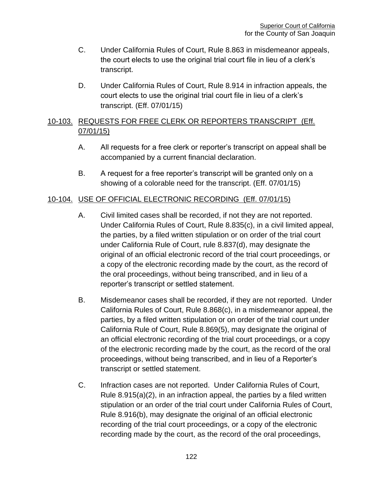- C. Under California Rules of Court, Rule 8.863 in misdemeanor appeals, the court elects to use the original trial court file in lieu of a clerk's transcript.
- D. Under California Rules of Court, Rule 8.914 in infraction appeals, the court elects to use the original trial court file in lieu of a clerk's transcript. (Eff. 07/01/15)

## 10-103. REQUESTS FOR FREE CLERK OR REPORTERS TRANSCRIPT (Eff. 07/01/15)

- A. All requests for a free clerk or reporter's transcript on appeal shall be accompanied by a current financial declaration.
- B. A request for a free reporter's transcript will be granted only on a showing of a colorable need for the transcript. (Eff. 07/01/15)

## 10-104. USE OF OFFICIAL ELECTRONIC RECORDING (Eff. 07/01/15)

- A. Civil limited cases shall be recorded, if not they are not reported. Under California Rules of Court, Rule 8.835(c), in a civil limited appeal, the parties, by a filed written stipulation or on order of the trial court under California Rule of Court, rule 8.837(d), may designate the original of an official electronic record of the trial court proceedings, or a copy of the electronic recording made by the court, as the record of the oral proceedings, without being transcribed, and in lieu of a reporter's transcript or settled statement.
- B. Misdemeanor cases shall be recorded, if they are not reported. Under California Rules of Court, Rule 8.868(c), in a misdemeanor appeal, the parties, by a filed written stipulation or on order of the trial court under California Rule of Court, Rule 8.869(5), may designate the original of an official electronic recording of the trial court proceedings, or a copy of the electronic recording made by the court, as the record of the oral proceedings, without being transcribed, and in lieu of a Reporter's transcript or settled statement.
- C. Infraction cases are not reported. Under California Rules of Court, Rule 8.915(a)(2), in an infraction appeal, the parties by a filed written stipulation or an order of the trial court under California Rules of Court, Rule 8.916(b), may designate the original of an official electronic recording of the trial court proceedings, or a copy of the electronic recording made by the court, as the record of the oral proceedings,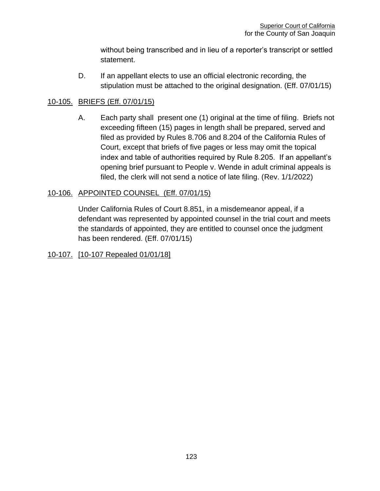without being transcribed and in lieu of a reporter's transcript or settled statement.

D. If an appellant elects to use an official electronic recording, the stipulation must be attached to the original designation. (Eff. 07/01/15)

## 10-105. BRIEFS (Eff. 07/01/15)

A. Each party shall present one (1) original at the time of filing. Briefs not exceeding fifteen (15) pages in length shall be prepared, served and filed as provided by Rules 8.706 and 8.204 of the California Rules of Court, except that briefs of five pages or less may omit the topical index and table of authorities required by Rule 8.205. If an appellant's opening brief pursuant to People v. Wende in adult criminal appeals is filed, the clerk will not send a notice of late filing. (Rev. 1/1/2022)

## 10-106. APPOINTED COUNSEL (Eff. 07/01/15)

Under California Rules of Court 8.851, in a misdemeanor appeal, if a defendant was represented by appointed counsel in the trial court and meets the standards of appointed, they are entitled to counsel once the judgment has been rendered. (Eff. 07/01/15)

## 10-107. [10-107 Repealed 01/01/18]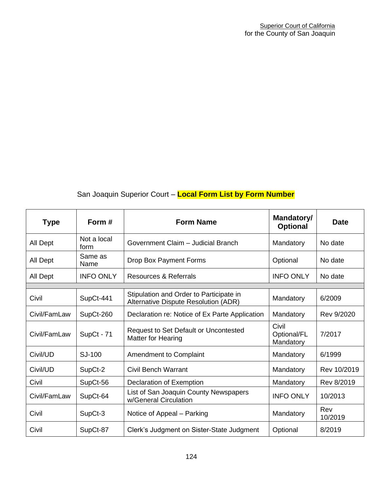# San Joaquin Superior Court – **Local Form List by Form Number**

| <b>Type</b>  | Form #              | <b>Form Name</b>                                                                | Mandatory/<br><b>Optional</b>     | Date           |
|--------------|---------------------|---------------------------------------------------------------------------------|-----------------------------------|----------------|
| All Dept     | Not a local<br>form | Government Claim - Judicial Branch                                              | Mandatory                         | No date        |
| All Dept     | Same as<br>Name     | Drop Box Payment Forms                                                          | Optional                          | No date        |
| All Dept     | <b>INFO ONLY</b>    | Resources & Referrals                                                           | <b>INFO ONLY</b>                  | No date        |
| Civil        | SupCt-441           | Stipulation and Order to Participate in<br>Alternative Dispute Resolution (ADR) | Mandatory                         | 6/2009         |
| Civil/FamLaw | SupCt-260           | Declaration re: Notice of Ex Parte Application                                  | Mandatory                         | Rev 9/2020     |
| Civil/FamLaw | SupCt - 71          | <b>Request to Set Default or Uncontested</b><br><b>Matter for Hearing</b>       | Civil<br>Optional/FL<br>Mandatory | 7/2017         |
| Civil/UD     | SJ-100              | Amendment to Complaint                                                          | Mandatory                         | 6/1999         |
| Civil/UD     | SupCt-2             | <b>Civil Bench Warrant</b>                                                      | Mandatory                         | Rev 10/2019    |
| Civil        | SupCt-56            | Declaration of Exemption                                                        | Mandatory                         | Rev 8/2019     |
| Civil/FamLaw | SupCt-64            | List of San Joaquin County Newspapers<br>w/General Circulation                  | <b>INFO ONLY</b>                  | 10/2013        |
| Civil        | SupCt-3             | Notice of Appeal – Parking                                                      | Mandatory                         | Rev<br>10/2019 |
| Civil        | SupCt-87            | Clerk's Judgment on Sister-State Judgment                                       | Optional                          | 8/2019         |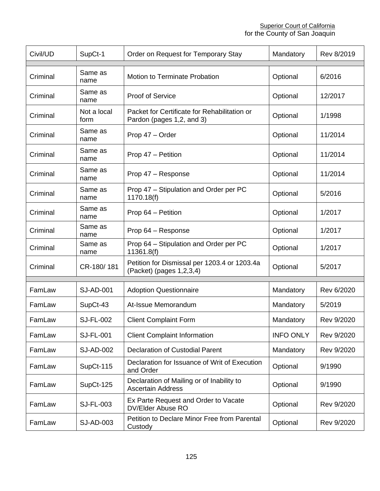#### **Superior Court of California** for the County of San Joaquin

| Civil/UD | SupCt-1             | Order on Request for Temporary Stay                                       | Mandatory        | Rev 8/2019 |
|----------|---------------------|---------------------------------------------------------------------------|------------------|------------|
|          | Same as             |                                                                           |                  |            |
| Criminal | name                | <b>Motion to Terminate Probation</b>                                      | Optional         | 6/2016     |
| Criminal | Same as<br>name     | <b>Proof of Service</b>                                                   | Optional         | 12/2017    |
| Criminal | Not a local<br>form | Packet for Certificate for Rehabilitation or<br>Pardon (pages 1,2, and 3) | Optional         | 1/1998     |
| Criminal | Same as<br>name     | Prop 47 - Order                                                           | Optional         | 11/2014    |
| Criminal | Same as<br>name     | Prop 47 - Petition                                                        | Optional         | 11/2014    |
| Criminal | Same as<br>name     | Prop 47 - Response                                                        | Optional         | 11/2014    |
| Criminal | Same as<br>name     | Prop 47 - Stipulation and Order per PC<br>1170.18(f)                      | Optional         | 5/2016     |
| Criminal | Same as<br>name     | Prop 64 - Petition                                                        | Optional         | 1/2017     |
| Criminal | Same as<br>name     | Prop 64 - Response                                                        | Optional         | 1/2017     |
| Criminal | Same as<br>name     | Prop 64 - Stipulation and Order per PC<br>11361.8(f)                      | Optional         | 1/2017     |
| Criminal | CR-180/181          | Petition for Dismissal per 1203.4 or 1203.4a<br>(Packet) (pages 1,2,3,4)  | Optional         | 5/2017     |
| FamLaw   | SJ-AD-001           | <b>Adoption Questionnaire</b>                                             | Mandatory        | Rev 6/2020 |
| FamLaw   | SupCt-43            | At-Issue Memorandum                                                       | Mandatory        | 5/2019     |
|          |                     |                                                                           |                  |            |
| FamLaw   | <b>SJ-FL-002</b>    | <b>Client Complaint Form</b>                                              | Mandatory        | Rev 9/2020 |
| FamLaw   | <b>SJ-FL-001</b>    | <b>Client Complaint Information</b>                                       | <b>INFO ONLY</b> | Rev 9/2020 |
| FamLaw   | <b>SJ-AD-002</b>    | <b>Declaration of Custodial Parent</b>                                    | Mandatory        | Rev 9/2020 |
| FamLaw   | SupCt-115           | Declaration for Issuance of Writ of Execution<br>and Order                | Optional         | 9/1990     |
| FamLaw   | SupCt-125           | Declaration of Mailing or of Inability to<br><b>Ascertain Address</b>     | Optional         | 9/1990     |
| FamLaw   | SJ-FL-003           | Ex Parte Request and Order to Vacate<br>DV/Elder Abuse RO                 | Optional         | Rev 9/2020 |
| FamLaw   | SJ-AD-003           | Petition to Declare Minor Free from Parental<br>Custody                   | Optional         | Rev 9/2020 |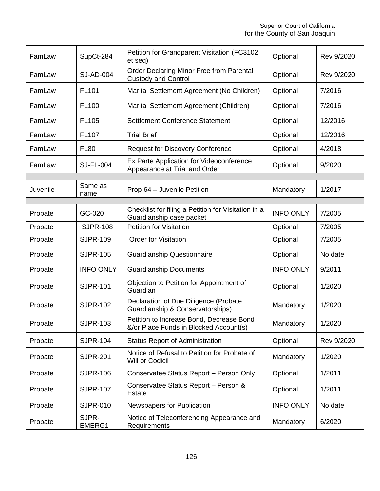| FamLaw   | SupCt-284        | Petition for Grandparent Visitation (FC3102<br>et seq)                             | Optional         | Rev 9/2020 |
|----------|------------------|------------------------------------------------------------------------------------|------------------|------------|
| FamLaw   | <b>SJ-AD-004</b> | Order Declaring Minor Free from Parental<br><b>Custody and Control</b>             | Optional         | Rev 9/2020 |
| FamLaw   | <b>FL101</b>     | Marital Settlement Agreement (No Children)                                         | Optional         | 7/2016     |
| FamLaw   | <b>FL100</b>     | Marital Settlement Agreement (Children)                                            | Optional         | 7/2016     |
| FamLaw   | FL105            | Settlement Conference Statement                                                    | Optional         | 12/2016    |
| FamLaw   | FL107            | <b>Trial Brief</b>                                                                 | Optional         | 12/2016    |
| FamLaw   | <b>FL80</b>      | <b>Request for Discovery Conference</b>                                            | Optional         | 4/2018     |
| FamLaw   | <b>SJ-FL-004</b> | Ex Parte Application for Videoconference<br>Appearance at Trial and Order          | Optional         | 9/2020     |
|          |                  |                                                                                    |                  |            |
| Juvenile | Same as<br>name  | Prop 64 - Juvenile Petition                                                        | Mandatory        | 1/2017     |
|          |                  |                                                                                    |                  |            |
| Probate  | GC-020           | Checklist for filing a Petition for Visitation in a<br>Guardianship case packet    | <b>INFO ONLY</b> | 7/2005     |
| Probate  | <b>SJPR-108</b>  | <b>Petition for Visitation</b>                                                     | Optional         | 7/2005     |
| Probate  | <b>SJPR-109</b>  | <b>Order for Visitation</b>                                                        | Optional         | 7/2005     |
| Probate  | <b>SJPR-105</b>  | <b>Guardianship Questionnaire</b>                                                  | Optional         | No date    |
| Probate  | <b>INFO ONLY</b> | <b>Guardianship Documents</b>                                                      | <b>INFO ONLY</b> | 9/2011     |
| Probate  | <b>SJPR-101</b>  | Objection to Petition for Appointment of<br>Guardian                               | Optional         | 1/2020     |
| Probate  | <b>SJPR-102</b>  | Declaration of Due Diligence (Probate<br>Guardianship & Conservatorships)          | Mandatory        | 1/2020     |
| Probate  | <b>SJPR-103</b>  | Petition to Increase Bond, Decrease Bond<br>&/or Place Funds in Blocked Account(s) | Mandatory        | 1/2020     |
| Probate  | <b>SJPR-104</b>  | <b>Status Report of Administration</b>                                             | Optional         | Rev 9/2020 |
| Probate  | <b>SJPR-201</b>  | Notice of Refusal to Petition for Probate of<br>Will or Codicil                    | Mandatory        | 1/2020     |
| Probate  | <b>SJPR-106</b>  | Conservatee Status Report - Person Only                                            | Optional         | 1/2011     |
| Probate  | <b>SJPR-107</b>  | Conservatee Status Report - Person &<br><b>Estate</b>                              | Optional         | 1/2011     |
| Probate  | <b>SJPR-010</b>  | Newspapers for Publication                                                         | <b>INFO ONLY</b> | No date    |
| Probate  | SJPR-<br>EMERG1  | Notice of Teleconferencing Appearance and<br>Requirements                          | Mandatory        | 6/2020     |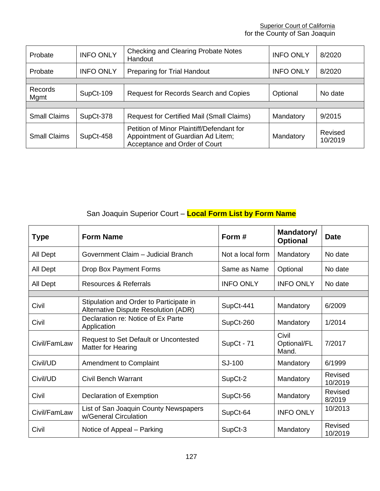#### **Superior Court of California** for the County of San Joaquin

| Probate             | <b>INFO ONLY</b> | <b>Checking and Clearing Probate Notes</b><br>Handout                                                           | <b>INFO ONLY</b> | 8/2020             |
|---------------------|------------------|-----------------------------------------------------------------------------------------------------------------|------------------|--------------------|
| Probate             | <b>INFO ONLY</b> | Preparing for Trial Handout<br><b>INFO ONLY</b>                                                                 |                  | 8/2020             |
|                     |                  |                                                                                                                 |                  |                    |
| Records<br>Mgmt     | SupCt-109        | Request for Records Search and Copies                                                                           | Optional         | No date            |
|                     |                  |                                                                                                                 |                  |                    |
| <b>Small Claims</b> | SupCt-378        | <b>Request for Certified Mail (Small Claims)</b>                                                                | Mandatory        | 9/2015             |
| <b>Small Claims</b> | SupCt-458        | Petition of Minor Plaintiff/Defendant for<br>Appointment of Guardian Ad Litem;<br>Acceptance and Order of Court | Mandatory        | Revised<br>10/2019 |

# San Joaquin Superior Court – **Local Form List by Form Name**

| <b>Type</b>  | <b>Form Name</b>                                                                | Form#            | Mandatory/<br><b>Optional</b> | <b>Date</b>        |
|--------------|---------------------------------------------------------------------------------|------------------|-------------------------------|--------------------|
| All Dept     | Government Claim - Judicial Branch                                              | Not a local form | Mandatory                     | No date            |
| All Dept     | Drop Box Payment Forms                                                          | Same as Name     | Optional                      | No date            |
| All Dept     | Resources & Referrals                                                           | <b>INFO ONLY</b> | <b>INFO ONLY</b>              | No date            |
|              |                                                                                 |                  |                               |                    |
| Civil        | Stipulation and Order to Participate in<br>Alternative Dispute Resolution (ADR) | SupCt-441        | Mandatory                     | 6/2009             |
| Civil        | Declaration re: Notice of Ex Parte<br>Application                               | SupCt-260        | Mandatory                     | 1/2014             |
| Civil/FamLaw | Request to Set Default or Uncontested<br>Matter for Hearing                     | SupCt - 71       | Civil<br>Optional/FL<br>Mand. | 7/2017             |
| Civil/UD     | Amendment to Complaint                                                          | SJ-100           | Mandatory                     | 6/1999             |
| Civil/UD     | Civil Bench Warrant                                                             | SupCt-2          | Mandatory                     | Revised<br>10/2019 |
| Civil        | Declaration of Exemption                                                        | SupCt-56         | Mandatory                     | Revised<br>8/2019  |
| Civil/FamLaw | List of San Joaquin County Newspapers<br>w/General Circulation                  | SupCt-64         | <b>INFO ONLY</b>              | 10/2013            |
| Civil        | Notice of Appeal – Parking                                                      | SupCt-3          | Mandatory                     | Revised<br>10/2019 |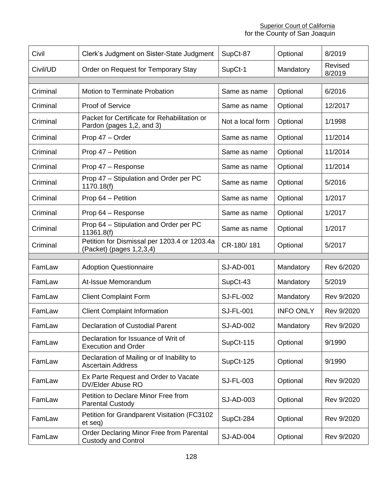| Civil    | Clerk's Judgment on Sister-State Judgment                                 | SupCt-87         | Optional         | 8/2019            |
|----------|---------------------------------------------------------------------------|------------------|------------------|-------------------|
| Civil/UD | Order on Request for Temporary Stay                                       | SupCt-1          | Mandatory        | Revised<br>8/2019 |
| Criminal | <b>Motion to Terminate Probation</b>                                      | Same as name     | Optional         | 6/2016            |
|          |                                                                           |                  |                  |                   |
| Criminal | <b>Proof of Service</b>                                                   | Same as name     | Optional         | 12/2017           |
| Criminal | Packet for Certificate for Rehabilitation or<br>Pardon (pages 1,2, and 3) | Not a local form | Optional         | 1/1998            |
| Criminal | Prop 47 - Order                                                           | Same as name     | Optional         | 11/2014           |
| Criminal | Prop 47 - Petition                                                        | Same as name     | Optional         | 11/2014           |
| Criminal | Prop 47 - Response                                                        | Same as name     | Optional         | 11/2014           |
| Criminal | Prop 47 - Stipulation and Order per PC<br>1170.18(f)                      | Same as name     | Optional         | 5/2016            |
| Criminal | Prop 64 - Petition                                                        | Same as name     | Optional         | 1/2017            |
| Criminal | Prop 64 - Response                                                        | Same as name     | Optional         | 1/2017            |
| Criminal | Prop 64 - Stipulation and Order per PC<br>11361.8(f)                      | Same as name     | Optional         | 1/2017            |
| Criminal | Petition for Dismissal per 1203.4 or 1203.4a<br>(Packet) (pages 1,2,3,4)  | CR-180/181       | Optional         | 5/2017            |
|          |                                                                           |                  |                  |                   |
| FamLaw   | <b>Adoption Questionnaire</b>                                             | <b>SJ-AD-001</b> | Mandatory        | Rev 6/2020        |
| FamLaw   | At-Issue Memorandum                                                       | SupCt-43         | Mandatory        | 5/2019            |
| FamLaw   | <b>Client Complaint Form</b>                                              | <b>SJ-FL-002</b> | Mandatory        | Rev 9/2020        |
| FamLaw   | <b>Client Complaint Information</b>                                       | <b>SJ-FL-001</b> | <b>INFO ONLY</b> | Rev 9/2020        |
| FamLaw   | <b>Declaration of Custodial Parent</b>                                    | <b>SJ-AD-002</b> | Mandatory        | Rev 9/2020        |
| FamLaw   | Declaration for Issuance of Writ of<br><b>Execution and Order</b>         | SupCt-115        | Optional         | 9/1990            |
| FamLaw   | Declaration of Mailing or of Inability to<br><b>Ascertain Address</b>     | SupCt-125        | Optional         | 9/1990            |
| FamLaw   | Ex Parte Request and Order to Vacate<br>DV/Elder Abuse RO                 | <b>SJ-FL-003</b> | Optional         | Rev 9/2020        |
| FamLaw   | Petition to Declare Minor Free from<br><b>Parental Custody</b>            | SJ-AD-003        | Optional         | Rev 9/2020        |
| FamLaw   | Petition for Grandparent Visitation (FC3102<br>et seq)                    | SupCt-284        | Optional         | Rev 9/2020        |
| FamLaw   | Order Declaring Minor Free from Parental<br><b>Custody and Control</b>    | <b>SJ-AD-004</b> | Optional         | Rev 9/2020        |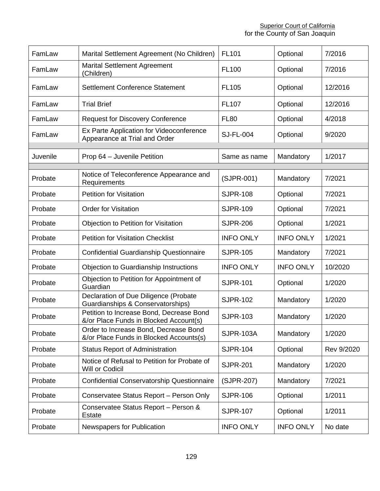| FamLaw   | Marital Settlement Agreement (No Children)                                         | FL101            | Optional         | 7/2016     |
|----------|------------------------------------------------------------------------------------|------------------|------------------|------------|
| FamLaw   | <b>Marital Settlement Agreement</b><br>(Children)                                  | <b>FL100</b>     | Optional         | 7/2016     |
| FamLaw   | Settlement Conference Statement                                                    | FL105            | Optional         | 12/2016    |
| FamLaw   | <b>Trial Brief</b>                                                                 | <b>FL107</b>     | Optional         | 12/2016    |
| FamLaw   | <b>Request for Discovery Conference</b>                                            | <b>FL80</b>      | Optional         | 4/2018     |
| FamLaw   | Ex Parte Application for Videoconference<br>Appearance at Trial and Order          | <b>SJ-FL-004</b> | Optional         | 9/2020     |
| Juvenile | Prop 64 - Juvenile Petition                                                        | Same as name     | Mandatory        | 1/2017     |
|          |                                                                                    |                  |                  |            |
| Probate  | Notice of Teleconference Appearance and<br>Requirements                            | (SJPR-001)       | Mandatory        | 7/2021     |
| Probate  | <b>Petition for Visitation</b>                                                     | <b>SJPR-108</b>  | Optional         | 7/2021     |
| Probate  | <b>Order for Visitation</b>                                                        | <b>SJPR-109</b>  | Optional         | 7/2021     |
| Probate  | Objection to Petition for Visitation                                               | <b>SJPR-206</b>  | Optional         | 1/2021     |
| Probate  | <b>Petition for Visitation Checklist</b>                                           | <b>INFO ONLY</b> | <b>INFO ONLY</b> | 1/2021     |
| Probate  | Confidential Guardianship Questionnaire                                            | <b>SJPR-105</b>  | Mandatory        | 7/2021     |
| Probate  | Objection to Guardianship Instructions                                             | <b>INFO ONLY</b> | <b>INFO ONLY</b> | 10/2020    |
| Probate  | Objection to Petition for Appointment of<br>Guardian                               | <b>SJPR-101</b>  | Optional         | 1/2020     |
| Probate  | Declaration of Due Diligence (Probate<br>Guardianships & Conservatorships)         | <b>SJPR-102</b>  | Mandatory        | 1/2020     |
| Probate  | Petition to Increase Bond, Decrease Bond<br>&/or Place Funds in Blocked Account(s) | <b>SJPR-103</b>  | Mandatory        | 1/2020     |
| Probate  | Order to Increase Bond, Decrease Bond<br>&/or Place Funds in Blocked Accounts(s)   | <b>SJPR-103A</b> | Mandatory        | 1/2020     |
| Probate  | <b>Status Report of Administration</b>                                             | <b>SJPR-104</b>  | Optional         | Rev 9/2020 |
| Probate  | Notice of Refusal to Petition for Probate of<br>Will or Codicil                    | <b>SJPR-201</b>  | Mandatory        | 1/2020     |
| Probate  | Confidential Conservatorship Questionnaire                                         | (SJPR-207)       | Mandatory        | 7/2021     |
| Probate  | Conservatee Status Report - Person Only                                            | <b>SJPR-106</b>  | Optional         | 1/2011     |
| Probate  | Conservatee Status Report - Person &<br><b>Estate</b>                              | <b>SJPR-107</b>  | Optional         | 1/2011     |
| Probate  | Newspapers for Publication                                                         | <b>INFO ONLY</b> | <b>INFO ONLY</b> | No date    |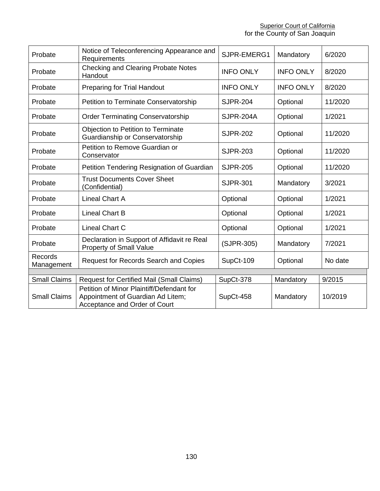**Superior Court of California** for the County of San Joaquin

| Probate               | Notice of Teleconferencing Appearance and<br>SJPR-EMERG1<br>Mandatory<br>Requirements                           |                  | 6/2020           |         |
|-----------------------|-----------------------------------------------------------------------------------------------------------------|------------------|------------------|---------|
| Probate               | <b>Checking and Clearing Probate Notes</b><br>Handout                                                           | <b>INFO ONLY</b> | <b>INFO ONLY</b> | 8/2020  |
| Probate               | <b>Preparing for Trial Handout</b>                                                                              | <b>INFO ONLY</b> | <b>INFO ONLY</b> | 8/2020  |
| Probate               | Petition to Terminate Conservatorship                                                                           | <b>SJPR-204</b>  | Optional         | 11/2020 |
| Probate               | <b>Order Terminating Conservatorship</b>                                                                        | <b>SJPR-204A</b> | Optional         | 1/2021  |
| Probate               | Objection to Petition to Terminate<br>Guardianship or Conservatorship                                           | <b>SJPR-202</b>  | Optional         | 11/2020 |
| Probate               | Petition to Remove Guardian or<br>Conservator                                                                   | <b>SJPR-203</b>  | Optional         | 11/2020 |
| Probate               | Petition Tendering Resignation of Guardian                                                                      | <b>SJPR-205</b>  | Optional         | 11/2020 |
| Probate               | <b>Trust Documents Cover Sheet</b><br>(Confidential)                                                            | <b>SJPR-301</b>  | Mandatory        | 3/2021  |
| Probate               | <b>Lineal Chart A</b>                                                                                           | Optional         | Optional         | 1/2021  |
| Probate               | <b>Lineal Chart B</b>                                                                                           | Optional         | Optional         | 1/2021  |
| Probate               | Lineal Chart C                                                                                                  | Optional         | Optional         | 1/2021  |
| Probate               | Declaration in Support of Affidavit re Real<br>Property of Small Value                                          | (SJPR-305)       | Mandatory        | 7/2021  |
| Records<br>Management | Request for Records Search and Copies                                                                           | SupCt-109        | Optional         | No date |
|                       |                                                                                                                 |                  |                  |         |
| <b>Small Claims</b>   | <b>Request for Certified Mail (Small Claims)</b>                                                                | SupCt-378        | Mandatory        | 9/2015  |
| <b>Small Claims</b>   | Petition of Minor Plaintiff/Defendant for<br>Appointment of Guardian Ad Litem;<br>Acceptance and Order of Court | SupCt-458        | Mandatory        | 10/2019 |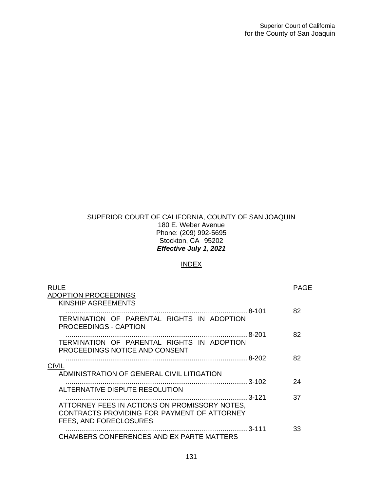#### SUPERIOR COURT OF CALIFORNIA, COUNTY OF SAN JOAQUIN 180 E. Weber Avenue Phone: (209) 992-5695 Stockton, CA 95202 *Effective July 1, 2021*

## INDEX

| <b>RULE</b><br><b>ADOPTION PROCEEDINGS</b>                                                                             | PAGE |
|------------------------------------------------------------------------------------------------------------------------|------|
| KINSHIP AGREEMENTS                                                                                                     |      |
|                                                                                                                        | 82   |
| TERMINATION OF PARENTAL RIGHTS IN ADOPTION<br><b>PROCEEDINGS - CAPTION</b>                                             |      |
|                                                                                                                        | 82   |
| TERMINATION OF PARENTAL RIGHTS IN ADOPTION<br>PROCEEDINGS NOTICE AND CONSENT                                           |      |
|                                                                                                                        | 82   |
| <b>CIVIL</b>                                                                                                           |      |
| ADMINISTRATION OF GENERAL CIVIL LITIGATION                                                                             |      |
|                                                                                                                        | 24   |
| ALTERNATIVE DISPUTE RESOLUTION                                                                                         |      |
| .3-121                                                                                                                 | 37   |
| ATTORNEY FEES IN ACTIONS ON PROMISSORY NOTES,<br>CONTRACTS PROVIDING FOR PAYMENT OF ATTORNEY<br>FEES, AND FORECLOSURES |      |
|                                                                                                                        | 33   |
| CHAMBERS CONFERENCES AND EX PARTE MATTERS                                                                              |      |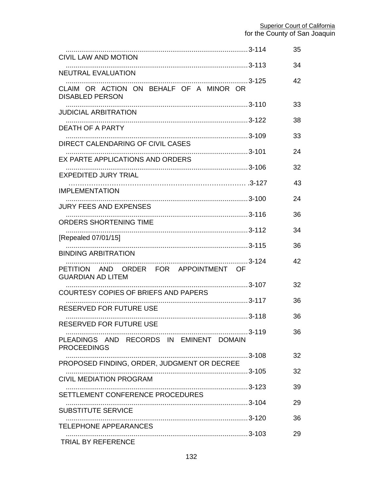|                                                                   |       | 35 |
|-------------------------------------------------------------------|-------|----|
| <b>CIVIL LAW AND MOTION</b>                                       |       | 34 |
| NEUTRAL EVALUATION                                                |       | 42 |
| CLAIM OR ACTION ON BEHALF OF A MINOR OR<br><b>DISABLED PERSON</b> |       |    |
| <b>JUDICIAL ARBITRATION</b>                                       |       | 33 |
| <b>DEATH OF A PARTY</b>                                           |       | 38 |
| DIRECT CALENDARING OF CIVIL CASES                                 |       | 33 |
| EX PARTE APPLICATIONS AND ORDERS                                  |       | 24 |
| <b>EXPEDITED JURY TRIAL</b>                                       |       | 32 |
| IMPLEMENTATION                                                    |       | 43 |
| <b>JURY FEES AND EXPENSES</b>                                     |       | 24 |
| ORDERS SHORTENING TIME                                            |       | 36 |
|                                                                   |       | 34 |
| [Repealed 07/01/15]                                               |       | 36 |
| <b>BINDING ARBITRATION</b>                                        |       | 42 |
| PETITION AND ORDER FOR APPOINTMENT OF<br><b>GUARDIAN AD LITEM</b> |       |    |
| COURTESY COPIES OF BRIEFS AND PAPERS                              |       | 32 |
| <b>RESERVED FOR FUTURE USE</b>                                    |       | 36 |
| RESERVED FOR FUTURE USE                                           |       | 36 |
| PLEADINGS AND RECORDS IN EMINENT DOMAIN                           | 3-119 | 36 |
| <b>PROCEEDINGS</b>                                                |       | 32 |
| PROPOSED FINDING, ORDER, JUDGMENT OR DECREE                       |       |    |
| <b>CIVIL MEDIATION PROGRAM</b>                                    |       | 32 |
| SETTLEMENT CONFERENCE PROCEDURES                                  |       | 39 |
| <b>SUBSTITUTE SERVICE</b>                                         |       | 29 |
| <b>TELEPHONE APPEARANCES</b>                                      |       | 36 |
| TRIAL BY REFERENCE                                                |       | 29 |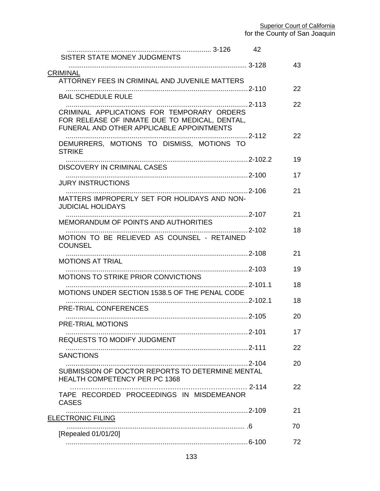| SISTER STATE MONEY JUDGMENTS                                                                                                             | 42 |    |
|------------------------------------------------------------------------------------------------------------------------------------------|----|----|
| <b>CRIMINAL</b>                                                                                                                          |    | 43 |
| ATTORNEY FEES IN CRIMINAL AND JUVENILE MATTERS                                                                                           |    | 22 |
| <b>BAIL SCHEDULE RULE</b>                                                                                                                |    |    |
| CRIMINAL APPLICATIONS FOR TEMPORARY ORDERS<br>FOR RELEASE OF INMATE DUE TO MEDICAL, DENTAL,<br>FUNERAL AND OTHER APPLICABLE APPOINTMENTS |    | 22 |
| DEMURRERS, MOTIONS TO DISMISS, MOTIONS TO<br><b>STRIKE</b>                                                                               |    | 22 |
| DISCOVERY IN CRIMINAL CASES                                                                                                              |    | 19 |
| <b>JURY INSTRUCTIONS</b>                                                                                                                 |    | 17 |
| MATTERS IMPROPERLY SET FOR HOLIDAYS AND NON-<br><b>JUDICIAL HOLIDAYS</b>                                                                 |    | 21 |
| MEMORANDUM OF POINTS AND AUTHORITIES                                                                                                     |    | 21 |
|                                                                                                                                          |    | 18 |
| MOTION TO BE RELIEVED AS COUNSEL - RETAINED<br><b>COUNSEL</b>                                                                            |    |    |
| <b>MOTIONS AT TRIAL</b>                                                                                                                  |    | 21 |
| <b>MOTIONS TO STRIKE PRIOR CONVICTIONS</b>                                                                                               |    | 19 |
| MOTIONS UNDER SECTION 1538.5 OF THE PENAL CODE                                                                                           |    | 18 |
|                                                                                                                                          |    | 18 |
| PRE-TRIAL CONFERENCES                                                                                                                    |    | 20 |
| PRE-TRIAL MOTIONS                                                                                                                        |    | 17 |
| <b>REQUESTS TO MODIFY JUDGMENT</b>                                                                                                       |    | 22 |
| <b>SANCTIONS</b>                                                                                                                         |    | 20 |
| SUBMISSION OF DOCTOR REPORTS TO DETERMINE MENTAL<br><b>HEALTH COMPETENCY PER PC 1368</b>                                                 |    |    |
| TAPE RECORDED PROCEEDINGS IN MISDEMEANOR<br><b>CASES</b>                                                                                 |    | 22 |
| <b>ELECTRONIC FILING</b>                                                                                                                 |    | 21 |
| [Repealed 01/01/20]                                                                                                                      |    | 70 |
|                                                                                                                                          |    | 72 |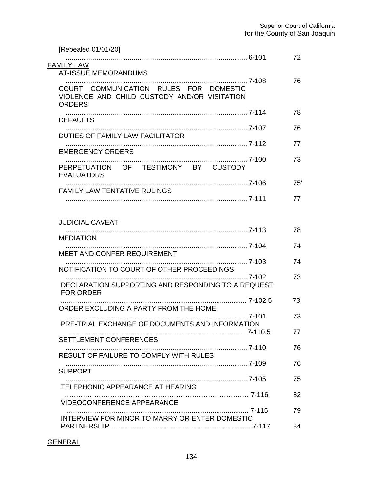| [Repealed 01/01/20]                                                                                     | 72  |
|---------------------------------------------------------------------------------------------------------|-----|
| <b>FAMILY LAW</b><br><b>AT-ISSUE MEMORANDUMS</b>                                                        |     |
| COURT COMMUNICATION RULES FOR DOMESTIC<br>VIOLENCE AND CHILD CUSTODY AND/OR VISITATION<br><b>ORDERS</b> | 76  |
| <b>DEFAULTS</b>                                                                                         | 78  |
| DUTIES OF FAMILY LAW FACILITATOR                                                                        | 76  |
| <b>EMERGENCY ORDERS</b>                                                                                 | 77  |
| PERPETUATION OF TESTIMONY BY CUSTODY                                                                    | 73  |
| <b>EVALUATORS</b>                                                                                       | 75' |
| <b>FAMILY LAW TENTATIVE RULINGS</b>                                                                     | 77  |
|                                                                                                         |     |
| <b>JUDICIAL CAVEAT</b>                                                                                  | 78  |
| <b>MEDIATION</b>                                                                                        |     |
| MEET AND CONFER REQUIREMENT                                                                             | 74  |
| NOTIFICATION TO COURT OF OTHER PROCEEDINGS                                                              | 74  |
| DECLARATION SUPPORTING AND RESPONDING TO A REQUEST<br><b>FOR ORDER</b>                                  | 73  |
| ORDER EXCLUDING A PARTY FROM THE HOME                                                                   | 73  |
| PRE-TRIAL EXCHANGE OF DOCUMENTS AND INFORMATION                                                         | 73  |
|                                                                                                         | 77  |
| SETTLEMENT CONFERENCES                                                                                  | 76  |
| <b>RESULT OF FAILURE TO COMPLY WITH RULES</b>                                                           | 76  |
| <b>SUPPORT</b>                                                                                          | 75  |
| TELEPHONIC APPEARANCE AT HEARING                                                                        |     |
| <b>VIDEOCONFERENCE APPEARANCE</b>                                                                       | 82  |
| INTERVIEW FOR MINOR TO MARRY OR ENTER DOMESTIC                                                          | 79  |
|                                                                                                         | 84  |

## **GENERAL**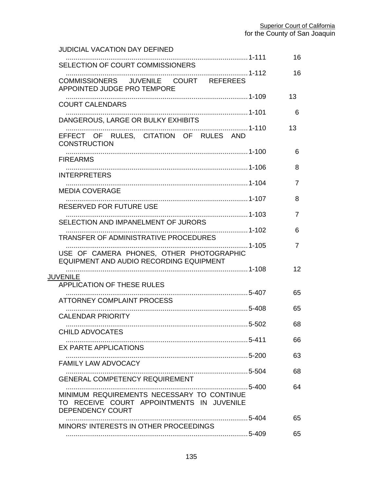| <b>JUDICIAL VACATION DAY DEFINED</b>                                                                        |                |
|-------------------------------------------------------------------------------------------------------------|----------------|
| SELECTION OF COURT COMMISSIONERS                                                                            | 16             |
| COMMISSIONERS JUVENILE COURT REFEREES<br>APPOINTED JUDGE PRO TEMPORE                                        | 16             |
| <b>COURT CALENDARS</b>                                                                                      | 13             |
| DANGEROUS, LARGE OR BULKY EXHIBITS                                                                          | 6              |
| 1-110<br>EFFECT OF RULES, CITATION OF RULES AND<br><b>CONSTRUCTION</b>                                      | 13             |
|                                                                                                             | 6              |
| <b>FIREARMS</b>                                                                                             | 8              |
| <b>INTERPRETERS</b>                                                                                         | $\overline{7}$ |
| <b>MEDIA COVERAGE</b>                                                                                       | 8              |
| RESERVED FOR FUTURE USE                                                                                     |                |
| SELECTION AND IMPANELMENT OF JURORS                                                                         | $\overline{7}$ |
| TRANSFER OF ADMINISTRATIVE PROCEDURES                                                                       | 6              |
| . 1-105<br>USE OF CAMERA PHONES, OTHER PHOTOGRAPHIC<br>EQUIPMENT AND AUDIO RECORDING EQUIPMENT              | $\overline{7}$ |
| <b>JUVENILE</b>                                                                                             | 12             |
| <b>APPLICATION OF THESE RULES</b>                                                                           |                |
| <b>ATTORNEY COMPLAINT PROCESS</b>                                                                           | 65             |
| <b>CALENDAR PRIORITY</b>                                                                                    | 65             |
| 5-502<br><b>CHILD ADVOCATES</b>                                                                             | 68             |
| <b>EX PARTE APPLICATIONS</b>                                                                                | 66             |
|                                                                                                             | 63             |
| FAMILY LAW ADVOCACY                                                                                         | 68             |
| <b>GENERAL COMPETENCY REQUIREMENT</b>                                                                       | 64             |
| MINIMUM REQUIREMENTS NECESSARY TO CONTINUE<br>TO RECEIVE COURT APPOINTMENTS IN JUVENILE<br>DEPENDENCY COURT |                |
| MINORS' INTERESTS IN OTHER PROCEEDINGS                                                                      | 65             |
|                                                                                                             | 65             |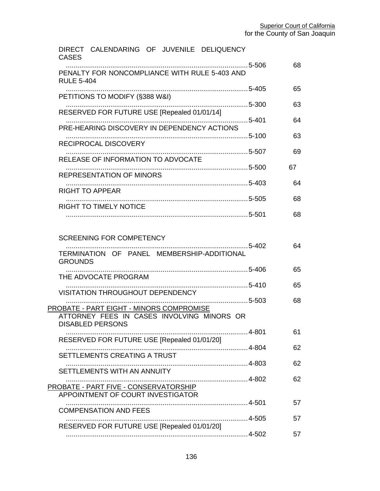| DIRECT CALENDARING OF JUVENILE DELIQUENCY<br><b>CASES</b>                                                         |    |    |
|-------------------------------------------------------------------------------------------------------------------|----|----|
| PENALTY FOR NONCOMPLIANCE WITH RULE 5-403 AND<br><b>RULE 5-404</b>                                                |    | 68 |
| PETITIONS TO MODIFY (§388 W&I)                                                                                    |    | 65 |
| RESERVED FOR FUTURE USE [Repealed 01/01/14]                                                                       |    | 63 |
| . 5-401<br>PRE-HEARING DISCOVERY IN DEPENDENCY ACTIONS                                                            |    | 64 |
| RECIPROCAL DISCOVERY                                                                                              |    | 63 |
| RELEASE OF INFORMATION TO ADVOCATE                                                                                |    | 69 |
| <b>REPRESENTATION OF MINORS</b>                                                                                   | 67 |    |
| RIGHT TO APPEAR                                                                                                   |    | 64 |
| RIGHT TO TIMELY NOTICE                                                                                            |    | 68 |
|                                                                                                                   |    | 68 |
| <b>SCREENING FOR COMPETENCY</b><br>TERMINATION OF PANEL MEMBERSHIP-ADDITIONAL<br><b>GROUNDS</b>                   |    | 64 |
| THE ADVOCATE PROGRAM                                                                                              |    | 65 |
| <b>VISITATION THROUGHOUT DEPENDENCY</b>                                                                           |    | 65 |
| PROBATE - PART EIGHT - MINORS COMPROMISE<br>ATTORNEY FEES IN CASES INVOLVING MINORS OR<br><b>DISABLED PERSONS</b> |    | 68 |
| . 4-801<br>RESERVED FOR FUTURE USE [Repealed 01/01/20]                                                            |    | 61 |
| SETTLEMENTS CREATING A TRUST                                                                                      |    | 62 |
| SETTLEMENTS WITH AN ANNUITY                                                                                       |    | 62 |
| <b>PROBATE - PART FIVE - CONSERVATORSHIP</b>                                                                      |    | 62 |
| APPOINTMENT OF COURT INVESTIGATOR                                                                                 |    | 57 |
| <b>COMPENSATION AND FEES</b>                                                                                      |    | 57 |
| RESERVED FOR FUTURE USE [Repealed 01/01/20]                                                                       |    | 57 |
|                                                                                                                   |    |    |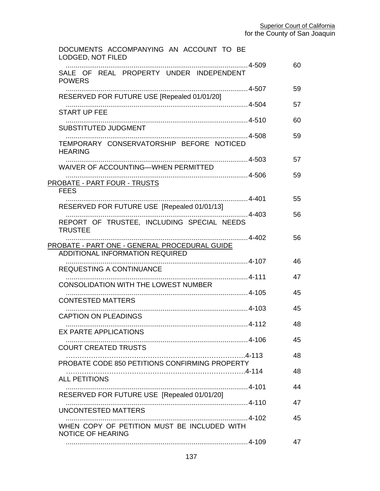| DOCUMENTS ACCOMPANYING AN ACCOUNT TO BE<br>LODGED, NOT FILED            |    |
|-------------------------------------------------------------------------|----|
| SALE OF REAL PROPERTY UNDER INDEPENDENT<br><b>POWERS</b>                | 60 |
| RESERVED FOR FUTURE USE [Repealed 01/01/20]                             | 59 |
| <b>START UP FEE</b>                                                     | 57 |
| SUBSTITUTED JUDGMENT                                                    | 60 |
| TEMPORARY CONSERVATORSHIP BEFORE NOTICED<br><b>HEARING</b>              | 59 |
| WAIVER OF ACCOUNTING-WHEN PERMITTED                                     | 57 |
| PROBATE - PART FOUR - TRUSTS<br><b>FEES</b>                             | 59 |
| 4-401<br>RESERVED FOR FUTURE USE [Repealed 01/01/13]                    | 55 |
| . 4-403<br>REPORT OF TRUSTEE, INCLUDING SPECIAL NEEDS<br><b>TRUSTEE</b> | 56 |
| PROBATE - PART ONE - GENERAL PROCEDURAL GUIDE                           | 56 |
| <b>ADDITIONAL INFORMATION REQUIRED</b>                                  | 46 |
| <b>REQUESTING A CONTINUANCE</b>                                         | 47 |
| CONSOLIDATION WITH THE LOWEST NUMBER                                    |    |
| <b>CONTESTED MATTERS</b>                                                | 45 |
| <b>CAPTION ON PLEADINGS</b>                                             | 45 |
| <b>EX PARTE APPLICATIONS</b>                                            | 48 |
| <b>COURT CREATED TRUSTS</b>                                             | 45 |
| PROBATE CODE 850 PETITIONS CONFIRMING PROPERTY                          | 48 |
| <b>ALL PETITIONS</b>                                                    | 48 |
| RESERVED FOR FUTURE USE [Repealed 01/01/20]                             | 44 |
| UNCONTESTED MATTERS                                                     | 47 |
|                                                                         | 45 |
| WHEN COPY OF PETITION MUST BE INCLUDED WITH<br><b>NOTICE OF HEARING</b> |    |
|                                                                         | 47 |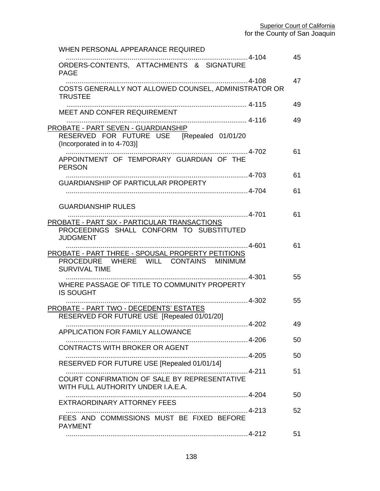| WHEN PERSONAL APPEARANCE REQUIRED                                                                                     |         |    |
|-----------------------------------------------------------------------------------------------------------------------|---------|----|
| ORDERS-CONTENTS, ATTACHMENTS & SIGNATURE<br><b>PAGE</b>                                                               |         | 45 |
| COSTS GENERALLY NOT ALLOWED COUNSEL, ADMINISTRATOR OR<br><b>TRUSTEE</b>                                               |         | 47 |
| MEET AND CONFER REQUIREMENT                                                                                           |         | 49 |
| PROBATE - PART SEVEN - GUARDIANSHIP<br>RESERVED FOR FUTURE USE [Repealed 01/01/20<br>(Incorporated in to 4-703)]      |         | 49 |
| APPOINTMENT OF TEMPORARY GUARDIAN OF THE<br><b>PERSON</b>                                                             |         | 61 |
| <b>GUARDIANSHIP OF PARTICULAR PROPERTY</b>                                                                            |         | 61 |
|                                                                                                                       |         | 61 |
| <b>GUARDIANSHIP RULES</b><br>PROBATE - PART SIX - PARTICULAR TRANSACTIONS<br>PROCEEDINGS SHALL CONFORM TO SUBSTITUTED | 4-701   | 61 |
| <b>JUDGMENT</b><br>PROBATE - PART THREE - SPOUSAL PROPERTY PETITIONS<br>PROCEDURE WHERE WILL CONTAINS MINIMUM         |         | 61 |
| <b>SURVIVAL TIME</b><br>WHERE PASSAGE OF TITLE TO COMMUNITY PROPERTY<br><b>IS SOUGHT</b>                              |         | 55 |
| PROBATE - PART TWO - DECEDENTS' ESTATES<br>RESERVED FOR FUTURE USE [Repealed 01/01/20]                                |         | 55 |
| APPLICATION FOR FAMILY ALLOWANCE                                                                                      | $4-202$ | 49 |
| CONTRACTS WITH BROKER OR AGENT                                                                                        |         | 50 |
| RESERVED FOR FUTURE USE [Repealed 01/01/14]                                                                           |         | 50 |
| COURT CONFIRMATION OF SALE BY REPRESENTATIVE<br>WITH FULL AUTHORITY UNDER I.A.E.A.                                    |         | 51 |
| EXTRAORDINARY ATTORNEY FEES                                                                                           |         | 50 |
| FEES AND COMMISSIONS MUST BE FIXED BEFORE<br><b>PAYMENT</b>                                                           |         | 52 |
|                                                                                                                       |         | 51 |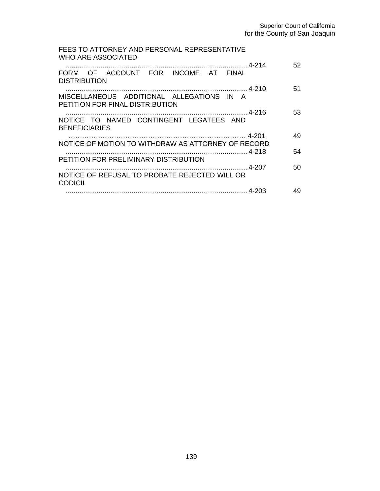| FEES TO ATTORNEY AND PERSONAL REPRESENTATIVE<br>WHO ARE ASSOCIATED           |    |
|------------------------------------------------------------------------------|----|
|                                                                              | 52 |
| FORM OF ACCOUNT FOR INCOME AT FINAL<br><b>DISTRIBUTION</b>                   |    |
|                                                                              | 51 |
| MISCELLANEOUS ADDITIONAL ALLEGATIONS IN A<br>PETITION FOR FINAL DISTRIBUTION |    |
|                                                                              | 53 |
| NOTICE TO NAMED CONTINGENT LEGATEES AND                                      |    |
| <b>BENEFICIARIES</b>                                                         |    |
|                                                                              | 49 |
| NOTICE OF MOTION TO WITHDRAW AS ATTORNEY OF RECORD                           | 54 |
| PETITION FOR PRELIMINARY DISTRIBUTION                                        |    |
|                                                                              | 50 |
| NOTICE OF REFUSAL TO PROBATE REJECTED WILL OR                                |    |
| <b>CODICIL</b>                                                               | 49 |
|                                                                              |    |